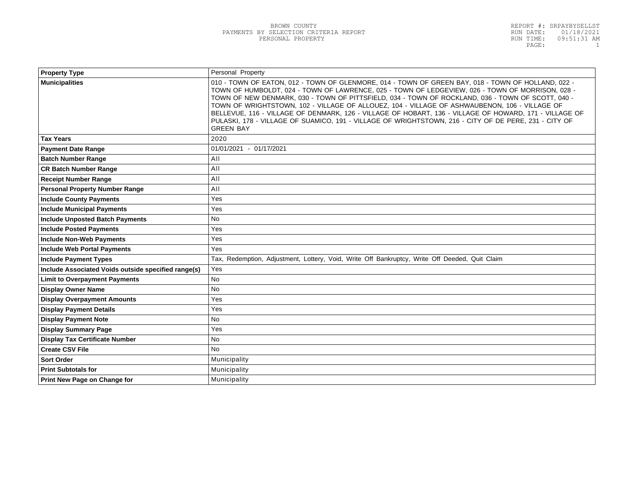| <b>Property Type</b>                                | Personal Property                                                                                                                                                                                                                                                                                                                                                                                                                                                                                                                                                                                                                                   |  |
|-----------------------------------------------------|-----------------------------------------------------------------------------------------------------------------------------------------------------------------------------------------------------------------------------------------------------------------------------------------------------------------------------------------------------------------------------------------------------------------------------------------------------------------------------------------------------------------------------------------------------------------------------------------------------------------------------------------------------|--|
| <b>Municipalities</b>                               | 010 - TOWN OF EATON, 012 - TOWN OF GLENMORE, 014 - TOWN OF GREEN BAY, 018 - TOWN OF HOLLAND, 022 -<br>TOWN OF HUMBOLDT, 024 - TOWN OF LAWRENCE, 025 - TOWN OF LEDGEVIEW, 026 - TOWN OF MORRISON, 028 -<br>TOWN OF NEW DENMARK, 030 - TOWN OF PITTSFIELD, 034 - TOWN OF ROCKLAND, 036 - TOWN OF SCOTT, 040 -<br>TOWN OF WRIGHTSTOWN, 102 - VILLAGE OF ALLOUEZ, 104 - VILLAGE OF ASHWAUBENON, 106 - VILLAGE OF<br>BELLEVUE, 116 - VILLAGE OF DENMARK, 126 - VILLAGE OF HOBART, 136 - VILLAGE OF HOWARD, 171 - VILLAGE OF<br>PULASKI, 178 - VILLAGE OF SUAMICO, 191 - VILLAGE OF WRIGHTSTOWN, 216 - CITY OF DE PERE, 231 - CITY OF<br><b>GREEN BAY</b> |  |
| <b>Tax Years</b>                                    | 2020                                                                                                                                                                                                                                                                                                                                                                                                                                                                                                                                                                                                                                                |  |
| <b>Payment Date Range</b>                           | 01/01/2021 - 01/17/2021                                                                                                                                                                                                                                                                                                                                                                                                                                                                                                                                                                                                                             |  |
| <b>Batch Number Range</b>                           | AII                                                                                                                                                                                                                                                                                                                                                                                                                                                                                                                                                                                                                                                 |  |
| <b>CR Batch Number Range</b>                        | AII                                                                                                                                                                                                                                                                                                                                                                                                                                                                                                                                                                                                                                                 |  |
| <b>Receipt Number Range</b>                         | All                                                                                                                                                                                                                                                                                                                                                                                                                                                                                                                                                                                                                                                 |  |
| <b>Personal Property Number Range</b>               | AII                                                                                                                                                                                                                                                                                                                                                                                                                                                                                                                                                                                                                                                 |  |
| <b>Include County Payments</b>                      | Yes                                                                                                                                                                                                                                                                                                                                                                                                                                                                                                                                                                                                                                                 |  |
| <b>Include Municipal Payments</b>                   | Yes                                                                                                                                                                                                                                                                                                                                                                                                                                                                                                                                                                                                                                                 |  |
| <b>Include Unposted Batch Payments</b>              | <b>No</b>                                                                                                                                                                                                                                                                                                                                                                                                                                                                                                                                                                                                                                           |  |
| <b>Include Posted Payments</b>                      | Yes                                                                                                                                                                                                                                                                                                                                                                                                                                                                                                                                                                                                                                                 |  |
| <b>Include Non-Web Payments</b>                     | Yes                                                                                                                                                                                                                                                                                                                                                                                                                                                                                                                                                                                                                                                 |  |
| <b>Include Web Portal Payments</b>                  | Yes                                                                                                                                                                                                                                                                                                                                                                                                                                                                                                                                                                                                                                                 |  |
| <b>Include Payment Types</b>                        | Tax, Redemption, Adjustment, Lottery, Void, Write Off Bankruptcy, Write Off Deeded, Quit Claim                                                                                                                                                                                                                                                                                                                                                                                                                                                                                                                                                      |  |
| Include Associated Voids outside specified range(s) | Yes                                                                                                                                                                                                                                                                                                                                                                                                                                                                                                                                                                                                                                                 |  |
| <b>Limit to Overpayment Payments</b>                | <b>No</b>                                                                                                                                                                                                                                                                                                                                                                                                                                                                                                                                                                                                                                           |  |
| <b>Display Owner Name</b>                           | <b>No</b>                                                                                                                                                                                                                                                                                                                                                                                                                                                                                                                                                                                                                                           |  |
| <b>Display Overpayment Amounts</b>                  | Yes                                                                                                                                                                                                                                                                                                                                                                                                                                                                                                                                                                                                                                                 |  |
| <b>Display Payment Details</b>                      | Yes                                                                                                                                                                                                                                                                                                                                                                                                                                                                                                                                                                                                                                                 |  |
| <b>Display Payment Note</b>                         | <b>No</b>                                                                                                                                                                                                                                                                                                                                                                                                                                                                                                                                                                                                                                           |  |
| <b>Display Summary Page</b>                         | Yes                                                                                                                                                                                                                                                                                                                                                                                                                                                                                                                                                                                                                                                 |  |
| <b>Display Tax Certificate Number</b>               | <b>No</b>                                                                                                                                                                                                                                                                                                                                                                                                                                                                                                                                                                                                                                           |  |
| <b>Create CSV File</b>                              | <b>No</b>                                                                                                                                                                                                                                                                                                                                                                                                                                                                                                                                                                                                                                           |  |
| <b>Sort Order</b>                                   | Municipality                                                                                                                                                                                                                                                                                                                                                                                                                                                                                                                                                                                                                                        |  |
| <b>Print Subtotals for</b>                          | Municipality                                                                                                                                                                                                                                                                                                                                                                                                                                                                                                                                                                                                                                        |  |
| Print New Page on Change for                        | Municipality                                                                                                                                                                                                                                                                                                                                                                                                                                                                                                                                                                                                                                        |  |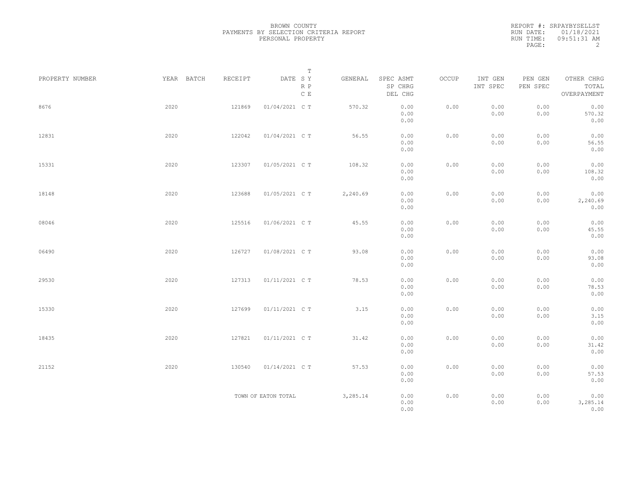|                 |            |         | $\mathbb T$                                                                                                 |          |                                 |       |                     |                     |                                    |  |
|-----------------|------------|---------|-------------------------------------------------------------------------------------------------------------|----------|---------------------------------|-------|---------------------|---------------------|------------------------------------|--|
| PROPERTY NUMBER | YEAR BATCH | RECEIPT | $\begin{tabular}{llll} \bf{DATE} & \tt S & \tt Y \end{tabular}$<br>$\mathbb R$ $\mathbb P$<br>$\,$ C $\,$ E | GENERAL  | SPEC ASMT<br>SP CHRG<br>DEL CHG | OCCUP | INT GEN<br>INT SPEC | PEN GEN<br>PEN SPEC | OTHER CHRG<br>TOTAL<br>OVERPAYMENT |  |
| 8676            | 2020       | 121869  | 01/04/2021 C T                                                                                              | 570.32   | 0.00<br>0.00<br>0.00            | 0.00  | 0.00<br>0.00        | 0.00<br>0.00        | 0.00<br>570.32<br>0.00             |  |
| 12831           | 2020       | 122042  | 01/04/2021 C T                                                                                              | 56.55    | 0.00<br>0.00<br>0.00            | 0.00  | 0.00<br>0.00        | 0.00<br>0.00        | 0.00<br>56.55<br>0.00              |  |
| 15331           | 2020       | 123307  | 01/05/2021 C T                                                                                              | 108.32   | 0.00<br>0.00<br>0.00            | 0.00  | 0.00<br>0.00        | 0.00<br>0.00        | 0.00<br>108.32<br>0.00             |  |
| 18148           | 2020       | 123688  | 01/05/2021 C T                                                                                              | 2,240.69 | 0.00<br>0.00<br>0.00            | 0.00  | 0.00<br>0.00        | 0.00<br>0.00        | 0.00<br>2,240.69<br>0.00           |  |
| 08046           | 2020       | 125516  | 01/06/2021 C T                                                                                              | 45.55    | 0.00<br>0.00<br>0.00            | 0.00  | 0.00<br>0.00        | 0.00<br>0.00        | 0.00<br>45.55<br>0.00              |  |
| 06490           | 2020       | 126727  | 01/08/2021 C T                                                                                              | 93.08    | 0.00<br>0.00<br>0.00            | 0.00  | 0.00<br>0.00        | 0.00<br>0.00        | 0.00<br>93.08<br>0.00              |  |
| 29530           | 2020       | 127313  | 01/11/2021 C T                                                                                              | 78.53    | 0.00<br>0.00<br>0.00            | 0.00  | 0.00<br>0.00        | 0.00<br>0.00        | 0.00<br>78.53<br>0.00              |  |
| 15330           | 2020       | 127699  | 01/11/2021 C T                                                                                              | 3.15     | 0.00<br>0.00<br>0.00            | 0.00  | 0.00<br>0.00        | 0.00<br>0.00        | 0.00<br>3.15<br>0.00               |  |
| 18435           | 2020       | 127821  | 01/11/2021 C T                                                                                              | 31.42    | 0.00<br>0.00<br>0.00            | 0.00  | 0.00<br>0.00        | 0.00<br>0.00        | 0.00<br>31.42<br>0.00              |  |
| 21152           | 2020       | 130540  | 01/14/2021 C T                                                                                              | 57.53    | 0.00<br>0.00<br>0.00            | 0.00  | 0.00<br>0.00        | 0.00<br>0.00        | 0.00<br>57.53<br>0.00              |  |
|                 |            |         | TOWN OF EATON TOTAL                                                                                         | 3,285.14 | 0.00<br>0.00<br>0.00            | 0.00  | 0.00<br>0.00        | 0.00<br>0.00        | 0.00<br>3,285.14<br>0.00           |  |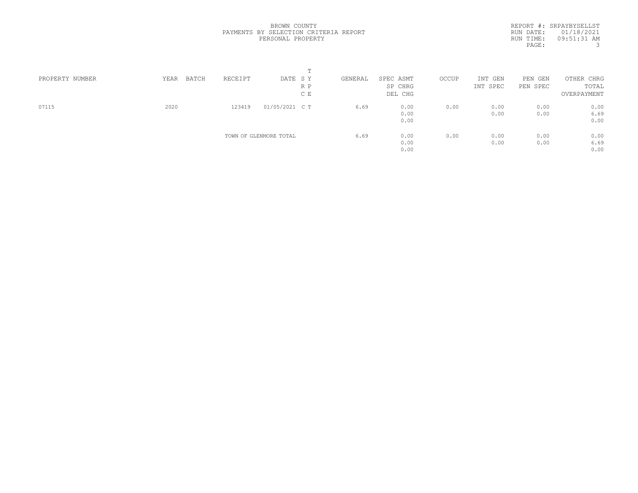|                 |               |         |                        | m   |         |           |       |          |            |             |  |
|-----------------|---------------|---------|------------------------|-----|---------|-----------|-------|----------|------------|-------------|--|
| PROPERTY NUMBER | YEAR<br>BATCH | RECEIPT | DATE SY                |     | GENERAL | SPEC ASMT | OCCUP | INT GEN  | PEN<br>GEN | OTHER CHRG  |  |
|                 |               |         |                        | R P |         | SP CHRG   |       | INT SPEC | PEN SPEC   | TOTAL       |  |
|                 |               |         |                        | C E |         | DEL CHG   |       |          |            | OVERPAYMENT |  |
| 07115           | 2020          | 123419  | 01/05/2021 C T         |     | 6.69    | 0.00      | 0.00  | 0.00     | 0.00       | 0.00        |  |
|                 |               |         |                        |     |         | 0.00      |       | 0.00     | 0.00       | 6.69        |  |
|                 |               |         |                        |     |         | 0.00      |       |          |            | 0.00        |  |
|                 |               |         | TOWN OF GLENMORE TOTAL |     | 6.69    | 0.00      | 0.00  | 0.00     | 0.00       | 0.00        |  |
|                 |               |         |                        |     |         | 0.00      |       | 0.00     | 0.00       | 6.69        |  |
|                 |               |         |                        |     |         | 0.00      |       |          |            | 0.00        |  |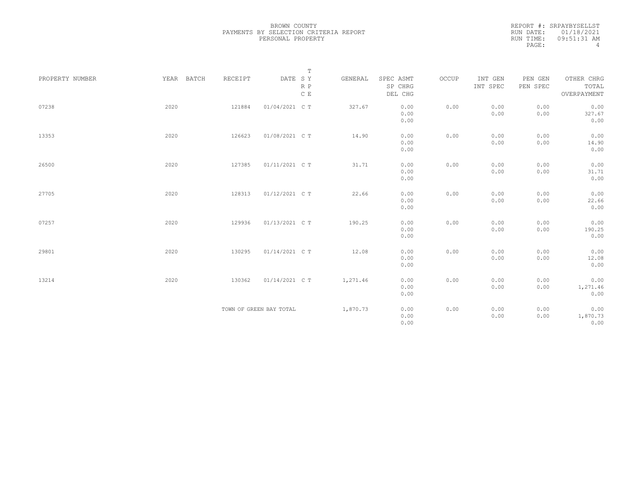|                 |            |         | $\mathbb T$                                                             |          |                      |       |                     |                     |                     |
|-----------------|------------|---------|-------------------------------------------------------------------------|----------|----------------------|-------|---------------------|---------------------|---------------------|
| PROPERTY NUMBER | YEAR BATCH | RECEIPT | $\begin{tabular}{lllll} \bf{DATE} & \tt S & \tt Y \end{tabular}$<br>R P | GENERAL  | SPEC ASMT<br>SP CHRG | OCCUP | INT GEN<br>INT SPEC | PEN GEN<br>PEN SPEC | OTHER CHRG<br>TOTAL |
|                 |            |         | C E                                                                     |          | DEL CHG              |       |                     |                     | OVERPAYMENT         |
| 07238           | 2020       | 121884  | 01/04/2021 C T                                                          | 327.67   | 0.00                 | 0.00  | 0.00                | 0.00                | 0.00                |
|                 |            |         |                                                                         |          | 0.00                 |       | 0.00                | 0.00                | 327.67              |
|                 |            |         |                                                                         |          | 0.00                 |       |                     |                     | 0.00                |
| 13353           | 2020       | 126623  | 01/08/2021 C T                                                          | 14.90    | 0.00                 | 0.00  | 0.00                | 0.00                | 0.00                |
|                 |            |         |                                                                         |          | 0.00                 |       | 0.00                | 0.00                | 14.90               |
|                 |            |         |                                                                         |          | 0.00                 |       |                     |                     | 0.00                |
| 26500           | 2020       | 127385  | 01/11/2021 C T                                                          | 31.71    | 0.00                 | 0.00  | 0.00                | 0.00                | 0.00                |
|                 |            |         |                                                                         |          | 0.00                 |       | 0.00                | 0.00                | 31.71               |
|                 |            |         |                                                                         |          | 0.00                 |       |                     |                     | 0.00                |
| 27705           | 2020       | 128313  | 01/12/2021 C T                                                          | 22.66    | 0.00                 | 0.00  | 0.00                | 0.00                | 0.00                |
|                 |            |         |                                                                         |          | 0.00                 |       | 0.00                | 0.00                | 22.66               |
|                 |            |         |                                                                         |          | 0.00                 |       |                     |                     | 0.00                |
|                 |            |         |                                                                         |          |                      |       |                     |                     |                     |
| 07257           | 2020       | 129936  | 01/13/2021 C T                                                          | 190.25   | 0.00<br>0.00         | 0.00  | 0.00<br>0.00        | 0.00<br>0.00        | 0.00<br>190.25      |
|                 |            |         |                                                                         |          | 0.00                 |       |                     |                     | 0.00                |
|                 |            |         |                                                                         |          |                      |       |                     |                     |                     |
| 29801           | 2020       | 130295  | 01/14/2021 C T                                                          | 12.08    | 0.00                 | 0.00  | 0.00                | 0.00                | 0.00                |
|                 |            |         |                                                                         |          | 0.00                 |       | 0.00                | 0.00                | 12.08               |
|                 |            |         |                                                                         |          | 0.00                 |       |                     |                     | 0.00                |
| 13214           | 2020       | 130362  | 01/14/2021 C T                                                          | 1,271.46 | 0.00                 | 0.00  | 0.00                | 0.00                | 0.00                |
|                 |            |         |                                                                         |          | 0.00                 |       | 0.00                | 0.00                | 1,271.46            |
|                 |            |         |                                                                         |          | 0.00                 |       |                     |                     | 0.00                |
|                 |            |         | TOWN OF GREEN BAY TOTAL                                                 | 1,870.73 | 0.00                 | 0.00  | 0.00                | 0.00                | 0.00                |
|                 |            |         |                                                                         |          | 0.00                 |       | 0.00                | 0.00                | 1,870.73            |
|                 |            |         |                                                                         |          | 0.00                 |       |                     |                     | 0.00                |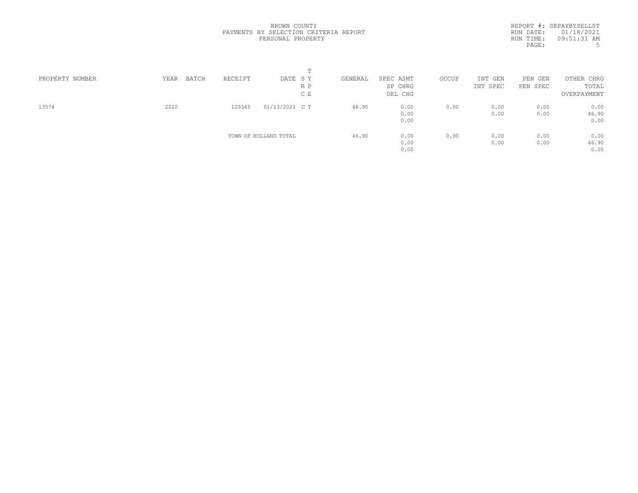|                 |               |         | m                     |         |           |       |          |            |             |  |
|-----------------|---------------|---------|-----------------------|---------|-----------|-------|----------|------------|-------------|--|
| PROPERTY NUMBER | BATCH<br>YEAR | RECEIPT | DATE SY               | GENERAL | SPEC ASMT | OCCUP | INT GEN  | PEN<br>GEN | OTHER CHRG  |  |
|                 |               |         | R P                   |         | SP CHRG   |       | INT SPEC | PEN SPEC   | TOTAL       |  |
|                 |               |         | C E                   |         | DEL CHG   |       |          |            | OVERPAYMENT |  |
| 13574           | 2020          | 129345  | 01/13/2021 C T        | 46.90   | 0.00      | 0.00  | 0.00     | 0.00       | 0.00        |  |
|                 |               |         |                       |         | 0.00      |       | 0.00     | 0.00       | 46.90       |  |
|                 |               |         |                       |         | 0.00      |       |          |            | 0.00        |  |
|                 |               |         | TOWN OF HOLLAND TOTAL | 46.90   | 0.00      | 0.00  | 0.00     | 0.00       | 0.00        |  |
|                 |               |         |                       |         | 0.00      |       | 0.00     | 0.00       | 46.90       |  |
|                 |               |         |                       |         | 0.00      |       |          |            | 0.00        |  |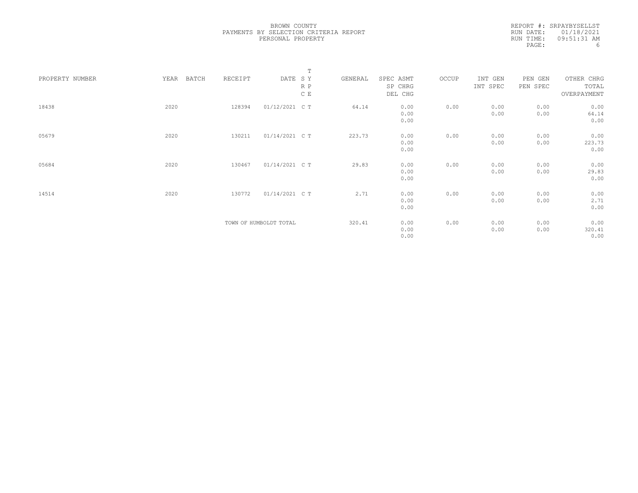|                 |      |       |         |                        | $\mathbb T$   |         |           |       |          |          |             |  |
|-----------------|------|-------|---------|------------------------|---------------|---------|-----------|-------|----------|----------|-------------|--|
| PROPERTY NUMBER | YEAR | BATCH | RECEIPT | DATE SY                |               | GENERAL | SPEC ASMT | OCCUP | INT GEN  | PEN GEN  | OTHER CHRG  |  |
|                 |      |       |         |                        | R P           |         | SP CHRG   |       | INT SPEC | PEN SPEC | TOTAL       |  |
|                 |      |       |         |                        | $\mathbb C$ E |         | DEL CHG   |       |          |          | OVERPAYMENT |  |
| 18438           | 2020 |       | 128394  | 01/12/2021 C T         |               | 64.14   | 0.00      | 0.00  | 0.00     | 0.00     | 0.00        |  |
|                 |      |       |         |                        |               |         | 0.00      |       | 0.00     | 0.00     | 64.14       |  |
|                 |      |       |         |                        |               |         | 0.00      |       |          |          | 0.00        |  |
| 05679           | 2020 |       | 130211  | 01/14/2021 C T         |               | 223.73  | 0.00      | 0.00  | 0.00     | 0.00     | 0.00        |  |
|                 |      |       |         |                        |               |         | 0.00      |       | 0.00     | 0.00     | 223.73      |  |
|                 |      |       |         |                        |               |         | 0.00      |       |          |          | 0.00        |  |
|                 |      |       |         |                        |               |         |           |       |          |          |             |  |
| 05684           | 2020 |       | 130467  | 01/14/2021 C T         |               | 29.83   | 0.00      | 0.00  | 0.00     | 0.00     | 0.00        |  |
|                 |      |       |         |                        |               |         | 0.00      |       | 0.00     | 0.00     | 29.83       |  |
|                 |      |       |         |                        |               |         | 0.00      |       |          |          | 0.00        |  |
| 14514           | 2020 |       | 130772  | 01/14/2021 C T         |               | 2.71    | 0.00      | 0.00  | 0.00     | 0.00     | 0.00        |  |
|                 |      |       |         |                        |               |         | 0.00      |       | 0.00     | 0.00     | 2.71        |  |
|                 |      |       |         |                        |               |         | 0.00      |       |          |          | 0.00        |  |
|                 |      |       |         |                        |               |         |           |       |          |          |             |  |
|                 |      |       |         | TOWN OF HUMBOLDT TOTAL |               | 320.41  | 0.00      | 0.00  | 0.00     | 0.00     | 0.00        |  |
|                 |      |       |         |                        |               |         | 0.00      |       | 0.00     | 0.00     | 320.41      |  |
|                 |      |       |         |                        |               |         | 0.00      |       |          |          | 0.00        |  |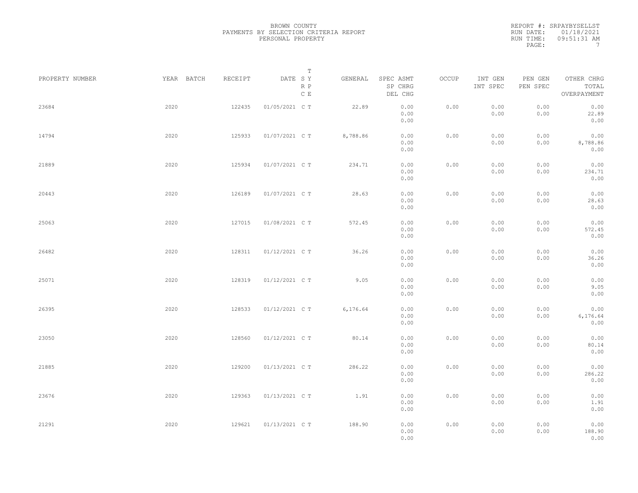|                 |            |         | Т                               |           |                                 |       |                     |                     |                                    |  |
|-----------------|------------|---------|---------------------------------|-----------|---------------------------------|-------|---------------------|---------------------|------------------------------------|--|
| PROPERTY NUMBER | YEAR BATCH | RECEIPT | DATE SY<br>R P<br>$\,$ C $\,$ E | GENERAL   | SPEC ASMT<br>SP CHRG<br>DEL CHG | OCCUP | INT GEN<br>INT SPEC | PEN GEN<br>PEN SPEC | OTHER CHRG<br>TOTAL<br>OVERPAYMENT |  |
| 23684           | 2020       | 122435  | 01/05/2021 C T                  | 22.89     | 0.00<br>0.00<br>0.00            | 0.00  | 0.00<br>0.00        | 0.00<br>0.00        | 0.00<br>22.89<br>0.00              |  |
| 14794           | 2020       | 125933  | 01/07/2021 C T                  | 8,788.86  | 0.00<br>0.00<br>0.00            | 0.00  | 0.00<br>0.00        | 0.00<br>0.00        | 0.00<br>8,788.86<br>0.00           |  |
| 21889           | 2020       | 125934  | 01/07/2021 C T                  | 234.71    | 0.00<br>0.00<br>0.00            | 0.00  | 0.00<br>0.00        | 0.00<br>0.00        | 0.00<br>234.71<br>0.00             |  |
| 20443           | 2020       | 126189  | 01/07/2021 C T                  | 28.63     | 0.00<br>0.00<br>0.00            | 0.00  | 0.00<br>0.00        | 0.00<br>0.00        | 0.00<br>28.63<br>0.00              |  |
| 25063           | 2020       | 127015  | 01/08/2021 C T                  | 572.45    | 0.00<br>0.00<br>0.00            | 0.00  | 0.00<br>0.00        | 0.00<br>0.00        | 0.00<br>572.45<br>0.00             |  |
| 26482           | 2020       | 128311  | 01/12/2021 C T                  | 36.26     | 0.00<br>0.00<br>0.00            | 0.00  | 0.00<br>0.00        | 0.00<br>0.00        | 0.00<br>36.26<br>0.00              |  |
| 25071           | 2020       | 128319  | 01/12/2021 C T                  | 9.05      | 0.00<br>0.00<br>0.00            | 0.00  | 0.00<br>0.00        | 0.00<br>0.00        | 0.00<br>9.05<br>0.00               |  |
| 26395           | 2020       | 128533  | 01/12/2021 C T                  | 6, 176.64 | 0.00<br>0.00<br>0.00            | 0.00  | 0.00<br>0.00        | 0.00<br>0.00        | 0.00<br>6,176.64<br>0.00           |  |
| 23050           | 2020       | 128560  | 01/12/2021 C T                  | 80.14     | 0.00<br>0.00<br>0.00            | 0.00  | 0.00<br>0.00        | 0.00<br>0.00        | 0.00<br>80.14<br>0.00              |  |
| 21885           | 2020       | 129200  | 01/13/2021 C T                  | 286.22    | 0.00<br>0.00<br>0.00            | 0.00  | 0.00<br>0.00        | 0.00<br>0.00        | 0.00<br>286.22<br>0.00             |  |
| 23676           | 2020       | 129363  | 01/13/2021 C T                  | 1.91      | 0.00<br>0.00<br>0.00            | 0.00  | 0.00<br>0.00        | 0.00<br>0.00        | 0.00<br>1.91<br>0.00               |  |
| 21291           | 2020       | 129621  | 01/13/2021 C T                  | 188.90    | 0.00<br>0.00<br>0.00            | 0.00  | 0.00<br>0.00        | 0.00<br>0.00        | 0.00<br>188.90<br>0.00             |  |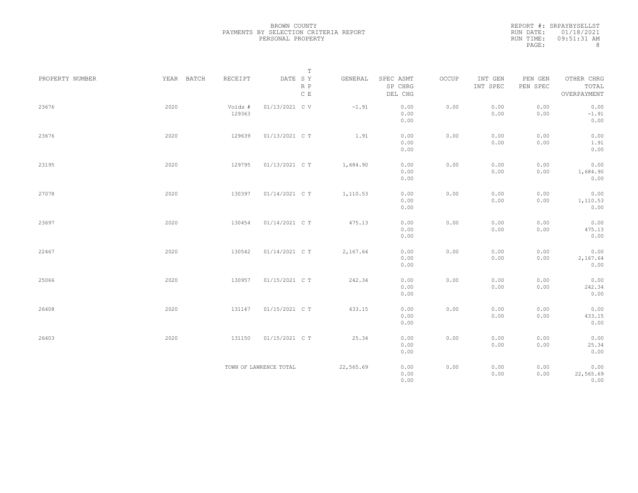|                 |            |                   | $\mathbb T$                         |           |                                 |       |                     |                     |                                    |
|-----------------|------------|-------------------|-------------------------------------|-----------|---------------------------------|-------|---------------------|---------------------|------------------------------------|
| PROPERTY NUMBER | YEAR BATCH | RECEIPT           | DATE SY<br>$R$ $P$<br>$\,$ C $\,$ E | GENERAL   | SPEC ASMT<br>SP CHRG<br>DEL CHG | OCCUP | INT GEN<br>INT SPEC | PEN GEN<br>PEN SPEC | OTHER CHRG<br>TOTAL<br>OVERPAYMENT |
| 23676           | 2020       | Voids #<br>129363 | 01/13/2021 C V                      | $-1.91$   | 0.00<br>0.00<br>0.00            | 0.00  | 0.00<br>0.00        | 0.00<br>0.00        | 0.00<br>$-1.91$<br>0.00            |
| 23676           | 2020       | 129639            | 01/13/2021 C T                      | 1.91      | 0.00<br>0.00<br>0.00            | 0.00  | 0.00<br>0.00        | 0.00<br>0.00        | 0.00<br>1.91<br>0.00               |
| 23195           | 2020       | 129795            | 01/13/2021 C T                      | 1,684.90  | 0.00<br>0.00<br>0.00            | 0.00  | 0.00<br>0.00        | 0.00<br>0.00        | 0.00<br>1,684.90<br>0.00           |
| 27078           | 2020       | 130397            | 01/14/2021 C T                      | 1,110.53  | 0.00<br>0.00<br>0.00            | 0.00  | 0.00<br>0.00        | 0.00<br>0.00        | 0.00<br>1,110.53<br>0.00           |
| 23697           | 2020       | 130454            | 01/14/2021 C T                      | 475.13    | 0.00<br>0.00<br>0.00            | 0.00  | 0.00<br>0.00        | 0.00<br>0.00        | 0.00<br>475.13<br>0.00             |
| 22467           | 2020       | 130542            | 01/14/2021 C T                      | 2,167.64  | 0.00<br>0.00<br>0.00            | 0.00  | 0.00<br>0.00        | 0.00<br>0.00        | 0.00<br>2,167.64<br>0.00           |
| 25066           | 2020       | 130957            | 01/15/2021 C T                      | 242.34    | 0.00<br>0.00<br>0.00            | 0.00  | 0.00<br>0.00        | 0.00<br>0.00        | 0.00<br>242.34<br>0.00             |
| 26408           | 2020       | 131147            | 01/15/2021 C T                      | 433.15    | 0.00<br>0.00<br>0.00            | 0.00  | 0.00<br>0.00        | 0.00<br>0.00        | 0.00<br>433.15<br>0.00             |
| 26403           | 2020       | 131150            | 01/15/2021 C T                      | 25.34     | 0.00<br>0.00<br>0.00            | 0.00  | 0.00<br>0.00        | 0.00<br>0.00        | 0.00<br>25.34<br>0.00              |
|                 |            |                   | TOWN OF LAWRENCE TOTAL              | 22,565.69 | 0.00<br>0.00<br>0.00            | 0.00  | 0.00<br>0.00        | 0.00<br>0.00        | 0.00<br>22,565.69<br>0.00          |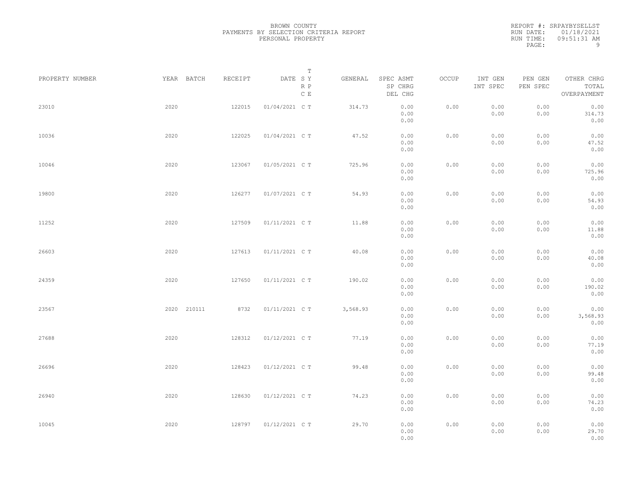|                 |             |         | $\mathbb T$                     |          |                                 |       |                     |                     |                                    |  |
|-----------------|-------------|---------|---------------------------------|----------|---------------------------------|-------|---------------------|---------------------|------------------------------------|--|
| PROPERTY NUMBER | YEAR BATCH  | RECEIPT | DATE SY<br>R P<br>$\mathbb C$ E | GENERAL  | SPEC ASMT<br>SP CHRG<br>DEL CHG | OCCUP | INT GEN<br>INT SPEC | PEN GEN<br>PEN SPEC | OTHER CHRG<br>TOTAL<br>OVERPAYMENT |  |
| 23010           | 2020        | 122015  | 01/04/2021 C T                  | 314.73   | 0.00<br>0.00<br>0.00            | 0.00  | 0.00<br>0.00        | 0.00<br>0.00        | 0.00<br>314.73<br>0.00             |  |
| 10036           | 2020        | 122025  | 01/04/2021 C T                  | 47.52    | 0.00<br>0.00<br>0.00            | 0.00  | 0.00<br>0.00        | 0.00<br>0.00        | 0.00<br>47.52<br>0.00              |  |
| 10046           | 2020        | 123067  | 01/05/2021 C T                  | 725.96   | 0.00<br>0.00<br>0.00            | 0.00  | 0.00<br>0.00        | 0.00<br>0.00        | 0.00<br>725.96<br>0.00             |  |
| 19800           | 2020        | 126277  | 01/07/2021 C T                  | 54.93    | 0.00<br>0.00<br>0.00            | 0.00  | 0.00<br>0.00        | 0.00<br>0.00        | 0.00<br>54.93<br>0.00              |  |
| 11252           | 2020        | 127509  | 01/11/2021 C T                  | 11.88    | 0.00<br>0.00<br>0.00            | 0.00  | 0.00<br>0.00        | 0.00<br>0.00        | 0.00<br>11.88<br>0.00              |  |
| 26603           | 2020        | 127613  | 01/11/2021 C T                  | 40.08    | 0.00<br>0.00<br>0.00            | 0.00  | 0.00<br>0.00        | 0.00<br>0.00        | 0.00<br>40.08<br>0.00              |  |
| 24359           | 2020        | 127650  | 01/11/2021 C T                  | 190.02   | 0.00<br>0.00<br>0.00            | 0.00  | 0.00<br>0.00        | 0.00<br>0.00        | 0.00<br>190.02<br>0.00             |  |
| 23567           | 2020 210111 | 8732    | 01/11/2021 C T                  | 3,568.93 | 0.00<br>0.00<br>0.00            | 0.00  | 0.00<br>0.00        | 0.00<br>0.00        | 0.00<br>3,568.93<br>0.00           |  |
| 27688           | 2020        | 128312  | 01/12/2021 C T                  | 77.19    | 0.00<br>0.00<br>0.00            | 0.00  | 0.00<br>0.00        | 0.00<br>0.00        | 0.00<br>77.19<br>0.00              |  |
| 26696           | 2020        | 128423  | 01/12/2021 C T                  | 99.48    | 0.00<br>0.00<br>0.00            | 0.00  | 0.00<br>0.00        | 0.00<br>0.00        | 0.00<br>99.48<br>0.00              |  |
| 26940           | 2020        | 128630  | 01/12/2021 C T                  | 74.23    | 0.00<br>0.00<br>0.00            | 0.00  | 0.00<br>0.00        | 0.00<br>0.00        | 0.00<br>74.23<br>0.00              |  |
| 10045           | 2020        | 128797  | 01/12/2021 C T                  | 29.70    | 0.00<br>0.00<br>0.00            | 0.00  | 0.00<br>0.00        | 0.00<br>0.00        | 0.00<br>29.70<br>0.00              |  |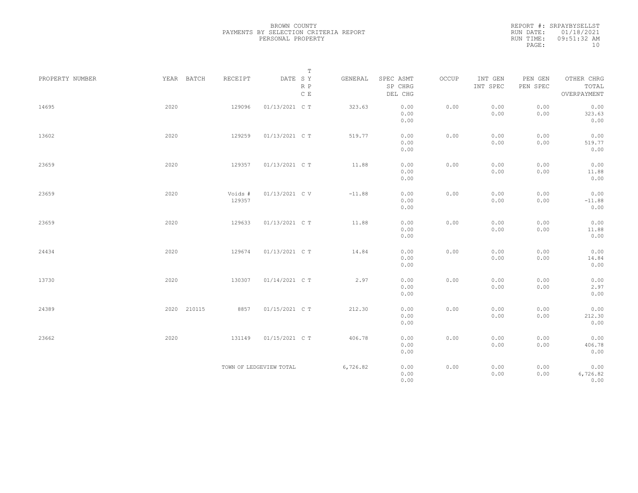|                 |             |                   | $\mathbb T$               |          |                                 |       |                     |                     |                                    |
|-----------------|-------------|-------------------|---------------------------|----------|---------------------------------|-------|---------------------|---------------------|------------------------------------|
| PROPERTY NUMBER | YEAR BATCH  | RECEIPT           | DATE SY<br>$R$ $P$<br>C E | GENERAL  | SPEC ASMT<br>SP CHRG<br>DEL CHG | OCCUP | INT GEN<br>INT SPEC | PEN GEN<br>PEN SPEC | OTHER CHRG<br>TOTAL<br>OVERPAYMENT |
| 14695           | 2020        | 129096            | 01/13/2021 C T            | 323.63   | 0.00<br>0.00<br>0.00            | 0.00  | 0.00<br>0.00        | 0.00<br>0.00        | 0.00<br>323.63<br>0.00             |
| 13602           | 2020        | 129259            | 01/13/2021 C T            | 519.77   | 0.00<br>0.00<br>0.00            | 0.00  | 0.00<br>0.00        | 0.00<br>0.00        | 0.00<br>519.77<br>0.00             |
| 23659           | 2020        | 129357            | 01/13/2021 C T            | 11.88    | 0.00<br>0.00<br>0.00            | 0.00  | 0.00<br>0.00        | 0.00<br>0.00        | 0.00<br>11.88<br>0.00              |
| 23659           | 2020        | Voids #<br>129357 | 01/13/2021 C V            | $-11.88$ | 0.00<br>0.00<br>0.00            | 0.00  | 0.00<br>0.00        | 0.00<br>0.00        | 0.00<br>$-11.88$<br>0.00           |
| 23659           | 2020        | 129633            | 01/13/2021 C T            | 11.88    | 0.00<br>0.00<br>0.00            | 0.00  | 0.00<br>0.00        | 0.00<br>0.00        | 0.00<br>11.88<br>0.00              |
| 24434           | 2020        | 129674            | 01/13/2021 C T            | 14.84    | 0.00<br>0.00<br>0.00            | 0.00  | 0.00<br>0.00        | 0.00<br>0.00        | 0.00<br>14.84<br>0.00              |
| 13730           | 2020        | 130307            | 01/14/2021 C T            | 2.97     | 0.00<br>0.00<br>0.00            | 0.00  | 0.00<br>0.00        | 0.00<br>0.00        | 0.00<br>2.97<br>0.00               |
| 24389           | 2020 210115 | 8857              | 01/15/2021 C T            | 212.30   | 0.00<br>0.00<br>0.00            | 0.00  | 0.00<br>0.00        | 0.00<br>0.00        | 0.00<br>212.30<br>0.00             |
| 23662           | 2020        | 131149            | 01/15/2021 C T            | 406.78   | 0.00<br>0.00<br>0.00            | 0.00  | 0.00<br>0.00        | 0.00<br>0.00        | 0.00<br>406.78<br>0.00             |
|                 |             |                   | TOWN OF LEDGEVIEW TOTAL   | 6,726.82 | 0.00<br>0.00<br>0.00            | 0.00  | 0.00<br>0.00        | 0.00<br>0.00        | 0.00<br>6,726.82<br>0.00           |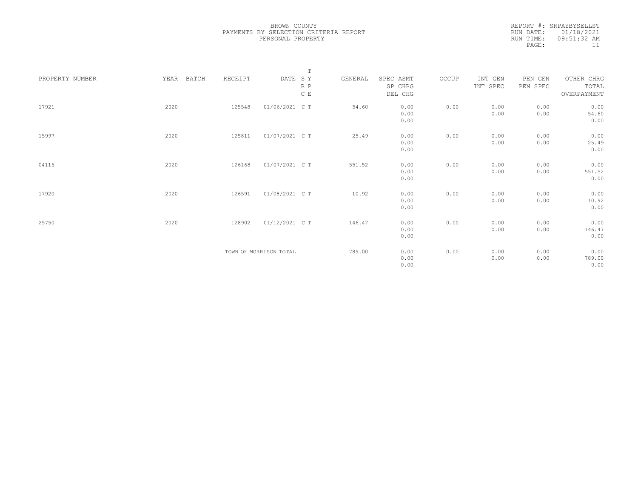|                 |            |         |                        | $\mathbb T$ |         |           |       |          |          |             |
|-----------------|------------|---------|------------------------|-------------|---------|-----------|-------|----------|----------|-------------|
| PROPERTY NUMBER | YEAR BATCH | RECEIPT | DATE SY                |             | GENERAL | SPEC ASMT | OCCUP | INT GEN  | PEN GEN  | OTHER CHRG  |
|                 |            |         |                        | R P         |         | SP CHRG   |       | INT SPEC | PEN SPEC | TOTAL       |
|                 |            |         |                        | C E         |         | DEL CHG   |       |          |          | OVERPAYMENT |
|                 |            |         |                        |             |         |           |       |          |          |             |
| 17921           | 2020       | 125548  | 01/06/2021 C T         |             | 54.60   | 0.00      | 0.00  | 0.00     | 0.00     | 0.00        |
|                 |            |         |                        |             |         | 0.00      |       | 0.00     | 0.00     | 54.60       |
|                 |            |         |                        |             |         | 0.00      |       |          |          | 0.00        |
|                 |            |         |                        |             |         |           |       |          |          |             |
| 15997           | 2020       | 125811  | 01/07/2021 C T         |             | 25.49   | 0.00      | 0.00  | 0.00     | 0.00     | 0.00        |
|                 |            |         |                        |             |         | 0.00      |       | 0.00     | 0.00     | 25.49       |
|                 |            |         |                        |             |         | 0.00      |       |          |          | 0.00        |
|                 |            |         |                        |             |         |           |       |          |          |             |
| 04116           | 2020       | 126168  | 01/07/2021 C T         |             | 551.52  | 0.00      | 0.00  | 0.00     | 0.00     | 0.00        |
|                 |            |         |                        |             |         | 0.00      |       | 0.00     | 0.00     | 551.52      |
|                 |            |         |                        |             |         | 0.00      |       |          |          | 0.00        |
|                 |            |         |                        |             |         |           |       |          |          |             |
| 17920           | 2020       | 126591  | 01/08/2021 C T         |             | 10.92   | 0.00      | 0.00  | 0.00     | 0.00     | 0.00        |
|                 |            |         |                        |             |         | 0.00      |       | 0.00     | 0.00     | 10.92       |
|                 |            |         |                        |             |         | 0.00      |       |          |          | 0.00        |
|                 |            |         |                        |             |         |           |       |          |          |             |
| 25750           | 2020       | 128902  | 01/12/2021 C T         |             | 146.47  | 0.00      | 0.00  | 0.00     | 0.00     | 0.00        |
|                 |            |         |                        |             |         | 0.00      |       | 0.00     | 0.00     | 146.47      |
|                 |            |         |                        |             |         | 0.00      |       |          |          | 0.00        |
|                 |            |         |                        |             |         |           |       |          |          |             |
|                 |            |         | TOWN OF MORRISON TOTAL |             | 789.00  | 0.00      | 0.00  | 0.00     | 0.00     | 0.00        |
|                 |            |         |                        |             |         | 0.00      |       | 0.00     | 0.00     | 789.00      |
|                 |            |         |                        |             |         | 0.00      |       |          |          | 0.00        |
|                 |            |         |                        |             |         |           |       |          |          |             |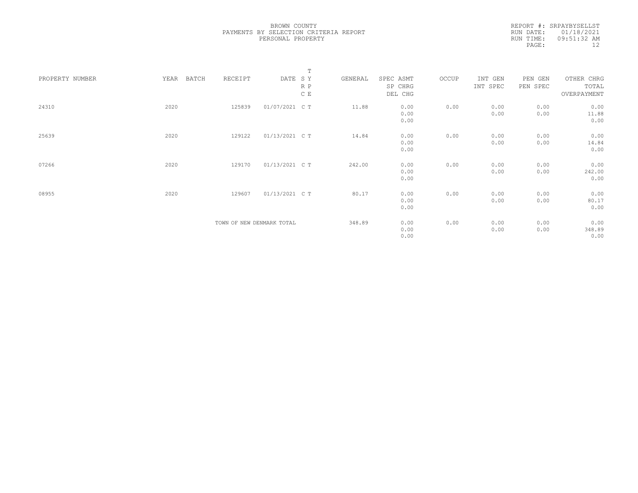|                 |      |       |                           |                | $\mathbb T$   |         |           |       |          |          |             |  |
|-----------------|------|-------|---------------------------|----------------|---------------|---------|-----------|-------|----------|----------|-------------|--|
| PROPERTY NUMBER | YEAR | BATCH | RECEIPT                   | DATE SY        |               | GENERAL | SPEC ASMT | OCCUP | INT GEN  | PEN GEN  | OTHER CHRG  |  |
|                 |      |       |                           |                | R P           |         | SP CHRG   |       | INT SPEC | PEN SPEC | TOTAL       |  |
|                 |      |       |                           |                | $\mathbb C$ E |         | DEL CHG   |       |          |          | OVERPAYMENT |  |
| 24310           | 2020 |       | 125839                    | 01/07/2021 C T |               | 11.88   | 0.00      | 0.00  | 0.00     | 0.00     | 0.00        |  |
|                 |      |       |                           |                |               |         | 0.00      |       | 0.00     | 0.00     | 11.88       |  |
|                 |      |       |                           |                |               |         | 0.00      |       |          |          | 0.00        |  |
| 25639           | 2020 |       | 129122                    | 01/13/2021 C T |               | 14.84   | 0.00      | 0.00  | 0.00     | 0.00     | 0.00        |  |
|                 |      |       |                           |                |               |         | 0.00      |       | 0.00     | 0.00     | 14.84       |  |
|                 |      |       |                           |                |               |         | 0.00      |       |          |          | 0.00        |  |
| 07266           | 2020 |       | 129170                    | 01/13/2021 C T |               | 242.00  | 0.00      | 0.00  | 0.00     | 0.00     | 0.00        |  |
|                 |      |       |                           |                |               |         | 0.00      |       | 0.00     | 0.00     | 242.00      |  |
|                 |      |       |                           |                |               |         | 0.00      |       |          |          | 0.00        |  |
| 08955           | 2020 |       | 129607                    | 01/13/2021 C T |               | 80.17   | 0.00      | 0.00  | 0.00     | 0.00     | 0.00        |  |
|                 |      |       |                           |                |               |         | 0.00      |       | 0.00     | 0.00     | 80.17       |  |
|                 |      |       |                           |                |               |         | 0.00      |       |          |          | 0.00        |  |
|                 |      |       |                           |                |               |         |           |       |          |          |             |  |
|                 |      |       | TOWN OF NEW DENMARK TOTAL |                |               | 348.89  | 0.00      | 0.00  | 0.00     | 0.00     | 0.00        |  |
|                 |      |       |                           |                |               |         | 0.00      |       | 0.00     | 0.00     | 348.89      |  |
|                 |      |       |                           |                |               |         | 0.00      |       |          |          | 0.00        |  |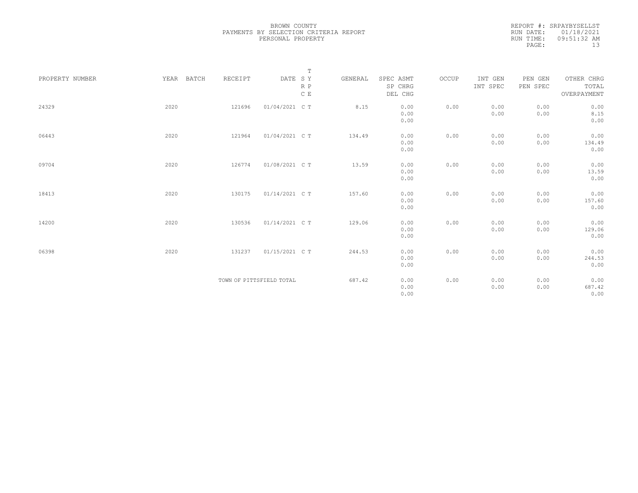|                 |            |         | $\mathbb T$              |         |                      |       |                     |                     |                     |
|-----------------|------------|---------|--------------------------|---------|----------------------|-------|---------------------|---------------------|---------------------|
| PROPERTY NUMBER | YEAR BATCH | RECEIPT | DATE SY<br>R P           | GENERAL | SPEC ASMT<br>SP CHRG | OCCUP | INT GEN<br>INT SPEC | PEN GEN<br>PEN SPEC | OTHER CHRG<br>TOTAL |
|                 |            |         | $\,$ C $\,$ E            |         | DEL CHG              |       |                     |                     | OVERPAYMENT         |
| 24329           | 2020       | 121696  | 01/04/2021 C T           | 8.15    | 0.00                 | 0.00  | 0.00                | 0.00                | 0.00                |
|                 |            |         |                          |         | 0.00                 |       | 0.00                | 0.00                | 8.15                |
|                 |            |         |                          |         | 0.00                 |       |                     |                     | 0.00                |
| 06443           | 2020       | 121964  | 01/04/2021 C T           | 134.49  | 0.00                 | 0.00  | 0.00                | 0.00                | 0.00                |
|                 |            |         |                          |         | 0.00                 |       | 0.00                | 0.00                | 134.49              |
|                 |            |         |                          |         | 0.00                 |       |                     |                     | 0.00                |
| 09704           | 2020       | 126774  | 01/08/2021 C T           | 13.59   | 0.00                 | 0.00  | 0.00                | 0.00                | 0.00                |
|                 |            |         |                          |         | 0.00                 |       | 0.00                | 0.00                | 13.59               |
|                 |            |         |                          |         | 0.00                 |       |                     |                     | 0.00                |
| 18413           | 2020       | 130175  | 01/14/2021 C T           | 157.60  | 0.00                 | 0.00  | 0.00                | 0.00                | 0.00                |
|                 |            |         |                          |         | 0.00                 |       | 0.00                | 0.00                | 157.60              |
|                 |            |         |                          |         | 0.00                 |       |                     |                     | 0.00                |
| 14200           | 2020       | 130536  | 01/14/2021 C T           | 129.06  | 0.00                 | 0.00  | 0.00                | 0.00                | 0.00                |
|                 |            |         |                          |         | 0.00                 |       | 0.00                | 0.00                | 129.06              |
|                 |            |         |                          |         | 0.00                 |       |                     |                     | 0.00                |
| 06398           | 2020       | 131237  | 01/15/2021 C T           | 244.53  | 0.00                 | 0.00  | 0.00                | 0.00                | 0.00                |
|                 |            |         |                          |         | 0.00                 |       | 0.00                | 0.00                | 244.53              |
|                 |            |         |                          |         | 0.00                 |       |                     |                     | 0.00                |
|                 |            |         | TOWN OF PITTSFIELD TOTAL | 687.42  | 0.00                 | 0.00  | 0.00                | 0.00                | 0.00                |
|                 |            |         |                          |         | 0.00                 |       | 0.00                | 0.00                | 687.42              |
|                 |            |         |                          |         | 0.00                 |       |                     |                     | 0.00                |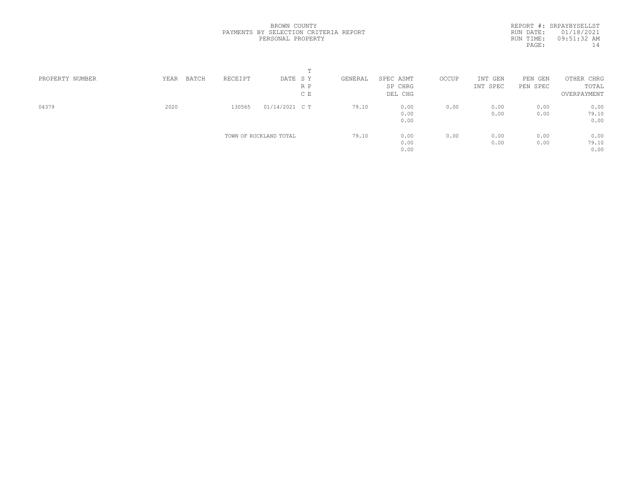|                 |               |         |                        | m   |         |           |       |          |            |             |  |
|-----------------|---------------|---------|------------------------|-----|---------|-----------|-------|----------|------------|-------------|--|
| PROPERTY NUMBER | YEAR<br>BATCH | RECEIPT | DATE SY                |     | GENERAL | SPEC ASMT | OCCUP | INT GEN  | PEN<br>GEN | OTHER CHRG  |  |
|                 |               |         |                        | R P |         | SP CHRG   |       | INT SPEC | PEN SPEC   | TOTAL       |  |
|                 |               |         |                        | C E |         | DEL CHG   |       |          |            | OVERPAYMENT |  |
| 04379           | 2020          | 130565  | 01/14/2021 C T         |     | 79.10   | 0.00      | 0.00  | 0.00     | 0.00       | 0.00        |  |
|                 |               |         |                        |     |         | 0.00      |       | 0.00     | 0.00       | 79.10       |  |
|                 |               |         |                        |     |         | 0.00      |       |          |            | 0.00        |  |
|                 |               |         | TOWN OF ROCKLAND TOTAL |     | 79.10   | 0.00      | 0.00  | 0.00     | 0.00       | 0.00        |  |
|                 |               |         |                        |     |         | 0.00      |       | 0.00     | 0.00       | 79.10       |  |
|                 |               |         |                        |     |         | 0.00      |       |          |            | 0.00        |  |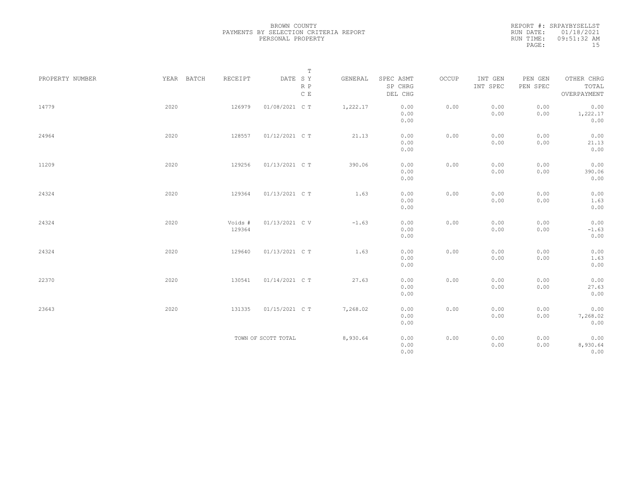|                 |            |                   | $\mathbb T$                     |          |                                 |       |                     |                     |                                    |
|-----------------|------------|-------------------|---------------------------------|----------|---------------------------------|-------|---------------------|---------------------|------------------------------------|
| PROPERTY NUMBER | YEAR BATCH | RECEIPT           | DATE SY<br>R P<br>$\,$ C $\,$ E | GENERAL  | SPEC ASMT<br>SP CHRG<br>DEL CHG | OCCUP | INT GEN<br>INT SPEC | PEN GEN<br>PEN SPEC | OTHER CHRG<br>TOTAL<br>OVERPAYMENT |
| 14779           | 2020       | 126979            | 01/08/2021 C T                  | 1,222.17 | 0.00<br>0.00<br>0.00            | 0.00  | 0.00<br>0.00        | 0.00<br>0.00        | 0.00<br>1,222.17<br>0.00           |
| 24964           | 2020       | 128557            | 01/12/2021 C T                  | 21.13    | 0.00<br>0.00<br>0.00            | 0.00  | 0.00<br>0.00        | 0.00<br>0.00        | 0.00<br>21.13<br>0.00              |
| 11209           | 2020       | 129256            | 01/13/2021 C T                  | 390.06   | 0.00<br>0.00<br>0.00            | 0.00  | 0.00<br>0.00        | 0.00<br>0.00        | 0.00<br>390.06<br>0.00             |
| 24324           | 2020       | 129364            | 01/13/2021 C T                  | 1.63     | 0.00<br>0.00<br>0.00            | 0.00  | 0.00<br>0.00        | 0.00<br>0.00        | 0.00<br>1.63<br>0.00               |
| 24324           | 2020       | Voids #<br>129364 | 01/13/2021 C V                  | $-1.63$  | 0.00<br>0.00<br>0.00            | 0.00  | 0.00<br>0.00        | 0.00<br>0.00        | 0.00<br>$-1.63$<br>0.00            |
| 24324           | 2020       | 129640            | 01/13/2021 C T                  | 1.63     | 0.00<br>0.00<br>0.00            | 0.00  | 0.00<br>0.00        | 0.00<br>0.00        | 0.00<br>1.63<br>0.00               |
| 22370           | 2020       | 130541            | 01/14/2021 C T                  | 27.63    | 0.00<br>0.00<br>0.00            | 0.00  | 0.00<br>0.00        | 0.00<br>0.00        | 0.00<br>27.63<br>0.00              |
| 23643           | 2020       | 131335            | 01/15/2021 C T                  | 7,268.02 | 0.00<br>0.00<br>0.00            | 0.00  | 0.00<br>0.00        | 0.00<br>0.00        | 0.00<br>7,268.02<br>0.00           |
|                 |            |                   | TOWN OF SCOTT TOTAL             | 8,930.64 | 0.00<br>0.00<br>0.00            | 0.00  | 0.00<br>0.00        | 0.00<br>0.00        | 0.00<br>8,930.64<br>0.00           |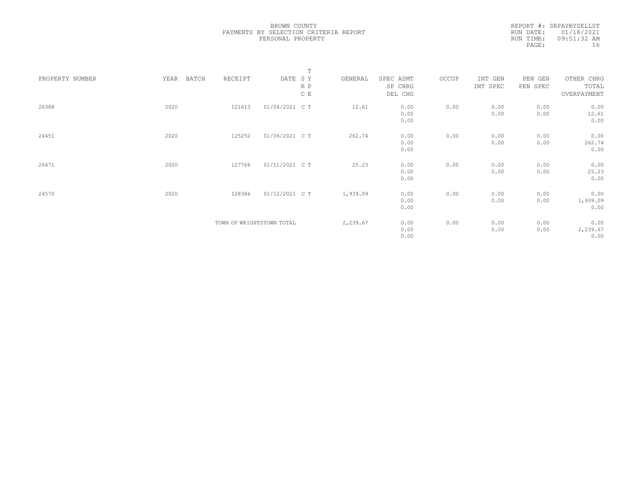|                 |      |       |                           |                | $\mathbb T$ |          |           |       |          |          |             |  |
|-----------------|------|-------|---------------------------|----------------|-------------|----------|-----------|-------|----------|----------|-------------|--|
| PROPERTY NUMBER | YEAR | BATCH | RECEIPT                   | DATE SY        |             | GENERAL  | SPEC ASMT | OCCUP | INT GEN  | PEN GEN  | OTHER CHRG  |  |
|                 |      |       |                           |                | R P         |          | SP CHRG   |       | INT SPEC | PEN SPEC | TOTAL       |  |
|                 |      |       |                           |                | C E         |          | DEL CHG   |       |          |          | OVERPAYMENT |  |
|                 |      |       |                           |                |             |          |           |       |          |          |             |  |
| 26388           | 2020 |       | 121613                    | 01/04/2021 C T |             | 12.61    | 0.00      | 0.00  | 0.00     | 0.00     | 0.00        |  |
|                 |      |       |                           |                |             |          | 0.00      |       | 0.00     | 0.00     | 12.61       |  |
|                 |      |       |                           |                |             |          | 0.00      |       |          |          | 0.00        |  |
|                 |      |       |                           |                |             |          |           |       |          |          |             |  |
| 24451           | 2020 |       | 125252                    | 01/06/2021 C T |             | 262.74   | 0.00      | 0.00  | 0.00     | 0.00     | 0.00        |  |
|                 |      |       |                           |                |             |          | 0.00      |       | 0.00     | 0.00     | 262.74      |  |
|                 |      |       |                           |                |             |          | 0.00      |       |          |          | 0.00        |  |
|                 |      |       |                           |                |             |          |           |       |          |          |             |  |
| 26471           | 2020 |       | 127766                    | 01/11/2021 C T |             | 25.23    | 0.00      | 0.00  | 0.00     | 0.00     | 0.00        |  |
|                 |      |       |                           |                |             |          | 0.00      |       | 0.00     | 0.00     | 25.23       |  |
|                 |      |       |                           |                |             |          | 0.00      |       |          |          | 0.00        |  |
|                 |      |       |                           |                |             |          |           |       |          |          |             |  |
| 24570           | 2020 |       | 128386                    | 01/12/2021 C T |             | 1,939.09 | 0.00      | 0.00  | 0.00     | 0.00     | 0.00        |  |
|                 |      |       |                           |                |             |          | 0.00      |       | 0.00     | 0.00     | 1,939.09    |  |
|                 |      |       |                           |                |             |          | 0.00      |       |          |          | 0.00        |  |
|                 |      |       | TOWN OF WRIGHTSTOWN TOTAL |                |             | 2,239.67 | 0.00      | 0.00  | 0.00     | 0.00     | 0.00        |  |
|                 |      |       |                           |                |             |          | 0.00      |       | 0.00     | 0.00     | 2,239.67    |  |
|                 |      |       |                           |                |             |          | 0.00      |       |          |          | 0.00        |  |
|                 |      |       |                           |                |             |          |           |       |          |          |             |  |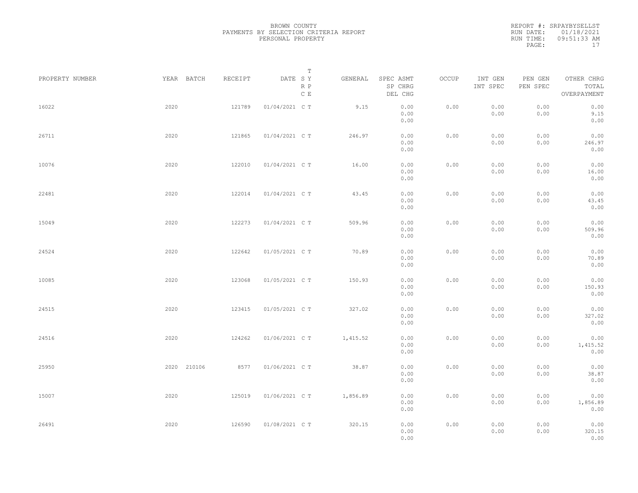| PROPERTY NUMBER |      | YEAR BATCH  | RECEIPT | DATE SY        | $\mathbb T$<br>R P | GENERAL  | SPEC ASMT<br>SP CHRG | OCCUP | INT GEN<br>INT SPEC | PEN GEN<br>PEN SPEC | OTHER CHRG<br>TOTAL      |  |
|-----------------|------|-------------|---------|----------------|--------------------|----------|----------------------|-------|---------------------|---------------------|--------------------------|--|
|                 |      |             |         |                | $\mathbb C$ E      |          | DEL CHG              |       |                     |                     | OVERPAYMENT              |  |
| 16022           | 2020 |             | 121789  | 01/04/2021 C T |                    | 9.15     | 0.00<br>0.00<br>0.00 | 0.00  | 0.00<br>0.00        | 0.00<br>0.00        | 0.00<br>9.15<br>0.00     |  |
| 26711           | 2020 |             | 121865  | 01/04/2021 C T |                    | 246.97   | 0.00<br>0.00<br>0.00 | 0.00  | 0.00<br>0.00        | 0.00<br>0.00        | 0.00<br>246.97<br>0.00   |  |
| 10076           | 2020 |             | 122010  | 01/04/2021 C T |                    | 16.00    | 0.00<br>0.00<br>0.00 | 0.00  | 0.00<br>0.00        | 0.00<br>0.00        | 0.00<br>16.00<br>0.00    |  |
| 22481           | 2020 |             | 122014  | 01/04/2021 C T |                    | 43.45    | 0.00<br>0.00<br>0.00 | 0.00  | 0.00<br>0.00        | 0.00<br>0.00        | 0.00<br>43.45<br>0.00    |  |
| 15049           | 2020 |             | 122273  | 01/04/2021 C T |                    | 509.96   | 0.00<br>0.00<br>0.00 | 0.00  | 0.00<br>0.00        | 0.00<br>0.00        | 0.00<br>509.96<br>0.00   |  |
| 24524           | 2020 |             | 122642  | 01/05/2021 C T |                    | 70.89    | 0.00<br>0.00<br>0.00 | 0.00  | 0.00<br>0.00        | 0.00<br>0.00        | 0.00<br>70.89<br>0.00    |  |
| 10085           | 2020 |             | 123068  | 01/05/2021 C T |                    | 150.93   | 0.00<br>0.00<br>0.00 | 0.00  | 0.00<br>0.00        | 0.00<br>0.00        | 0.00<br>150.93<br>0.00   |  |
| 24515           | 2020 |             | 123415  | 01/05/2021 C T |                    | 327.02   | 0.00<br>0.00<br>0.00 | 0.00  | 0.00<br>0.00        | 0.00<br>0.00        | 0.00<br>327.02<br>0.00   |  |
| 24516           | 2020 |             | 124262  | 01/06/2021 C T |                    | 1,415.52 | 0.00<br>0.00<br>0.00 | 0.00  | 0.00<br>0.00        | 0.00<br>0.00        | 0.00<br>1,415.52<br>0.00 |  |
| 25950           |      | 2020 210106 | 8577    | 01/06/2021 C T |                    | 38.87    | 0.00<br>0.00<br>0.00 | 0.00  | 0.00<br>0.00        | 0.00<br>0.00        | 0.00<br>38.87<br>0.00    |  |
| 15007           | 2020 |             | 125019  | 01/06/2021 C T |                    | 1,856.89 | 0.00<br>0.00<br>0.00 | 0.00  | 0.00<br>0.00        | 0.00<br>0.00        | 0.00<br>1,856.89<br>0.00 |  |
| 26491           | 2020 |             | 126590  | 01/08/2021 C T |                    | 320.15   | 0.00<br>0.00<br>0.00 | 0.00  | 0.00<br>0.00        | 0.00<br>0.00        | 0.00<br>320.15<br>0.00   |  |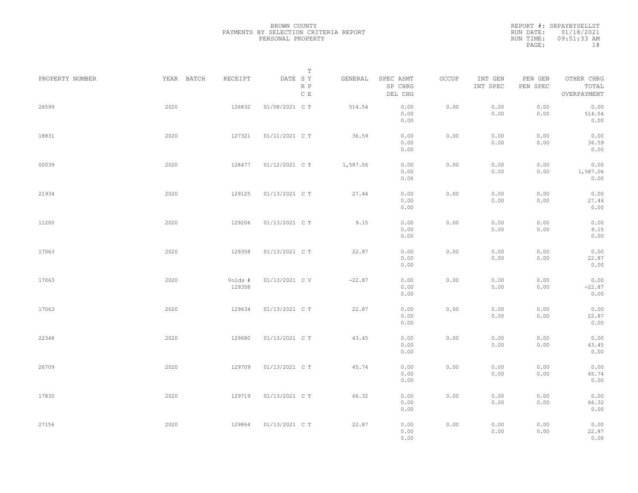|           | REPORT #: SRPAYBYSELLST |
|-----------|-------------------------|
|           | RUN DATE: 01/18/2021    |
| RUN TIME: | $09:51:33$ AM           |
| PAGE:     | 1 R                     |

|                 |            |                   | $\mathbb T$                     |          |                                 |       |                     |                     |                                    |  |
|-----------------|------------|-------------------|---------------------------------|----------|---------------------------------|-------|---------------------|---------------------|------------------------------------|--|
| PROPERTY NUMBER | YEAR BATCH | RECEIPT           | DATE SY<br>R P<br>$\mathbb C$ E | GENERAL  | SPEC ASMT<br>SP CHRG<br>DEL CHG | OCCUP | INT GEN<br>INT SPEC | PEN GEN<br>PEN SPEC | OTHER CHRG<br>TOTAL<br>OVERPAYMENT |  |
| 26599           | 2020       | 126832            | 01/08/2021 C T                  | 514.54   | 0.00<br>0.00<br>0.00            | 0.00  | 0.00<br>0.00        | 0.00<br>0.00        | 0.00<br>514.54<br>0.00             |  |
| 18831           | 2020       | 127321            | 01/11/2021 C T                  | 36.59    | 0.00<br>0.00<br>0.00            | 0.00  | 0.00<br>0.00        | 0.00<br>0.00        | 0.00<br>36.59<br>0.00              |  |
| 00039           | 2020       | 128477            | 01/12/2021 C T                  | 1,587.06 | 0.00<br>0.00<br>0.00            | 0.00  | 0.00<br>0.00        | 0.00<br>0.00        | 0.00<br>1,587.06<br>0.00           |  |
| 21934           | 2020       | 129125            | 01/13/2021 C T                  | 27.44    | 0.00<br>0.00<br>0.00            | 0.00  | 0.00<br>0.00        | 0.00<br>0.00        | 0.00<br>27.44<br>0.00              |  |
| 11200           | 2020       | 129206            | 01/13/2021 C T                  | 9.15     | 0.00<br>0.00<br>0.00            | 0.00  | 0.00<br>0.00        | 0.00<br>0.00        | 0.00<br>9.15<br>0.00               |  |
| 17063           | 2020       | 129358            | 01/13/2021 C T                  | 22.87    | 0.00<br>0.00<br>0.00            | 0.00  | 0.00<br>0.00        | 0.00<br>0.00        | 0.00<br>22.87<br>0.00              |  |
| 17063           | 2020       | Voids #<br>129358 | 01/13/2021 C V                  | $-22.87$ | 0.00<br>0.00<br>0.00            | 0.00  | 0.00<br>0.00        | 0.00<br>0.00        | 0.00<br>$-22.87$<br>0.00           |  |
| 17063           | 2020       | 129634            | 01/13/2021 C T                  | 22.87    | 0.00<br>0.00<br>0.00            | 0.00  | 0.00<br>0.00        | 0.00<br>0.00        | 0.00<br>22.87<br>0.00              |  |
| 22348           | 2020       | 129680            | 01/13/2021 C T                  | 43.45    | 0.00<br>0.00<br>0.00            | 0.00  | 0.00<br>0.00        | 0.00<br>0.00        | 0.00<br>43.45<br>0.00              |  |
| 26709           | 2020       | 129709            | 01/13/2021 C T                  | 45.74    | 0.00<br>0.00<br>0.00            | 0.00  | 0.00<br>0.00        | 0.00<br>0.00        | 0.00<br>45.74<br>0.00              |  |
| 17830           | 2020       | 129719            | 01/13/2021 C T                  | 66.32    | 0.00<br>0.00<br>0.00            | 0.00  | 0.00<br>0.00        | 0.00<br>0.00        | 0.00<br>66.32<br>0.00              |  |
| 27156           | 2020       | 129864            | 01/13/2021 C T                  | 22.87    | 0.00<br>0.00<br>0.00            | 0.00  | 0.00<br>0.00        | 0.00<br>0.00        | 0.00<br>22.87<br>0.00              |  |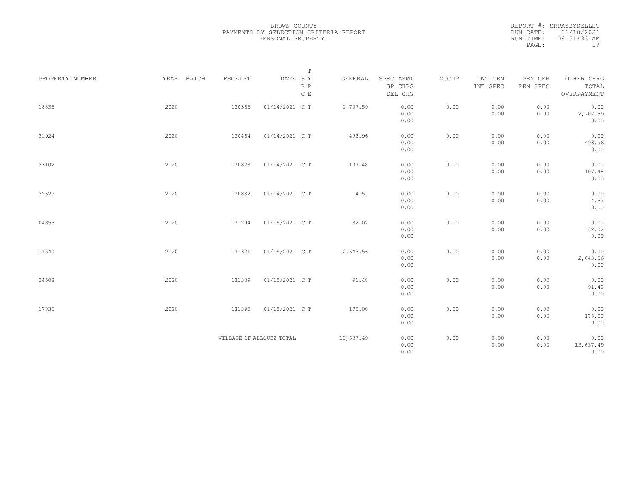|                 |            |         | $\mathbb T$                     |           |                                 |       |                     |                     |                                    |
|-----------------|------------|---------|---------------------------------|-----------|---------------------------------|-------|---------------------|---------------------|------------------------------------|
| PROPERTY NUMBER | YEAR BATCH | RECEIPT | DATE SY<br>R P<br>$\,$ C $\,$ E | GENERAL   | SPEC ASMT<br>SP CHRG<br>DEL CHG | OCCUP | INT GEN<br>INT SPEC | PEN GEN<br>PEN SPEC | OTHER CHRG<br>TOTAL<br>OVERPAYMENT |
| 18835           | 2020       | 130366  | 01/14/2021 C T                  | 2,707.59  | 0.00<br>0.00<br>0.00            | 0.00  | 0.00<br>0.00        | 0.00<br>0.00        | 0.00<br>2,707.59<br>0.00           |
| 21924           | 2020       | 130464  | 01/14/2021 C T                  | 493.96    | 0.00<br>0.00<br>0.00            | 0.00  | 0.00<br>0.00        | 0.00<br>0.00        | 0.00<br>493.96<br>0.00             |
| 23102           | 2020       | 130828  | 01/14/2021 C T                  | 107.48    | 0.00<br>0.00<br>0.00            | 0.00  | 0.00<br>0.00        | 0.00<br>0.00        | 0.00<br>107.48<br>0.00             |
| 22629           | 2020       | 130832  | 01/14/2021 C T                  | 4.57      | 0.00<br>0.00<br>0.00            | 0.00  | 0.00<br>0.00        | 0.00<br>0.00        | 0.00<br>4.57<br>0.00               |
| 04853           | 2020       | 131294  | 01/15/2021 C T                  | 32.02     | 0.00<br>0.00<br>0.00            | 0.00  | 0.00<br>0.00        | 0.00<br>0.00        | 0.00<br>32.02<br>0.00              |
| 14540           | 2020       | 131321  | 01/15/2021 C T                  | 2,643.56  | 0.00<br>0.00<br>0.00            | 0.00  | 0.00<br>0.00        | 0.00<br>0.00        | 0.00<br>2,643.56<br>0.00           |
| 24508           | 2020       | 131389  | 01/15/2021 C T                  | 91.48     | 0.00<br>0.00<br>0.00            | 0.00  | 0.00<br>0.00        | 0.00<br>0.00        | 0.00<br>91.48<br>0.00              |
| 17835           | 2020       | 131390  | 01/15/2021 C T                  | 175.00    | 0.00<br>0.00<br>0.00            | 0.00  | 0.00<br>0.00        | 0.00<br>0.00        | 0.00<br>175.00<br>0.00             |
|                 |            |         | VILLAGE OF ALLOUEZ TOTAL        | 13,637.49 | 0.00<br>0.00<br>0.00            | 0.00  | 0.00<br>0.00        | 0.00<br>0.00        | 0.00<br>13,637.49<br>0.00          |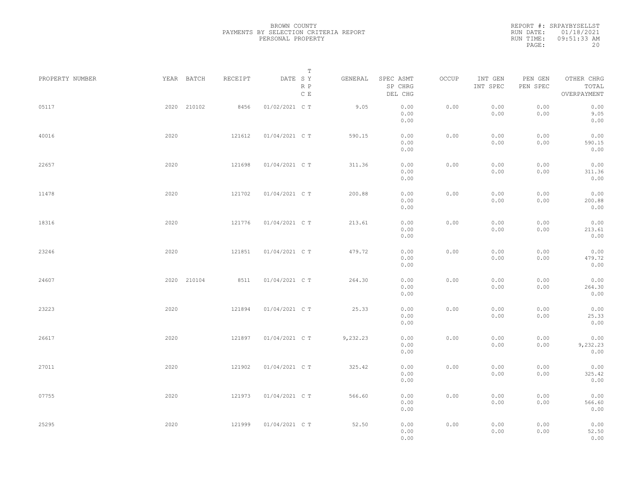| PROPERTY NUMBER |      | YEAR BATCH  | RECEIPT | DATE SY        | $\mathbb T$<br>R P | GENERAL  | SPEC ASMT<br>SP CHRG | OCCUP | INT GEN<br>INT SPEC | PEN GEN<br>PEN SPEC | OTHER CHRG<br>TOTAL      |  |
|-----------------|------|-------------|---------|----------------|--------------------|----------|----------------------|-------|---------------------|---------------------|--------------------------|--|
|                 |      |             |         |                | $\mathbb C$ E      |          | DEL CHG              |       |                     |                     | OVERPAYMENT              |  |
| 05117           |      | 2020 210102 | 8456    | 01/02/2021 C T |                    | 9.05     | 0.00<br>0.00<br>0.00 | 0.00  | 0.00<br>0.00        | 0.00<br>0.00        | 0.00<br>9.05<br>0.00     |  |
| 40016           | 2020 |             | 121612  | 01/04/2021 C T |                    | 590.15   | 0.00<br>0.00<br>0.00 | 0.00  | 0.00<br>0.00        | 0.00<br>0.00        | 0.00<br>590.15<br>0.00   |  |
| 22657           | 2020 |             | 121698  | 01/04/2021 C T |                    | 311.36   | 0.00<br>0.00<br>0.00 | 0.00  | 0.00<br>0.00        | 0.00<br>0.00        | 0.00<br>311.36<br>0.00   |  |
| 11478           | 2020 |             | 121702  | 01/04/2021 C T |                    | 200.88   | 0.00<br>0.00<br>0.00 | 0.00  | 0.00<br>0.00        | 0.00<br>0.00        | 0.00<br>200.88<br>0.00   |  |
| 18316           | 2020 |             | 121776  | 01/04/2021 C T |                    | 213.61   | 0.00<br>0.00<br>0.00 | 0.00  | 0.00<br>0.00        | 0.00<br>0.00        | 0.00<br>213.61<br>0.00   |  |
| 23246           | 2020 |             | 121851  | 01/04/2021 C T |                    | 479.72   | 0.00<br>0.00<br>0.00 | 0.00  | 0.00<br>0.00        | 0.00<br>0.00        | 0.00<br>479.72<br>0.00   |  |
| 24607           |      | 2020 210104 | 8511    | 01/04/2021 C T |                    | 264.30   | 0.00<br>0.00<br>0.00 | 0.00  | 0.00<br>0.00        | 0.00<br>0.00        | 0.00<br>264.30<br>0.00   |  |
| 23223           | 2020 |             | 121894  | 01/04/2021 C T |                    | 25.33    | 0.00<br>0.00<br>0.00 | 0.00  | 0.00<br>0.00        | 0.00<br>0.00        | 0.00<br>25.33<br>0.00    |  |
| 26617           | 2020 |             | 121897  | 01/04/2021 C T |                    | 9,232.23 | 0.00<br>0.00<br>0.00 | 0.00  | 0.00<br>0.00        | 0.00<br>0.00        | 0.00<br>9,232.23<br>0.00 |  |
| 27011           | 2020 |             | 121902  | 01/04/2021 C T |                    | 325.42   | 0.00<br>0.00<br>0.00 | 0.00  | 0.00<br>0.00        | 0.00<br>0.00        | 0.00<br>325.42<br>0.00   |  |
| 07755           | 2020 |             | 121973  | 01/04/2021 C T |                    | 566.60   | 0.00<br>0.00<br>0.00 | 0.00  | 0.00<br>0.00        | 0.00<br>0.00        | 0.00<br>566.60<br>0.00   |  |
| 25295           | 2020 |             | 121999  | 01/04/2021 C T |                    | 52.50    | 0.00<br>0.00<br>0.00 | 0.00  | 0.00<br>0.00        | 0.00<br>0.00        | 0.00<br>52.50<br>0.00    |  |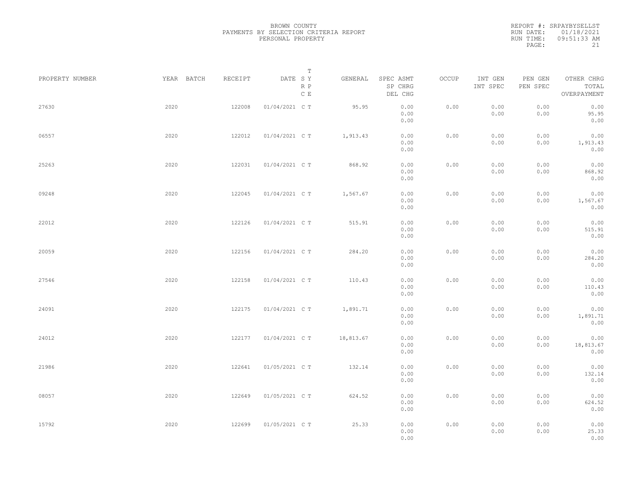| PROPERTY NUMBER |      | YEAR BATCH<br>RECEIPT |                | T<br>DATE SY<br>R P | GENERAL   | SPEC ASMT<br>SP CHRG | OCCUP | INT GEN<br>INT SPEC | PEN GEN<br>PEN SPEC | OTHER CHRG<br>TOTAL |  |
|-----------------|------|-----------------------|----------------|---------------------|-----------|----------------------|-------|---------------------|---------------------|---------------------|--|
|                 |      |                       |                | $\,$ C $\,$ E       |           | DEL CHG              |       |                     |                     | OVERPAYMENT         |  |
| 27630           | 2020 | 122008                | 01/04/2021 C T |                     | 95.95     | 0.00<br>0.00         | 0.00  | 0.00<br>0.00        | 0.00<br>0.00        | 0.00<br>95.95       |  |
|                 |      |                       |                |                     |           | 0.00                 |       |                     |                     | 0.00                |  |
| 06557           | 2020 | 122012                | 01/04/2021 C T |                     | 1,913.43  | 0.00                 | 0.00  | 0.00                | 0.00                | 0.00                |  |
|                 |      |                       |                |                     |           | 0.00                 |       | 0.00                | 0.00                | 1,913.43            |  |
|                 |      |                       |                |                     |           | 0.00                 |       |                     |                     | 0.00                |  |
| 25263           | 2020 | 122031                | 01/04/2021 C T |                     | 868.92    | 0.00                 | 0.00  | 0.00                | 0.00                | 0.00                |  |
|                 |      |                       |                |                     |           | 0.00<br>0.00         |       | 0.00                | 0.00                | 868.92<br>0.00      |  |
|                 |      |                       |                |                     |           |                      |       |                     |                     |                     |  |
| 09248           | 2020 | 122045                | 01/04/2021 C T |                     | 1,567.67  | 0.00                 | 0.00  | 0.00                | 0.00                | 0.00                |  |
|                 |      |                       |                |                     |           | 0.00<br>0.00         |       | 0.00                | 0.00                | 1,567.67<br>0.00    |  |
| 22012           | 2020 | 122126                | 01/04/2021 C T |                     | 515.91    | 0.00                 | 0.00  | 0.00                | 0.00                | 0.00                |  |
|                 |      |                       |                |                     |           | 0.00                 |       | 0.00                | 0.00                | 515.91              |  |
|                 |      |                       |                |                     |           | 0.00                 |       |                     |                     | 0.00                |  |
| 20059           | 2020 | 122156                | 01/04/2021 C T |                     | 284.20    | 0.00                 | 0.00  | 0.00                | 0.00                | 0.00                |  |
|                 |      |                       |                |                     |           | 0.00                 |       | 0.00                | 0.00                | 284.20              |  |
|                 |      |                       |                |                     |           | 0.00                 |       |                     |                     | 0.00                |  |
| 27546           | 2020 | 122158                | 01/04/2021 C T |                     | 110.43    | 0.00                 | 0.00  | 0.00                | 0.00                | 0.00                |  |
|                 |      |                       |                |                     |           | 0.00<br>0.00         |       | 0.00                | 0.00                | 110.43<br>0.00      |  |
|                 |      |                       |                |                     |           |                      |       |                     |                     |                     |  |
| 24091           | 2020 | 122175                | 01/04/2021 C T |                     | 1,891.71  | 0.00                 | 0.00  | 0.00                | 0.00                | 0.00                |  |
|                 |      |                       |                |                     |           | 0.00<br>0.00         |       | 0.00                | 0.00                | 1,891.71<br>0.00    |  |
|                 |      |                       |                |                     |           |                      |       |                     |                     |                     |  |
| 24012           | 2020 | 122177                | 01/04/2021 C T |                     | 18,813.67 | 0.00<br>0.00         | 0.00  | 0.00<br>0.00        | 0.00<br>0.00        | 0.00<br>18,813.67   |  |
|                 |      |                       |                |                     |           | 0.00                 |       |                     |                     | 0.00                |  |
| 21986           | 2020 | 122641                | 01/05/2021 C T |                     | 132.14    | 0.00                 | 0.00  | 0.00                | 0.00                | 0.00                |  |
|                 |      |                       |                |                     |           | 0.00                 |       | 0.00                | 0.00                | 132.14              |  |
|                 |      |                       |                |                     |           | 0.00                 |       |                     |                     | 0.00                |  |
| 08057           | 2020 | 122649                | 01/05/2021 C T |                     | 624.52    | 0.00                 | 0.00  | 0.00                | 0.00                | 0.00                |  |
|                 |      |                       |                |                     |           | 0.00                 |       | 0.00                | 0.00                | 624.52              |  |
|                 |      |                       |                |                     |           | 0.00                 |       |                     |                     | 0.00                |  |
| 15792           | 2020 | 122699                | 01/05/2021 C T |                     | 25.33     | 0.00                 | 0.00  | 0.00                | 0.00                | 0.00                |  |
|                 |      |                       |                |                     |           | 0.00<br>0.00         |       | 0.00                | 0.00                | 25.33<br>0.00       |  |
|                 |      |                       |                |                     |           |                      |       |                     |                     |                     |  |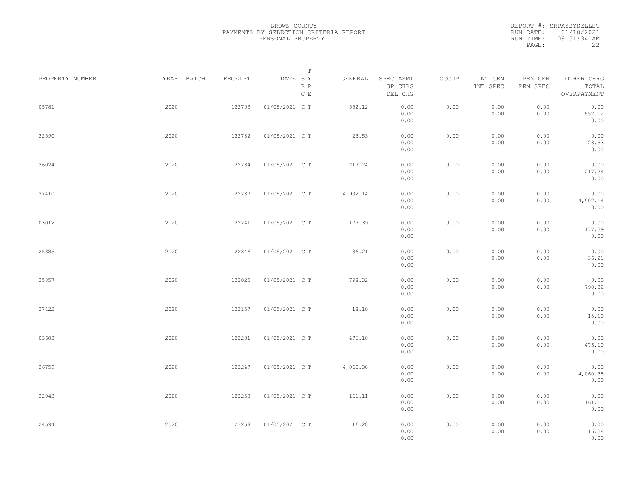| PROPERTY NUMBER | YEAR BATCH | RECEIPT | $\mathbb T$<br>DATE SY | GENERAL  | SPEC ASMT            | OCCUP | INT GEN      | PEN GEN      | OTHER CHRG               |  |
|-----------------|------------|---------|------------------------|----------|----------------------|-------|--------------|--------------|--------------------------|--|
|                 |            |         | R P<br>C E             |          | SP CHRG<br>DEL CHG   |       | INT SPEC     | PEN SPEC     | TOTAL<br>OVERPAYMENT     |  |
| 05781           | 2020       | 122703  | 01/05/2021 C T         | 552.12   | 0.00<br>0.00<br>0.00 | 0.00  | 0.00<br>0.00 | 0.00<br>0.00 | 0.00<br>552.12<br>0.00   |  |
| 22590           | 2020       | 122732  | 01/05/2021 C T         | 23.53    | 0.00<br>0.00<br>0.00 | 0.00  | 0.00<br>0.00 | 0.00<br>0.00 | 0.00<br>23.53<br>0.00    |  |
| 26024           | 2020       | 122734  | 01/05/2021 C T         | 217.24   | 0.00<br>0.00<br>0.00 | 0.00  | 0.00<br>0.00 | 0.00<br>0.00 | 0.00<br>217.24<br>0.00   |  |
| 27410           | 2020       | 122737  | 01/05/2021 C T         | 4,902.14 | 0.00<br>0.00<br>0.00 | 0.00  | 0.00<br>0.00 | 0.00<br>0.00 | 0.00<br>4,902.14<br>0.00 |  |
| 03012           | 2020       | 122741  | 01/05/2021 C T         | 177.39   | 0.00<br>0.00<br>0.00 | 0.00  | 0.00<br>0.00 | 0.00<br>0.00 | 0.00<br>177.39<br>0.00   |  |
| 25885           | 2020       | 122846  | 01/05/2021 C T         | 36.21    | 0.00<br>0.00<br>0.00 | 0.00  | 0.00<br>0.00 | 0.00<br>0.00 | 0.00<br>36.21<br>0.00    |  |
| 25857           | 2020       | 123025  | 01/05/2021 C T         | 798.32   | 0.00<br>0.00<br>0.00 | 0.00  | 0.00<br>0.00 | 0.00<br>0.00 | 0.00<br>798.32<br>0.00   |  |
| 27422           | 2020       | 123157  | 01/05/2021 C T         | 18.10    | 0.00<br>0.00<br>0.00 | 0.00  | 0.00<br>0.00 | 0.00<br>0.00 | 0.00<br>18.10<br>0.00    |  |
| 03603           | 2020       | 123231  | 01/05/2021 C T         | 476.10   | 0.00<br>0.00<br>0.00 | 0.00  | 0.00<br>0.00 | 0.00<br>0.00 | 0.00<br>476.10<br>0.00   |  |
| 26759           | 2020       | 123247  | 01/05/2021 C T         | 4,060.38 | 0.00<br>0.00<br>0.00 | 0.00  | 0.00<br>0.00 | 0.00<br>0.00 | 0.00<br>4,060.38<br>0.00 |  |
| 22043           | 2020       | 123253  | 01/05/2021 C T         | 161.11   | 0.00<br>0.00<br>0.00 | 0.00  | 0.00<br>0.00 | 0.00<br>0.00 | 0.00<br>161.11<br>0.00   |  |
| 24594           | 2020       | 123258  | 01/05/2021 C T         | 16.28    | 0.00<br>0.00<br>0.00 | 0.00  | 0.00<br>0.00 | 0.00<br>0.00 | 0.00<br>16.28<br>0.00    |  |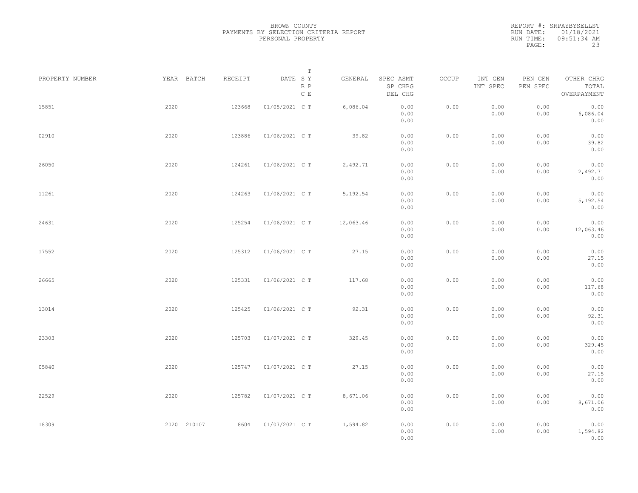| PROPERTY NUMBER |      | YEAR BATCH  | RECEIPT | DATE SY        | $\mathbb T$ | GENERAL   | SPEC ASMT            | OCCUP | INT GEN      | PEN GEN      | OTHER CHRG                |  |
|-----------------|------|-------------|---------|----------------|-------------|-----------|----------------------|-------|--------------|--------------|---------------------------|--|
|                 |      |             |         |                | R P<br>C E  |           | SP CHRG<br>DEL CHG   |       | INT SPEC     | PEN SPEC     | TOTAL<br>OVERPAYMENT      |  |
| 15851           | 2020 |             | 123668  | 01/05/2021 C T |             | 6,086.04  | 0.00<br>0.00<br>0.00 | 0.00  | 0.00<br>0.00 | 0.00<br>0.00 | 0.00<br>6,086.04<br>0.00  |  |
| 02910           | 2020 |             | 123886  | 01/06/2021 C T |             | 39.82     | 0.00<br>0.00<br>0.00 | 0.00  | 0.00<br>0.00 | 0.00<br>0.00 | 0.00<br>39.82<br>0.00     |  |
| 26050           | 2020 |             | 124261  | 01/06/2021 C T |             | 2,492.71  | 0.00<br>0.00<br>0.00 | 0.00  | 0.00<br>0.00 | 0.00<br>0.00 | 0.00<br>2,492.71<br>0.00  |  |
| 11261           | 2020 |             | 124263  | 01/06/2021 C T |             | 5,192.54  | 0.00<br>0.00<br>0.00 | 0.00  | 0.00<br>0.00 | 0.00<br>0.00 | 0.00<br>5,192.54<br>0.00  |  |
| 24631           | 2020 |             | 125254  | 01/06/2021 C T |             | 12,063.46 | 0.00<br>0.00<br>0.00 | 0.00  | 0.00<br>0.00 | 0.00<br>0.00 | 0.00<br>12,063.46<br>0.00 |  |
| 17552           | 2020 |             | 125312  | 01/06/2021 C T |             | 27.15     | 0.00<br>0.00<br>0.00 | 0.00  | 0.00<br>0.00 | 0.00<br>0.00 | 0.00<br>27.15<br>0.00     |  |
| 26665           | 2020 |             | 125331  | 01/06/2021 C T |             | 117.68    | 0.00<br>0.00<br>0.00 | 0.00  | 0.00<br>0.00 | 0.00<br>0.00 | 0.00<br>117.68<br>0.00    |  |
| 13014           | 2020 |             | 125425  | 01/06/2021 C T |             | 92.31     | 0.00<br>0.00<br>0.00 | 0.00  | 0.00<br>0.00 | 0.00<br>0.00 | 0.00<br>92.31<br>0.00     |  |
| 23303           | 2020 |             | 125703  | 01/07/2021 C T |             | 329.45    | 0.00<br>0.00<br>0.00 | 0.00  | 0.00<br>0.00 | 0.00<br>0.00 | 0.00<br>329.45<br>0.00    |  |
| 05840           | 2020 |             | 125747  | 01/07/2021 C T |             | 27.15     | 0.00<br>0.00<br>0.00 | 0.00  | 0.00<br>0.00 | 0.00<br>0.00 | 0.00<br>27.15<br>0.00     |  |
| 22529           | 2020 |             | 125782  | 01/07/2021 C T |             | 8,671.06  | 0.00<br>0.00<br>0.00 | 0.00  | 0.00<br>0.00 | 0.00<br>0.00 | 0.00<br>8,671.06<br>0.00  |  |
| 18309           |      | 2020 210107 | 8604    | 01/07/2021 C T |             | 1,594.82  | 0.00<br>0.00<br>0.00 | 0.00  | 0.00<br>0.00 | 0.00<br>0.00 | 0.00<br>1,594.82<br>0.00  |  |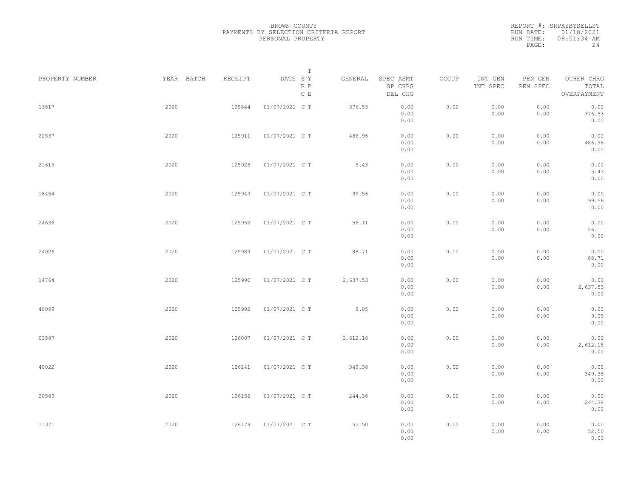|                 |            |         | Т                               |          |                                 |       |                     |                     |                                    |  |
|-----------------|------------|---------|---------------------------------|----------|---------------------------------|-------|---------------------|---------------------|------------------------------------|--|
| PROPERTY NUMBER | YEAR BATCH | RECEIPT | DATE SY<br>R P<br>$\,$ C $\,$ E | GENERAL  | SPEC ASMT<br>SP CHRG<br>DEL CHG | OCCUP | INT GEN<br>INT SPEC | PEN GEN<br>PEN SPEC | OTHER CHRG<br>TOTAL<br>OVERPAYMENT |  |
| 13817           | 2020       | 125844  | 01/07/2021 C T                  | 376.53   | 0.00<br>0.00<br>0.00            | 0.00  | 0.00<br>0.00        | 0.00<br>0.00        | 0.00<br>376.53<br>0.00             |  |
| 22537           | 2020       | 125911  | 01/07/2021 C T                  | 486.96   | 0.00<br>0.00<br>0.00            | 0.00  | 0.00<br>0.00        | 0.00<br>0.00        | 0.00<br>486.96<br>0.00             |  |
| 21615           | 2020       | 125925  | 01/07/2021 C T                  | 5.43     | 0.00<br>0.00<br>0.00            | 0.00  | 0.00<br>0.00        | 0.00<br>0.00        | 0.00<br>5.43<br>0.00               |  |
| 18454           | 2020       | 125943  | 01/07/2021 C T                  | 99.56    | 0.00<br>0.00<br>0.00            | 0.00  | 0.00<br>0.00        | 0.00<br>0.00        | 0.00<br>99.56<br>0.00              |  |
| 24636           | 2020       | 125952  | 01/07/2021 C T                  | 56.11    | 0.00<br>0.00<br>0.00            | 0.00  | 0.00<br>0.00        | 0.00<br>0.00        | 0.00<br>56.11<br>0.00              |  |
| 24026           | 2020       | 125989  | 01/07/2021 C T                  | 88.71    | 0.00<br>0.00<br>0.00            | 0.00  | 0.00<br>0.00        | 0.00<br>0.00        | 0.00<br>88.71<br>0.00              |  |
| 14764           | 2020       | 125990  | 01/07/2021 C T                  | 2,637.53 | 0.00<br>0.00<br>0.00            | 0.00  | 0.00<br>0.00        | 0.00<br>0.00        | 0.00<br>2,637.53<br>0.00           |  |
| 40099           | 2020       | 125992  | 01/07/2021 C T                  | 9.05     | 0.00<br>0.00<br>0.00            | 0.00  | 0.00<br>0.00        | 0.00<br>0.00        | 0.00<br>9.05<br>0.00               |  |
| 03587           | 2020       | 126007  | 01/07/2021 C T                  | 2,612.18 | 0.00<br>0.00<br>0.00            | 0.00  | 0.00<br>0.00        | 0.00<br>0.00        | 0.00<br>2,612.18<br>0.00           |  |
| 40022           | 2020       | 126141  | 01/07/2021 C T                  | 349.38   | 0.00<br>0.00<br>0.00            | 0.00  | 0.00<br>0.00        | 0.00<br>0.00        | 0.00<br>349.38<br>0.00             |  |
| 20589           | 2020       | 126156  | 01/07/2021 C T                  | 244.38   | 0.00<br>0.00<br>0.00            | 0.00  | 0.00<br>0.00        | 0.00<br>0.00        | 0.00<br>244.38<br>0.00             |  |
| 11371           | 2020       | 126179  | 01/07/2021 C T                  | 52.50    | 0.00<br>0.00<br>0.00            | 0.00  | 0.00<br>0.00        | 0.00<br>0.00        | 0.00<br>52.50<br>0.00              |  |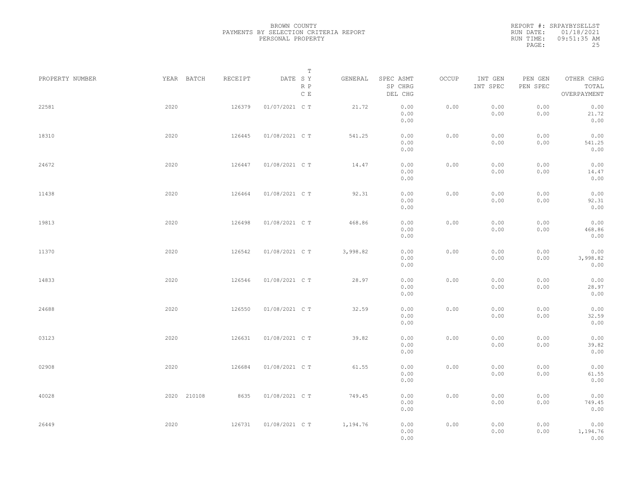| PROPERTY NUMBER | YEAR BATCH  | RECEIPT | Т<br>DATE SY<br>R P<br>$\,$ C $\,$ E | GENERAL  | SPEC ASMT<br>SP CHRG<br>DEL CHG | OCCUP | INT GEN<br>INT SPEC | PEN GEN<br>PEN SPEC | OTHER CHRG<br>TOTAL<br>OVERPAYMENT |  |
|-----------------|-------------|---------|--------------------------------------|----------|---------------------------------|-------|---------------------|---------------------|------------------------------------|--|
| 22581           | 2020        | 126379  | 01/07/2021 C T                       | 21.72    | 0.00<br>0.00<br>0.00            | 0.00  | 0.00<br>0.00        | 0.00<br>0.00        | 0.00<br>21.72<br>0.00              |  |
| 18310           | 2020        | 126445  | 01/08/2021 C T                       | 541.25   | 0.00<br>0.00<br>0.00            | 0.00  | 0.00<br>0.00        | 0.00<br>0.00        | 0.00<br>541.25<br>0.00             |  |
| 24672           | 2020        | 126447  | 01/08/2021 C T                       | 14.47    | 0.00<br>0.00<br>0.00            | 0.00  | 0.00<br>0.00        | 0.00<br>0.00        | 0.00<br>14.47<br>0.00              |  |
| 11438           | 2020        | 126464  | 01/08/2021 C T                       | 92.31    | 0.00<br>0.00<br>0.00            | 0.00  | 0.00<br>0.00        | 0.00<br>0.00        | 0.00<br>92.31<br>0.00              |  |
| 19813           | 2020        | 126498  | 01/08/2021 C T                       | 468.86   | 0.00<br>0.00<br>0.00            | 0.00  | 0.00<br>0.00        | 0.00<br>0.00        | 0.00<br>468.86<br>0.00             |  |
| 11370           | 2020        | 126542  | 01/08/2021 C T                       | 3,998.82 | 0.00<br>0.00<br>0.00            | 0.00  | 0.00<br>0.00        | 0.00<br>0.00        | 0.00<br>3,998.82<br>0.00           |  |
| 14833           | 2020        | 126546  | 01/08/2021 C T                       | 28.97    | 0.00<br>0.00<br>0.00            | 0.00  | 0.00<br>0.00        | 0.00<br>0.00        | 0.00<br>28.97<br>0.00              |  |
| 24688           | 2020        | 126550  | 01/08/2021 C T                       | 32.59    | 0.00<br>0.00<br>0.00            | 0.00  | 0.00<br>0.00        | 0.00<br>0.00        | 0.00<br>32.59<br>0.00              |  |
| 03123           | 2020        | 126631  | 01/08/2021 C T                       | 39.82    | 0.00<br>0.00<br>0.00            | 0.00  | 0.00<br>0.00        | 0.00<br>0.00        | 0.00<br>39.82<br>0.00              |  |
| 02908           | 2020        | 126684  | 01/08/2021 C T                       | 61.55    | 0.00<br>0.00<br>0.00            | 0.00  | 0.00<br>0.00        | 0.00<br>0.00        | 0.00<br>61.55<br>0.00              |  |
| 40028           | 2020 210108 | 8635    | 01/08/2021 C T                       | 749.45   | 0.00<br>0.00<br>0.00            | 0.00  | 0.00<br>0.00        | 0.00<br>0.00        | 0.00<br>749.45<br>0.00             |  |
| 26449           | 2020        | 126731  | 01/08/2021 C T                       | 1,194.76 | 0.00<br>0.00<br>0.00            | 0.00  | 0.00<br>0.00        | 0.00<br>0.00        | 0.00<br>1,194.76<br>0.00           |  |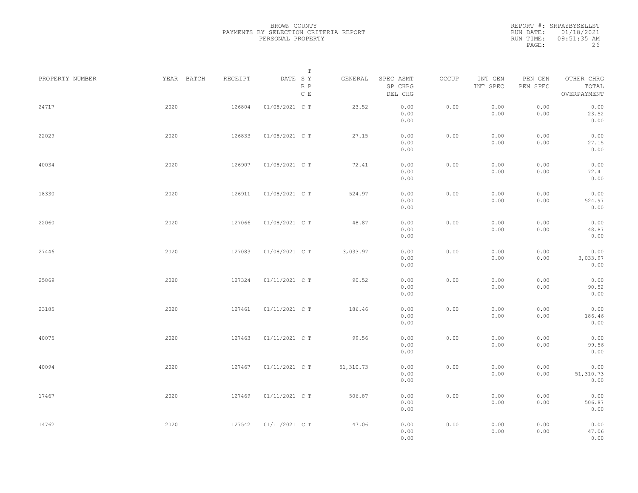| PROPERTY NUMBER | YEAR BATCH | RECEIPT | Т<br>DATE SY<br>R P<br>$\,$ C $\,$ E | GENERAL    | SPEC ASMT<br>SP CHRG<br>DEL CHG | OCCUP | INT GEN<br>INT SPEC | PEN GEN<br>PEN SPEC | OTHER CHRG<br>TOTAL<br>OVERPAYMENT |  |
|-----------------|------------|---------|--------------------------------------|------------|---------------------------------|-------|---------------------|---------------------|------------------------------------|--|
| 24717           | 2020       | 126804  | 01/08/2021 C T                       | 23.52      | 0.00<br>0.00<br>0.00            | 0.00  | 0.00<br>0.00        | 0.00<br>0.00        | 0.00<br>23.52<br>0.00              |  |
| 22029           | 2020       | 126833  | 01/08/2021 C T                       | 27.15      | 0.00<br>0.00<br>0.00            | 0.00  | 0.00<br>0.00        | 0.00<br>0.00        | 0.00<br>27.15<br>0.00              |  |
| 40034           | 2020       | 126907  | 01/08/2021 C T                       | 72.41      | 0.00<br>0.00<br>0.00            | 0.00  | 0.00<br>0.00        | 0.00<br>0.00        | 0.00<br>72.41<br>0.00              |  |
| 18330           | 2020       | 126911  | 01/08/2021 C T                       | 524.97     | 0.00<br>0.00<br>0.00            | 0.00  | 0.00<br>0.00        | 0.00<br>0.00        | 0.00<br>524.97<br>0.00             |  |
| 22060           | 2020       | 127066  | 01/08/2021 C T                       | 48.87      | 0.00<br>0.00<br>0.00            | 0.00  | 0.00<br>0.00        | 0.00<br>0.00        | 0.00<br>48.87<br>0.00              |  |
| 27446           | 2020       | 127083  | 01/08/2021 C T                       | 3,033.97   | 0.00<br>0.00<br>0.00            | 0.00  | 0.00<br>0.00        | 0.00<br>0.00        | 0.00<br>3,033.97<br>0.00           |  |
| 25869           | 2020       | 127324  | 01/11/2021 C T                       | 90.52      | 0.00<br>0.00<br>0.00            | 0.00  | 0.00<br>0.00        | 0.00<br>0.00        | 0.00<br>90.52<br>0.00              |  |
| 23185           | 2020       | 127461  | 01/11/2021 C T                       | 186.46     | 0.00<br>0.00<br>0.00            | 0.00  | 0.00<br>0.00        | 0.00<br>0.00        | 0.00<br>186.46<br>0.00             |  |
| 40075           | 2020       | 127463  | 01/11/2021 C T                       | 99.56      | 0.00<br>0.00<br>0.00            | 0.00  | 0.00<br>0.00        | 0.00<br>0.00        | 0.00<br>99.56<br>0.00              |  |
| 40094           | 2020       | 127467  | 01/11/2021 C T                       | 51, 310.73 | 0.00<br>0.00<br>0.00            | 0.00  | 0.00<br>0.00        | 0.00<br>0.00        | 0.00<br>51, 310.73<br>0.00         |  |
| 17467           | 2020       | 127469  | 01/11/2021 C T                       | 506.87     | 0.00<br>0.00<br>0.00            | 0.00  | 0.00<br>0.00        | 0.00<br>0.00        | 0.00<br>506.87<br>0.00             |  |
| 14762           | 2020       | 127542  | 01/11/2021 C T                       | 47.06      | 0.00<br>0.00<br>0.00            | 0.00  | 0.00<br>0.00        | 0.00<br>0.00        | 0.00<br>47.06<br>0.00              |  |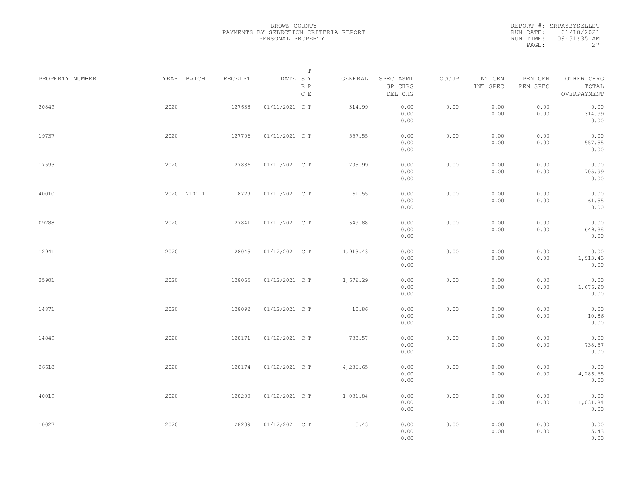|                 |             |         | Т                               |          |                                 |       |                     |                     |                                    |  |
|-----------------|-------------|---------|---------------------------------|----------|---------------------------------|-------|---------------------|---------------------|------------------------------------|--|
| PROPERTY NUMBER | YEAR BATCH  | RECEIPT | DATE SY<br>R P<br>$\,$ C $\,$ E | GENERAL  | SPEC ASMT<br>SP CHRG<br>DEL CHG | OCCUP | INT GEN<br>INT SPEC | PEN GEN<br>PEN SPEC | OTHER CHRG<br>TOTAL<br>OVERPAYMENT |  |
| 20849           | 2020        | 127638  | 01/11/2021 C T                  | 314.99   | 0.00<br>0.00<br>0.00            | 0.00  | 0.00<br>0.00        | 0.00<br>0.00        | 0.00<br>314.99<br>0.00             |  |
| 19737           | 2020        | 127706  | 01/11/2021 C T                  | 557.55   | 0.00<br>0.00<br>0.00            | 0.00  | 0.00<br>0.00        | 0.00<br>0.00        | 0.00<br>557.55<br>0.00             |  |
| 17593           | 2020        | 127836  | 01/11/2021 C T                  | 705.99   | 0.00<br>0.00<br>0.00            | 0.00  | 0.00<br>0.00        | 0.00<br>0.00        | 0.00<br>705.99<br>0.00             |  |
| 40010           | 2020 210111 | 8729    | 01/11/2021 C T                  | 61.55    | 0.00<br>0.00<br>0.00            | 0.00  | 0.00<br>0.00        | 0.00<br>0.00        | 0.00<br>61.55<br>0.00              |  |
| 09288           | 2020        | 127841  | 01/11/2021 C T                  | 649.88   | 0.00<br>0.00<br>0.00            | 0.00  | 0.00<br>0.00        | 0.00<br>0.00        | 0.00<br>649.88<br>0.00             |  |
| 12941           | 2020        | 128045  | 01/12/2021 C T                  | 1,913.43 | 0.00<br>0.00<br>0.00            | 0.00  | 0.00<br>0.00        | 0.00<br>0.00        | 0.00<br>1,913.43<br>0.00           |  |
| 25901           | 2020        | 128065  | 01/12/2021 C T                  | 1,676.29 | 0.00<br>0.00<br>0.00            | 0.00  | 0.00<br>0.00        | 0.00<br>0.00        | 0.00<br>1,676.29<br>0.00           |  |
| 14871           | 2020        | 128092  | 01/12/2021 C T                  | 10.86    | 0.00<br>0.00<br>0.00            | 0.00  | 0.00<br>0.00        | 0.00<br>0.00        | 0.00<br>10.86<br>0.00              |  |
| 14849           | 2020        | 128171  | 01/12/2021 C T                  | 738.57   | 0.00<br>0.00<br>0.00            | 0.00  | 0.00<br>0.00        | 0.00<br>0.00        | 0.00<br>738.57<br>0.00             |  |
| 26618           | 2020        | 128174  | 01/12/2021 C T                  | 4,286.65 | 0.00<br>0.00<br>0.00            | 0.00  | 0.00<br>0.00        | 0.00<br>0.00        | 0.00<br>4,286.65<br>0.00           |  |
| 40019           | 2020        | 128200  | 01/12/2021 C T                  | 1,031.84 | 0.00<br>0.00<br>0.00            | 0.00  | 0.00<br>0.00        | 0.00<br>0.00        | 0.00<br>1,031.84<br>0.00           |  |
| 10027           | 2020        | 128209  | 01/12/2021 C T                  | 5.43     | 0.00<br>0.00<br>0.00            | 0.00  | 0.00<br>0.00        | 0.00<br>0.00        | 0.00<br>5.43<br>0.00               |  |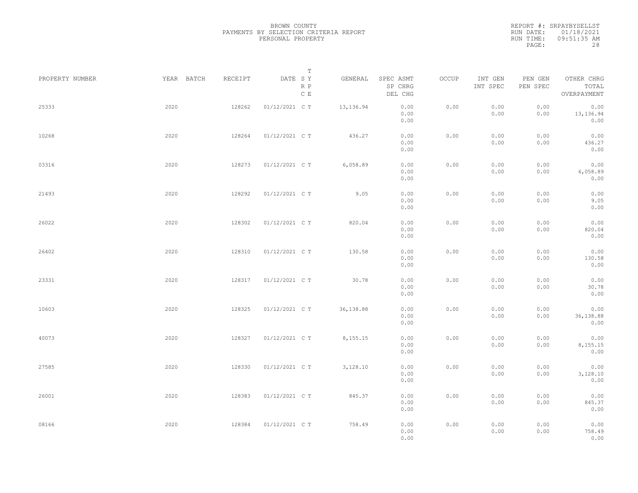|                 |            |         | Т                               |           |                                 |       |                     |                     |                                    |  |
|-----------------|------------|---------|---------------------------------|-----------|---------------------------------|-------|---------------------|---------------------|------------------------------------|--|
| PROPERTY NUMBER | YEAR BATCH | RECEIPT | DATE SY<br>R P<br>$\,$ C $\,$ E | GENERAL   | SPEC ASMT<br>SP CHRG<br>DEL CHG | OCCUP | INT GEN<br>INT SPEC | PEN GEN<br>PEN SPEC | OTHER CHRG<br>TOTAL<br>OVERPAYMENT |  |
| 25333           | 2020       | 128262  | 01/12/2021 C T                  | 13,136.94 | 0.00<br>0.00<br>0.00            | 0.00  | 0.00<br>0.00        | 0.00<br>0.00        | 0.00<br>13, 136.94<br>0.00         |  |
| 10268           | 2020       | 128264  | 01/12/2021 C T                  | 436.27    | 0.00<br>0.00<br>0.00            | 0.00  | 0.00<br>0.00        | 0.00<br>0.00        | 0.00<br>436.27<br>0.00             |  |
| 03316           | 2020       | 128273  | 01/12/2021 C T                  | 6,058.89  | 0.00<br>0.00<br>0.00            | 0.00  | 0.00<br>0.00        | 0.00<br>0.00        | 0.00<br>6,058.89<br>0.00           |  |
| 21493           | 2020       | 128292  | 01/12/2021 C T                  | 9.05      | 0.00<br>0.00<br>0.00            | 0.00  | 0.00<br>0.00        | 0.00<br>0.00        | 0.00<br>9.05<br>0.00               |  |
| 26022           | 2020       | 128302  | 01/12/2021 C T                  | 820.04    | 0.00<br>0.00<br>0.00            | 0.00  | 0.00<br>0.00        | 0.00<br>0.00        | 0.00<br>820.04<br>0.00             |  |
| 26402           | 2020       | 128310  | 01/12/2021 C T                  | 130.58    | 0.00<br>0.00<br>0.00            | 0.00  | 0.00<br>0.00        | 0.00<br>0.00        | 0.00<br>130.58<br>0.00             |  |
| 23331           | 2020       | 128317  | 01/12/2021 C T                  | 30.78     | 0.00<br>0.00<br>0.00            | 0.00  | 0.00<br>0.00        | 0.00<br>0.00        | 0.00<br>30.78<br>0.00              |  |
| 10603           | 2020       | 128325  | 01/12/2021 C T                  | 36,138.88 | 0.00<br>0.00<br>0.00            | 0.00  | 0.00<br>0.00        | 0.00<br>0.00        | 0.00<br>36,138.88<br>0.00          |  |
| 40073           | 2020       | 128327  | 01/12/2021 C T                  | 8,155.15  | 0.00<br>0.00<br>0.00            | 0.00  | 0.00<br>0.00        | 0.00<br>0.00        | 0.00<br>8,155.15<br>0.00           |  |
| 27585           | 2020       | 128330  | 01/12/2021 C T                  | 3,128.10  | 0.00<br>0.00<br>0.00            | 0.00  | 0.00<br>0.00        | 0.00<br>0.00        | 0.00<br>3,128.10<br>0.00           |  |
| 26001           | 2020       | 128383  | 01/12/2021 C T                  | 845.37    | 0.00<br>0.00<br>0.00            | 0.00  | 0.00<br>0.00        | 0.00<br>0.00        | 0.00<br>845.37<br>0.00             |  |
| 08166           | 2020       | 128384  | 01/12/2021 C T                  | 758.49    | 0.00<br>0.00<br>0.00            | 0.00  | 0.00<br>0.00        | 0.00<br>0.00        | 0.00<br>758.49<br>0.00             |  |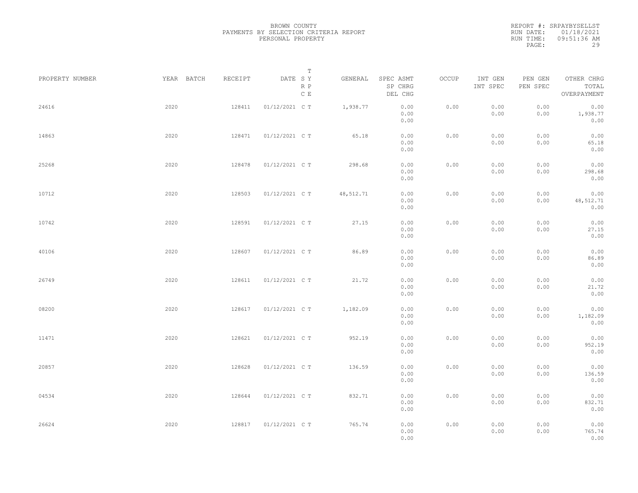|                 |            |         | Т                               |           |                                 |       |                     |                     |                                    |  |
|-----------------|------------|---------|---------------------------------|-----------|---------------------------------|-------|---------------------|---------------------|------------------------------------|--|
| PROPERTY NUMBER | YEAR BATCH | RECEIPT | DATE SY<br>R P<br>$\,$ C $\,$ E | GENERAL   | SPEC ASMT<br>SP CHRG<br>DEL CHG | OCCUP | INT GEN<br>INT SPEC | PEN GEN<br>PEN SPEC | OTHER CHRG<br>TOTAL<br>OVERPAYMENT |  |
| 24616           | 2020       | 128411  | 01/12/2021 C T                  | 1,938.77  | 0.00<br>0.00<br>0.00            | 0.00  | 0.00<br>0.00        | 0.00<br>0.00        | 0.00<br>1,938.77<br>0.00           |  |
| 14863           | 2020       | 128471  | 01/12/2021 C T                  | 65.18     | 0.00<br>0.00<br>0.00            | 0.00  | 0.00<br>0.00        | 0.00<br>0.00        | 0.00<br>65.18<br>0.00              |  |
| 25268           | 2020       | 128478  | 01/12/2021 C T                  | 298.68    | 0.00<br>0.00<br>0.00            | 0.00  | 0.00<br>0.00        | 0.00<br>0.00        | 0.00<br>298.68<br>0.00             |  |
| 10712           | 2020       | 128503  | 01/12/2021 C T                  | 48,512.71 | 0.00<br>0.00<br>0.00            | 0.00  | 0.00<br>0.00        | 0.00<br>0.00        | 0.00<br>48,512.71<br>0.00          |  |
| 10742           | 2020       | 128591  | 01/12/2021 C T                  | 27.15     | 0.00<br>0.00<br>0.00            | 0.00  | 0.00<br>0.00        | 0.00<br>0.00        | 0.00<br>27.15<br>0.00              |  |
| 40106           | 2020       | 128607  | 01/12/2021 C T                  | 86.89     | 0.00<br>0.00<br>0.00            | 0.00  | 0.00<br>0.00        | 0.00<br>0.00        | 0.00<br>86.89<br>0.00              |  |
| 26749           | 2020       | 128611  | 01/12/2021 C T                  | 21.72     | 0.00<br>0.00<br>0.00            | 0.00  | 0.00<br>0.00        | 0.00<br>0.00        | 0.00<br>21.72<br>0.00              |  |
| 08200           | 2020       | 128617  | 01/12/2021 C T                  | 1,182.09  | 0.00<br>0.00<br>0.00            | 0.00  | 0.00<br>0.00        | 0.00<br>0.00        | 0.00<br>1,182.09<br>0.00           |  |
| 11471           | 2020       | 128621  | 01/12/2021 C T                  | 952.19    | 0.00<br>0.00<br>0.00            | 0.00  | 0.00<br>0.00        | 0.00<br>0.00        | 0.00<br>952.19<br>0.00             |  |
| 20857           | 2020       | 128628  | 01/12/2021 C T                  | 136.59    | 0.00<br>0.00<br>0.00            | 0.00  | 0.00<br>0.00        | 0.00<br>0.00        | 0.00<br>136.59<br>0.00             |  |
| 04534           | 2020       | 128644  | 01/12/2021 C T                  | 832.71    | 0.00<br>0.00<br>0.00            | 0.00  | 0.00<br>0.00        | 0.00<br>0.00        | 0.00<br>832.71<br>0.00             |  |
| 26624           | 2020       | 128817  | 01/12/2021 C T                  | 765.74    | 0.00<br>0.00<br>0.00            | 0.00  | 0.00<br>0.00        | 0.00<br>0.00        | 0.00<br>765.74<br>0.00             |  |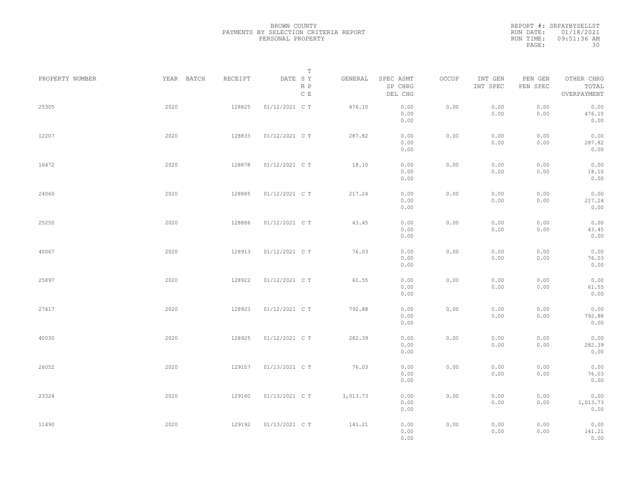|                 |            |         | Т                               |          |                                 |       |                     |                     |                                    |  |
|-----------------|------------|---------|---------------------------------|----------|---------------------------------|-------|---------------------|---------------------|------------------------------------|--|
| PROPERTY NUMBER | YEAR BATCH | RECEIPT | DATE SY<br>R P<br>$\,$ C $\,$ E | GENERAL  | SPEC ASMT<br>SP CHRG<br>DEL CHG | OCCUP | INT GEN<br>INT SPEC | PEN GEN<br>PEN SPEC | OTHER CHRG<br>TOTAL<br>OVERPAYMENT |  |
| 25305           | 2020       | 128825  | 01/12/2021 C T                  | 476.10   | 0.00<br>0.00<br>0.00            | 0.00  | 0.00<br>0.00        | 0.00<br>0.00        | 0.00<br>476.10<br>0.00             |  |
| 12207           | 2020       | 128833  | 01/12/2021 C T                  | 287.82   | 0.00<br>0.00<br>0.00            | 0.00  | 0.00<br>0.00        | 0.00<br>0.00        | 0.00<br>287.82<br>0.00             |  |
| 16472           | 2020       | 128878  | 01/12/2021 C T                  | 18.10    | 0.00<br>0.00<br>0.00            | 0.00  | 0.00<br>0.00        | 0.00<br>0.00        | 0.00<br>18.10<br>0.00              |  |
| 24060           | 2020       | 128885  | 01/12/2021 C T                  | 217.24   | 0.00<br>0.00<br>0.00            | 0.00  | 0.00<br>0.00        | 0.00<br>0.00        | 0.00<br>217.24<br>0.00             |  |
| 25250           | 2020       | 128886  | 01/12/2021 C T                  | 43.45    | 0.00<br>0.00<br>0.00            | 0.00  | 0.00<br>0.00        | 0.00<br>0.00        | 0.00<br>43.45<br>0.00              |  |
| 40067           | 2020       | 128913  | 01/12/2021 C T                  | 76.03    | 0.00<br>0.00<br>0.00            | 0.00  | 0.00<br>0.00        | 0.00<br>0.00        | 0.00<br>76.03<br>0.00              |  |
| 25897           | 2020       | 128922  | 01/12/2021 C T                  | 61.55    | 0.00<br>0.00<br>0.00            | 0.00  | 0.00<br>0.00        | 0.00<br>0.00        | 0.00<br>61.55<br>0.00              |  |
| 27417           | 2020       | 128923  | 01/12/2021 C T                  | 792.88   | 0.00<br>0.00<br>0.00            | 0.00  | 0.00<br>0.00        | 0.00<br>0.00        | 0.00<br>792.88<br>0.00             |  |
| 40030           | 2020       | 128925  | 01/12/2021 C T                  | 282.39   | 0.00<br>0.00<br>0.00            | 0.00  | 0.00<br>0.00        | 0.00<br>0.00        | 0.00<br>282.39<br>0.00             |  |
| 26052           | 2020       | 129157  | 01/13/2021 C T                  | 76.03    | 0.00<br>0.00<br>0.00            | 0.00  | 0.00<br>0.00        | 0.00<br>0.00        | 0.00<br>76.03<br>0.00              |  |
| 23324           | 2020       | 129160  | 01/13/2021 C T                  | 1,013.73 | 0.00<br>0.00<br>0.00            | 0.00  | 0.00<br>0.00        | 0.00<br>0.00        | 0.00<br>1,013.73<br>0.00           |  |
| 11490           | 2020       | 129192  | 01/13/2021 C T                  | 141.21   | 0.00<br>0.00<br>0.00            | 0.00  | 0.00<br>0.00        | 0.00<br>0.00        | 0.00<br>141.21<br>0.00             |  |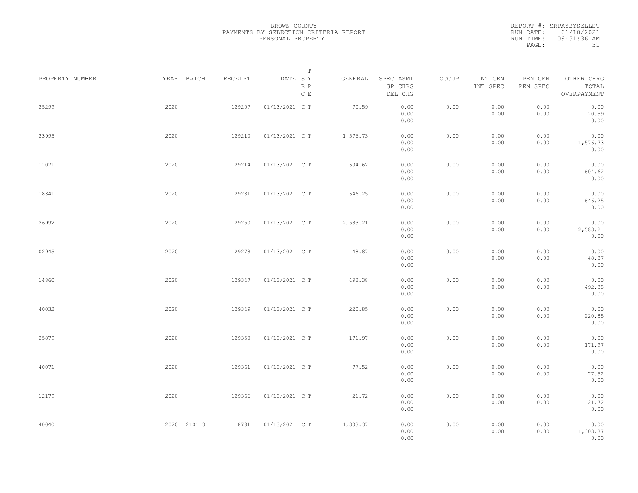| PROPERTY NUMBER |      | YEAR BATCH  | RECEIPT | DATE SY        | $\mathbb T$ | GENERAL  | SPEC ASMT            | OCCUP | INT GEN      | PEN GEN      | OTHER CHRG               |  |
|-----------------|------|-------------|---------|----------------|-------------|----------|----------------------|-------|--------------|--------------|--------------------------|--|
|                 |      |             |         |                | R P<br>C E  |          | SP CHRG<br>DEL CHG   |       | INT SPEC     | PEN SPEC     | TOTAL<br>OVERPAYMENT     |  |
| 25299           | 2020 |             | 129207  | 01/13/2021 C T |             | 70.59    | 0.00<br>0.00<br>0.00 | 0.00  | 0.00<br>0.00 | 0.00<br>0.00 | 0.00<br>70.59<br>0.00    |  |
| 23995           | 2020 |             | 129210  | 01/13/2021 C T |             | 1,576.73 | 0.00<br>0.00<br>0.00 | 0.00  | 0.00<br>0.00 | 0.00<br>0.00 | 0.00<br>1,576.73<br>0.00 |  |
| 11071           | 2020 |             | 129214  | 01/13/2021 C T |             | 604.62   | 0.00<br>0.00<br>0.00 | 0.00  | 0.00<br>0.00 | 0.00<br>0.00 | 0.00<br>604.62<br>0.00   |  |
| 18341           | 2020 |             | 129231  | 01/13/2021 C T |             | 646.25   | 0.00<br>0.00<br>0.00 | 0.00  | 0.00<br>0.00 | 0.00<br>0.00 | 0.00<br>646.25<br>0.00   |  |
| 26992           | 2020 |             | 129250  | 01/13/2021 C T |             | 2,583.21 | 0.00<br>0.00<br>0.00 | 0.00  | 0.00<br>0.00 | 0.00<br>0.00 | 0.00<br>2,583.21<br>0.00 |  |
| 02945           | 2020 |             | 129278  | 01/13/2021 C T |             | 48.87    | 0.00<br>0.00<br>0.00 | 0.00  | 0.00<br>0.00 | 0.00<br>0.00 | 0.00<br>48.87<br>0.00    |  |
| 14860           | 2020 |             | 129347  | 01/13/2021 C T |             | 492.38   | 0.00<br>0.00<br>0.00 | 0.00  | 0.00<br>0.00 | 0.00<br>0.00 | 0.00<br>492.38<br>0.00   |  |
| 40032           | 2020 |             | 129349  | 01/13/2021 C T |             | 220.85   | 0.00<br>0.00<br>0.00 | 0.00  | 0.00<br>0.00 | 0.00<br>0.00 | 0.00<br>220.85<br>0.00   |  |
| 25879           | 2020 |             | 129350  | 01/13/2021 C T |             | 171.97   | 0.00<br>0.00<br>0.00 | 0.00  | 0.00<br>0.00 | 0.00<br>0.00 | 0.00<br>171.97<br>0.00   |  |
| 40071           | 2020 |             | 129361  | 01/13/2021 C T |             | 77.52    | 0.00<br>0.00<br>0.00 | 0.00  | 0.00<br>0.00 | 0.00<br>0.00 | 0.00<br>77.52<br>0.00    |  |
| 12179           | 2020 |             | 129366  | 01/13/2021 C T |             | 21.72    | 0.00<br>0.00<br>0.00 | 0.00  | 0.00<br>0.00 | 0.00<br>0.00 | 0.00<br>21.72<br>0.00    |  |
| 40040           |      | 2020 210113 | 8781    | 01/13/2021 C T |             | 1,303.37 | 0.00<br>0.00<br>0.00 | 0.00  | 0.00<br>0.00 | 0.00<br>0.00 | 0.00<br>1,303.37<br>0.00 |  |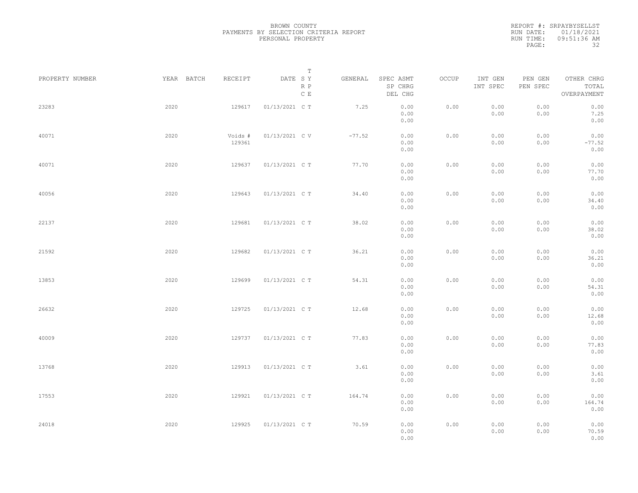| PROPERTY NUMBER | YEAR BATCH | RECEIPT           | $\mathbb T$<br>DATE SY | GENERAL  | SPEC ASMT            | OCCUP | INT GEN      | PEN GEN      | OTHER CHRG               |  |
|-----------------|------------|-------------------|------------------------|----------|----------------------|-------|--------------|--------------|--------------------------|--|
|                 |            |                   | R P<br>$\mathbb C$ E   |          | SP CHRG<br>DEL CHG   |       | INT SPEC     | PEN SPEC     | TOTAL<br>OVERPAYMENT     |  |
| 23283           | 2020       | 129617            | 01/13/2021 C T         | 7.25     | 0.00<br>0.00<br>0.00 | 0.00  | 0.00<br>0.00 | 0.00<br>0.00 | 0.00<br>7.25<br>0.00     |  |
| 40071           | 2020       | Voids #<br>129361 | 01/13/2021 C V         | $-77.52$ | 0.00<br>0.00<br>0.00 | 0.00  | 0.00<br>0.00 | 0.00<br>0.00 | 0.00<br>$-77.52$<br>0.00 |  |
| 40071           | 2020       | 129637            | 01/13/2021 C T         | 77.70    | 0.00<br>0.00<br>0.00 | 0.00  | 0.00<br>0.00 | 0.00<br>0.00 | 0.00<br>77.70<br>0.00    |  |
| 40056           | 2020       | 129643            | 01/13/2021 C T         | 34.40    | 0.00<br>0.00<br>0.00 | 0.00  | 0.00<br>0.00 | 0.00<br>0.00 | 0.00<br>34.40<br>0.00    |  |
| 22137           | 2020       | 129681            | 01/13/2021 C T         | 38.02    | 0.00<br>0.00<br>0.00 | 0.00  | 0.00<br>0.00 | 0.00<br>0.00 | 0.00<br>38.02<br>0.00    |  |
| 21592           | 2020       | 129682            | 01/13/2021 C T         | 36.21    | 0.00<br>0.00<br>0.00 | 0.00  | 0.00<br>0.00 | 0.00<br>0.00 | 0.00<br>36.21<br>0.00    |  |
| 13853           | 2020       | 129699            | 01/13/2021 C T         | 54.31    | 0.00<br>0.00<br>0.00 | 0.00  | 0.00<br>0.00 | 0.00<br>0.00 | 0.00<br>54.31<br>0.00    |  |
| 26632           | 2020       | 129725            | 01/13/2021 C T         | 12.68    | 0.00<br>0.00<br>0.00 | 0.00  | 0.00<br>0.00 | 0.00<br>0.00 | 0.00<br>12.68<br>0.00    |  |
| 40009           | 2020       | 129737            | 01/13/2021 C T         | 77.83    | 0.00<br>0.00<br>0.00 | 0.00  | 0.00<br>0.00 | 0.00<br>0.00 | 0.00<br>77.83<br>0.00    |  |
| 13768           | 2020       | 129913            | 01/13/2021 C T         | 3.61     | 0.00<br>0.00<br>0.00 | 0.00  | 0.00<br>0.00 | 0.00<br>0.00 | 0.00<br>3.61<br>0.00     |  |
| 17553           | 2020       | 129921            | 01/13/2021 C T         | 164.74   | 0.00<br>0.00<br>0.00 | 0.00  | 0.00<br>0.00 | 0.00<br>0.00 | 0.00<br>164.74<br>0.00   |  |
| 24018           | 2020       | 129925            | 01/13/2021 C T         | 70.59    | 0.00<br>0.00<br>0.00 | 0.00  | 0.00<br>0.00 | 0.00<br>0.00 | 0.00<br>70.59<br>0.00    |  |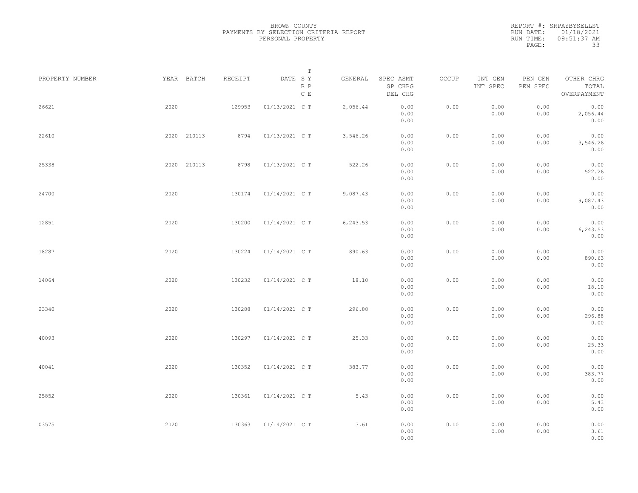| PROPERTY NUMBER |      | YEAR BATCH  | RECEIPT | DATE SY        | T<br>R P<br>$\mathbb C$ E | GENERAL  | SPEC ASMT<br>SP CHRG<br>DEL CHG | OCCUP | INT GEN<br>INT SPEC | PEN GEN<br>PEN SPEC | OTHER CHRG<br>TOTAL<br>OVERPAYMENT |  |
|-----------------|------|-------------|---------|----------------|---------------------------|----------|---------------------------------|-------|---------------------|---------------------|------------------------------------|--|
| 26621           | 2020 |             | 129953  | 01/13/2021 C T |                           | 2,056.44 | 0.00<br>0.00<br>0.00            | 0.00  | 0.00<br>0.00        | 0.00<br>0.00        | 0.00<br>2,056.44<br>0.00           |  |
| 22610           |      | 2020 210113 | 8794    | 01/13/2021 C T |                           | 3,546.26 | 0.00<br>0.00<br>0.00            | 0.00  | 0.00<br>0.00        | 0.00<br>0.00        | 0.00<br>3,546.26<br>0.00           |  |
| 25338           |      | 2020 210113 | 8798    | 01/13/2021 C T |                           | 522.26   | 0.00<br>0.00<br>0.00            | 0.00  | 0.00<br>0.00        | 0.00<br>0.00        | 0.00<br>522.26<br>0.00             |  |
| 24700           | 2020 |             | 130174  | 01/14/2021 C T |                           | 9,087.43 | 0.00<br>0.00<br>0.00            | 0.00  | 0.00<br>0.00        | 0.00<br>0.00        | 0.00<br>9,087.43<br>0.00           |  |
| 12851           | 2020 |             | 130200  | 01/14/2021 C T |                           | 6,243.53 | 0.00<br>0.00<br>0.00            | 0.00  | 0.00<br>0.00        | 0.00<br>0.00        | 0.00<br>6,243.53<br>0.00           |  |
| 18287           | 2020 |             | 130224  | 01/14/2021 C T |                           | 890.63   | 0.00<br>0.00<br>0.00            | 0.00  | 0.00<br>0.00        | 0.00<br>0.00        | 0.00<br>890.63<br>0.00             |  |
| 14064           | 2020 |             | 130232  | 01/14/2021 C T |                           | 18.10    | 0.00<br>0.00<br>0.00            | 0.00  | 0.00<br>0.00        | 0.00<br>0.00        | 0.00<br>18.10<br>0.00              |  |
| 23340           | 2020 |             | 130288  | 01/14/2021 C T |                           | 296.88   | 0.00<br>0.00<br>0.00            | 0.00  | 0.00<br>0.00        | 0.00<br>0.00        | 0.00<br>296.88<br>0.00             |  |
| 40093           | 2020 |             | 130297  | 01/14/2021 C T |                           | 25.33    | 0.00<br>0.00<br>0.00            | 0.00  | 0.00<br>0.00        | 0.00<br>0.00        | 0.00<br>25.33<br>0.00              |  |
| 40041           | 2020 |             | 130352  | 01/14/2021 C T |                           | 383.77   | 0.00<br>0.00<br>0.00            | 0.00  | 0.00<br>0.00        | 0.00<br>0.00        | 0.00<br>383.77<br>0.00             |  |
| 25852           | 2020 |             | 130361  | 01/14/2021 C T |                           | 5.43     | 0.00<br>0.00<br>0.00            | 0.00  | 0.00<br>0.00        | 0.00<br>0.00        | 0.00<br>5.43<br>0.00               |  |
| 03575           | 2020 |             | 130363  | 01/14/2021 C T |                           | 3.61     | 0.00<br>0.00<br>0.00            | 0.00  | 0.00<br>0.00        | 0.00<br>0.00        | 0.00<br>3.61<br>0.00               |  |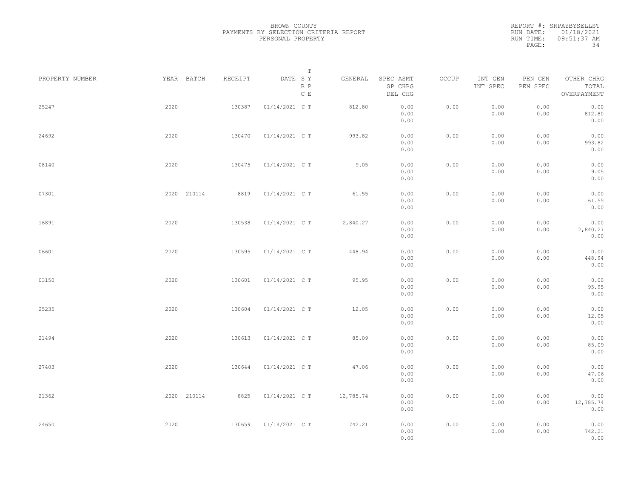| PROPERTY NUMBER |      | YEAR BATCH  | RECEIPT | DATE SY        | $\mathbb T$<br>GENERAL | SPEC ASMT            | OCCUP | INT GEN      | PEN GEN      | OTHER CHRG                |  |
|-----------------|------|-------------|---------|----------------|------------------------|----------------------|-------|--------------|--------------|---------------------------|--|
|                 |      |             |         |                | R P<br>C E             | SP CHRG<br>DEL CHG   |       | INT SPEC     | PEN SPEC     | TOTAL<br>OVERPAYMENT      |  |
| 25247           | 2020 |             | 130387  | 01/14/2021 C T | 812.80                 | 0.00<br>0.00<br>0.00 | 0.00  | 0.00<br>0.00 | 0.00<br>0.00 | 0.00<br>812.80<br>0.00    |  |
| 24692           | 2020 |             | 130470  | 01/14/2021 C T | 993.82                 | 0.00<br>0.00<br>0.00 | 0.00  | 0.00<br>0.00 | 0.00<br>0.00 | 0.00<br>993.82<br>0.00    |  |
| 08140           | 2020 |             | 130475  | 01/14/2021 C T | 9.05                   | 0.00<br>0.00<br>0.00 | 0.00  | 0.00<br>0.00 | 0.00<br>0.00 | 0.00<br>9.05<br>0.00      |  |
| 07301           |      | 2020 210114 | 8819    | 01/14/2021 C T | 61.55                  | 0.00<br>0.00<br>0.00 | 0.00  | 0.00<br>0.00 | 0.00<br>0.00 | 0.00<br>61.55<br>0.00     |  |
| 16891           | 2020 |             | 130538  | 01/14/2021 C T | 2,840.27               | 0.00<br>0.00<br>0.00 | 0.00  | 0.00<br>0.00 | 0.00<br>0.00 | 0.00<br>2,840.27<br>0.00  |  |
| 06601           | 2020 |             | 130595  | 01/14/2021 C T | 448.94                 | 0.00<br>0.00<br>0.00 | 0.00  | 0.00<br>0.00 | 0.00<br>0.00 | 0.00<br>448.94<br>0.00    |  |
| 03150           | 2020 |             | 130601  | 01/14/2021 C T | 95.95                  | 0.00<br>0.00<br>0.00 | 0.00  | 0.00<br>0.00 | 0.00<br>0.00 | 0.00<br>95.95<br>0.00     |  |
| 25235           | 2020 |             | 130604  | 01/14/2021 C T | 12.05                  | 0.00<br>0.00<br>0.00 | 0.00  | 0.00<br>0.00 | 0.00<br>0.00 | 0.00<br>12.05<br>0.00     |  |
| 21494           | 2020 |             | 130613  | 01/14/2021 C T | 85.09                  | 0.00<br>0.00<br>0.00 | 0.00  | 0.00<br>0.00 | 0.00<br>0.00 | 0.00<br>85.09<br>0.00     |  |
| 27403           | 2020 |             | 130644  | 01/14/2021 C T | 47.06                  | 0.00<br>0.00<br>0.00 | 0.00  | 0.00<br>0.00 | 0.00<br>0.00 | 0.00<br>47.06<br>0.00     |  |
| 21362           |      | 2020 210114 | 8825    | 01/14/2021 C T | 12,785.74              | 0.00<br>0.00<br>0.00 | 0.00  | 0.00<br>0.00 | 0.00<br>0.00 | 0.00<br>12,785.74<br>0.00 |  |
| 24650           | 2020 |             | 130659  | 01/14/2021 C T | 742.21                 | 0.00<br>0.00<br>0.00 | 0.00  | 0.00<br>0.00 | 0.00<br>0.00 | 0.00<br>742.21<br>0.00    |  |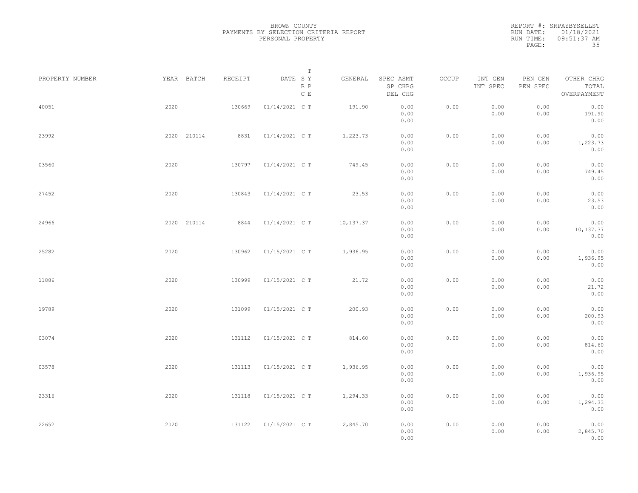| PROPERTY NUMBER |      | YEAR BATCH  | RECEIPT | DATE SY        | T<br>R P<br>$\mathbb C\,$ E | GENERAL    | SPEC ASMT<br>SP CHRG<br>DEL CHG | OCCUP | INT GEN<br>INT SPEC | PEN GEN<br>PEN SPEC | OTHER CHRG<br>TOTAL<br>OVERPAYMENT |  |
|-----------------|------|-------------|---------|----------------|-----------------------------|------------|---------------------------------|-------|---------------------|---------------------|------------------------------------|--|
| 40051           | 2020 |             | 130669  | 01/14/2021 C T |                             | 191.90     | 0.00<br>0.00<br>0.00            | 0.00  | 0.00<br>0.00        | 0.00<br>0.00        | 0.00<br>191.90<br>0.00             |  |
| 23992           |      | 2020 210114 | 8831    | 01/14/2021 C T |                             | 1,223.73   | 0.00<br>0.00<br>0.00            | 0.00  | 0.00<br>0.00        | 0.00<br>0.00        | 0.00<br>1,223.73<br>0.00           |  |
| 03560           | 2020 |             | 130797  | 01/14/2021 C T |                             | 749.45     | 0.00<br>0.00<br>0.00            | 0.00  | 0.00<br>0.00        | 0.00<br>0.00        | 0.00<br>749.45<br>0.00             |  |
| 27452           | 2020 |             | 130843  | 01/14/2021 C T |                             | 23.53      | 0.00<br>0.00<br>0.00            | 0.00  | 0.00<br>0.00        | 0.00<br>0.00        | 0.00<br>23.53<br>0.00              |  |
| 24966           |      | 2020 210114 | 8844    | 01/14/2021 C T |                             | 10, 137.37 | 0.00<br>0.00<br>0.00            | 0.00  | 0.00<br>0.00        | 0.00<br>0.00        | 0.00<br>10,137.37<br>0.00          |  |
| 25282           | 2020 |             | 130962  | 01/15/2021 C T |                             | 1,936.95   | 0.00<br>0.00<br>0.00            | 0.00  | 0.00<br>0.00        | 0.00<br>0.00        | 0.00<br>1,936.95<br>0.00           |  |
| 11886           | 2020 |             | 130999  | 01/15/2021 C T |                             | 21.72      | 0.00<br>0.00<br>0.00            | 0.00  | 0.00<br>0.00        | 0.00<br>0.00        | 0.00<br>21.72<br>0.00              |  |
| 19789           | 2020 |             | 131099  | 01/15/2021 C T |                             | 200.93     | 0.00<br>0.00<br>0.00            | 0.00  | 0.00<br>0.00        | 0.00<br>0.00        | 0.00<br>200.93<br>0.00             |  |
| 03074           | 2020 |             | 131112  | 01/15/2021 C T |                             | 814.60     | 0.00<br>0.00<br>0.00            | 0.00  | 0.00<br>0.00        | 0.00<br>0.00        | 0.00<br>814.60<br>0.00             |  |
| 03578           | 2020 |             | 131113  | 01/15/2021 C T |                             | 1,936.95   | 0.00<br>0.00<br>0.00            | 0.00  | 0.00<br>0.00        | 0.00<br>0.00        | 0.00<br>1,936.95<br>0.00           |  |
| 23316           | 2020 |             | 131118  | 01/15/2021 C T |                             | 1,294.33   | 0.00<br>0.00<br>0.00            | 0.00  | 0.00<br>0.00        | 0.00<br>0.00        | 0.00<br>1,294.33<br>0.00           |  |
| 22652           | 2020 |             | 131122  | 01/15/2021 C T |                             | 2,845.70   | 0.00<br>0.00<br>0.00            | 0.00  | 0.00<br>0.00        | 0.00<br>0.00        | 0.00<br>2,845.70<br>0.00           |  |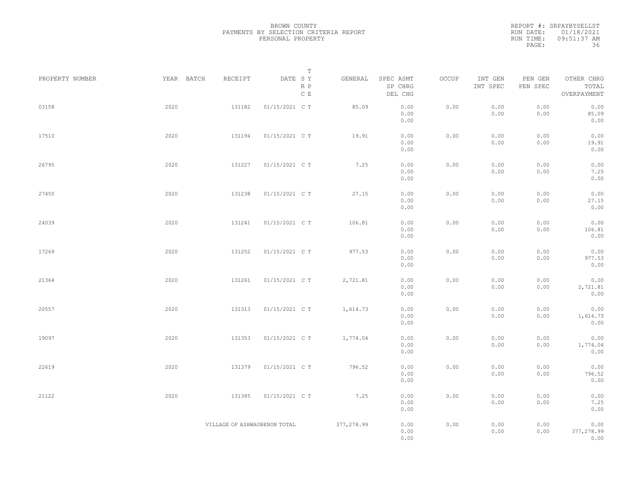| PROPERTY NUMBER | YEAR BATCH | RECEIPT                      | Т<br>DATE SY<br>R P | GENERAL    | SPEC ASMT<br>SP CHRG         | OCCUP | INT GEN<br>INT SPEC | PEN GEN<br>PEN SPEC | OTHER CHRG<br>TOTAL                |  |
|-----------------|------------|------------------------------|---------------------|------------|------------------------------|-------|---------------------|---------------------|------------------------------------|--|
|                 |            |                              | $\,$ C $\,$ E       |            | DEL CHG                      |       |                     |                     | OVERPAYMENT                        |  |
| 03158           | 2020       | 131182                       | 01/15/2021 C T      | 85.09      | 0.00<br>0.00<br>0.00         | 0.00  | 0.00<br>0.00        | 0.00<br>0.00        | 0.00<br>85.09<br>0.00              |  |
| 17510           | 2020       | 131194                       | 01/15/2021 C T      | 19.91      | 0.00<br>0.00                 | 0.00  | 0.00<br>0.00        | 0.00<br>0.00        | 0.00<br>19.91                      |  |
| 26795           | 2020       | 131227                       | 01/15/2021 C T      | 7.25       | 0.00<br>0.00                 | 0.00  | 0.00                | 0.00                | 0.00<br>0.00<br>7.25               |  |
|                 |            |                              |                     |            | 0.00<br>0.00                 |       | 0.00                | 0.00                | 0.00                               |  |
| 27450           | 2020       | 131238                       | 01/15/2021 C T      | 27.15      | 0.00<br>0.00<br>0.00         | 0.00  | 0.00<br>0.00        | 0.00<br>0.00        | 0.00<br>27.15<br>0.00              |  |
| 24039           | 2020       | 131241                       | 01/15/2021 C T      | 106.81     | 0.00<br>0.00<br>0.00         | 0.00  | 0.00<br>0.00        | 0.00<br>0.00        | 0.00<br>106.81<br>0.00             |  |
| 17269           | 2020       | 131252                       | 01/15/2021 C T      | 977.53     | 0.00<br>0.00<br>0.00         | 0.00  | 0.00<br>0.00        | 0.00<br>0.00        | 0.00<br>977.53<br>0.00             |  |
| 21364           | 2020       | 131261                       | 01/15/2021 C T      | 2,721.81   | 0.00<br>0.00                 | 0.00  | 0.00<br>0.00        | 0.00<br>0.00        | 0.00<br>2,721.81                   |  |
| 20557           | 2020       | 131313                       | 01/15/2021 C T      | 1,614.73   | 0.00<br>0.00<br>0.00         | 0.00  | 0.00<br>0.00        | 0.00<br>0.00        | 0.00<br>0.00<br>1,614.73           |  |
| 19097           | 2020       | 131353                       | 01/15/2021 C T      | 1,774.04   | 0.00<br>0.00<br>0.00         | 0.00  | 0.00<br>0.00        | 0.00<br>0.00        | 0.00<br>0.00<br>1,774.04           |  |
| 22619           | 2020       | 131379                       | 01/15/2021 C T      | 796.52     | 0.00<br>0.00<br>0.00         | 0.00  | 0.00<br>0.00        | 0.00<br>0.00        | 0.00<br>0.00<br>796.52             |  |
| 21122           | 2020       | 131385                       | 01/15/2021 C T      | 7.25       | 0.00<br>0.00<br>0.00         | 0.00  | 0.00<br>0.00        | 0.00<br>0.00        | 0.00<br>0.00<br>7.25               |  |
|                 |            | VILLAGE OF ASHWAUBENON TOTAL |                     | 377,278.99 | 0.00<br>0.00<br>0.00<br>0.00 | 0.00  | 0.00<br>0.00        | 0.00<br>0.00        | 0.00<br>0.00<br>377,278.99<br>0.00 |  |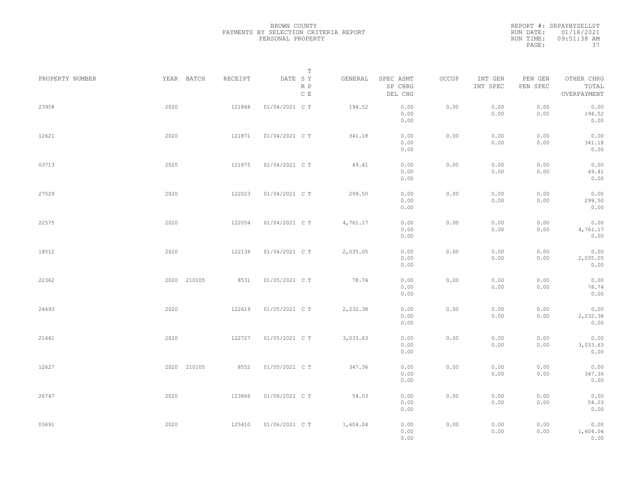|                 |             |         | Т                               |          |                                 |       |                     |                     |                                    |  |
|-----------------|-------------|---------|---------------------------------|----------|---------------------------------|-------|---------------------|---------------------|------------------------------------|--|
| PROPERTY NUMBER | YEAR BATCH  | RECEIPT | DATE SY<br>R P<br>$\,$ C $\,$ E | GENERAL  | SPEC ASMT<br>SP CHRG<br>DEL CHG | OCCUP | INT GEN<br>INT SPEC | PEN GEN<br>PEN SPEC | OTHER CHRG<br>TOTAL<br>OVERPAYMENT |  |
| 23958           | 2020        | 121868  | 01/04/2021 C T                  | 194.52   | 0.00<br>0.00<br>0.00            | 0.00  | 0.00<br>0.00        | 0.00<br>0.00        | 0.00<br>194.52<br>0.00             |  |
| 12621           | 2020        | 121871  | 01/04/2021 C T                  | 341.18   | 0.00<br>0.00<br>0.00            | 0.00  | 0.00<br>0.00        | 0.00<br>0.00        | 0.00<br>341.18<br>0.00             |  |
| 03713           | 2020        | 121875  | 01/04/2021 C T                  | 49.41    | 0.00<br>0.00<br>0.00            | 0.00  | 0.00<br>0.00        | 0.00<br>0.00        | 0.00<br>49.41<br>0.00              |  |
| 27529           | 2020        | 122023  | 01/04/2021 C T                  | 299.50   | 0.00<br>0.00<br>0.00            | 0.00  | 0.00<br>0.00        | 0.00<br>0.00        | 0.00<br>299.50<br>0.00             |  |
| 22575           | 2020        | 122054  | 01/04/2021 C T                  | 4,761.17 | 0.00<br>0.00<br>0.00            | 0.00  | 0.00<br>0.00        | 0.00<br>0.00        | 0.00<br>4,761.17<br>0.00           |  |
| 18512           | 2020        | 122136  | 01/04/2021 C T                  | 2,035.05 | 0.00<br>0.00<br>0.00            | 0.00  | 0.00<br>0.00        | 0.00<br>0.00        | 0.00<br>2,035.05<br>0.00           |  |
| 22362           | 2020 210105 | 8531    | 01/05/2021 C T                  | 78.74    | 0.00<br>0.00<br>0.00            | 0.00  | 0.00<br>0.00        | 0.00<br>0.00        | 0.00<br>78.74<br>0.00              |  |
| 24493           | 2020        | 122619  | 01/05/2021 C T                  | 2,232.38 | 0.00<br>0.00<br>0.00            | 0.00  | 0.00<br>0.00        | 0.00<br>0.00        | 0.00<br>2,232.38<br>0.00           |  |
| 21441           | 2020        | 122727  | 01/05/2021 C T                  | 3,033.63 | 0.00<br>0.00<br>0.00            | 0.00  | 0.00<br>0.00        | 0.00<br>0.00        | 0.00<br>3,033.63<br>0.00           |  |
| 12627           | 2020 210105 | 8552    | 01/05/2021 C T                  | 347.36   | 0.00<br>0.00<br>0.00            | 0.00  | 0.00<br>0.00        | 0.00<br>0.00        | 0.00<br>347.36<br>0.00             |  |
| 26747           | 2020        | 123866  | 01/06/2021 C T                  | 54.03    | 0.00<br>0.00<br>0.00            | 0.00  | 0.00<br>0.00        | 0.00<br>0.00        | 0.00<br>54.03<br>0.00              |  |
| 03691           | 2020        | 125410  | 01/06/2021 C T                  | 1,604.04 | 0.00<br>0.00<br>0.00            | 0.00  | 0.00<br>0.00        | 0.00<br>0.00        | 0.00<br>1,604.04<br>0.00           |  |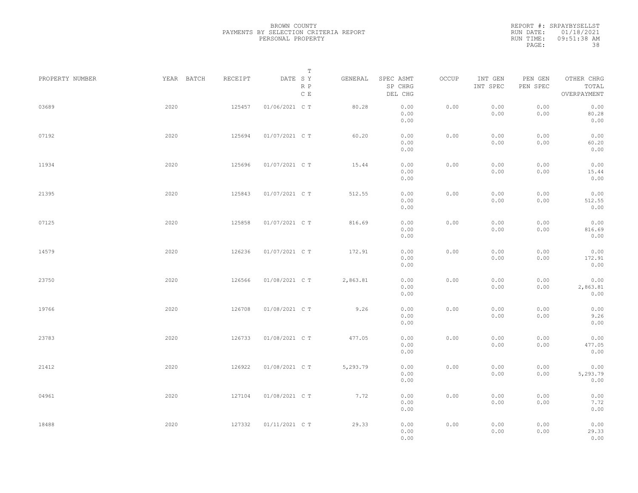| PROPERTY NUMBER | YEAR BATCH | RECEIPT | $\mathbb T$<br>DATE SY<br>R P | GENERAL  | SPEC ASMT<br>SP CHRG | OCCUP | INT GEN<br>INT SPEC | PEN GEN<br>PEN SPEC | OTHER CHRG<br>TOTAL |  |
|-----------------|------------|---------|-------------------------------|----------|----------------------|-------|---------------------|---------------------|---------------------|--|
|                 |            |         | $\mathbb C$ E                 |          | DEL CHG              |       |                     |                     | OVERPAYMENT         |  |
| 03689           | 2020       | 125457  | 01/06/2021 C T                | 80.28    | 0.00<br>0.00         | 0.00  | 0.00<br>0.00        | 0.00<br>0.00        | 0.00<br>80.28       |  |
|                 |            |         |                               |          | 0.00                 |       |                     |                     | 0.00                |  |
| 07192           | 2020       | 125694  | 01/07/2021 C T                | 60.20    | 0.00                 | 0.00  | 0.00                | 0.00                | 0.00                |  |
|                 |            |         |                               |          | 0.00<br>0.00         |       | 0.00                | 0.00                | 60.20<br>0.00       |  |
|                 |            |         |                               |          |                      |       |                     |                     |                     |  |
| 11934           | 2020       | 125696  | 01/07/2021 C T                | 15.44    | 0.00<br>0.00         | 0.00  | 0.00<br>0.00        | 0.00<br>0.00        | 0.00<br>15.44       |  |
|                 |            |         |                               |          | 0.00                 |       |                     |                     | 0.00                |  |
| 21395           | 2020       | 125843  | 01/07/2021 C T                | 512.55   | 0.00                 | 0.00  | 0.00                | 0.00                | 0.00                |  |
|                 |            |         |                               |          | 0.00                 |       | 0.00                | 0.00                | 512.55              |  |
|                 |            |         |                               |          | 0.00                 |       |                     |                     | 0.00                |  |
| 07125           | 2020       | 125858  | 01/07/2021 C T                | 816.69   | 0.00                 | 0.00  | 0.00                | 0.00                | 0.00                |  |
|                 |            |         |                               |          | 0.00<br>0.00         |       | 0.00                | 0.00                | 816.69<br>0.00      |  |
|                 |            |         |                               |          |                      |       |                     |                     |                     |  |
| 14579           | 2020       | 126236  | 01/07/2021 C T                | 172.91   | 0.00                 | 0.00  | 0.00                | 0.00                | 0.00                |  |
|                 |            |         |                               |          | 0.00<br>0.00         |       | 0.00                | 0.00                | 172.91<br>0.00      |  |
|                 |            |         |                               |          |                      |       |                     |                     |                     |  |
| 23750           | 2020       | 126566  | 01/08/2021 C T                | 2,863.81 | 0.00                 | 0.00  | 0.00                | 0.00                | 0.00                |  |
|                 |            |         |                               |          | 0.00<br>0.00         |       | 0.00                | 0.00                | 2,863.81<br>0.00    |  |
|                 |            |         |                               |          |                      |       |                     |                     |                     |  |
| 19766           | 2020       | 126708  | 01/08/2021 C T                | 9.26     | 0.00<br>0.00         | 0.00  | 0.00<br>0.00        | 0.00<br>0.00        | 0.00<br>9.26        |  |
|                 |            |         |                               |          | 0.00                 |       |                     |                     | 0.00                |  |
| 23783           | 2020       | 126733  | 01/08/2021 C T                | 477.05   | 0.00                 | 0.00  | 0.00                | 0.00                | 0.00                |  |
|                 |            |         |                               |          | 0.00                 |       | 0.00                | 0.00                | 477.05              |  |
|                 |            |         |                               |          | 0.00                 |       |                     |                     | 0.00                |  |
| 21412           | 2020       | 126922  | 01/08/2021 C T                | 5,293.79 | 0.00                 | 0.00  | 0.00                | 0.00                | 0.00                |  |
|                 |            |         |                               |          | 0.00                 |       | 0.00                | 0.00                | 5,293.79            |  |
|                 |            |         |                               |          | 0.00                 |       |                     |                     | 0.00                |  |
| 04961           | 2020       | 127104  | 01/08/2021 C T                | 7.72     | 0.00                 | 0.00  | 0.00                | 0.00                | 0.00                |  |
|                 |            |         |                               |          | 0.00                 |       | 0.00                | 0.00                | 7.72                |  |
|                 |            |         |                               |          | 0.00                 |       |                     |                     | 0.00                |  |
| 18488           | 2020       | 127332  | 01/11/2021 C T                | 29.33    | 0.00                 | 0.00  | 0.00                | 0.00                | 0.00                |  |
|                 |            |         |                               |          | 0.00<br>0.00         |       | 0.00                | 0.00                | 29.33<br>0.00       |  |
|                 |            |         |                               |          |                      |       |                     |                     |                     |  |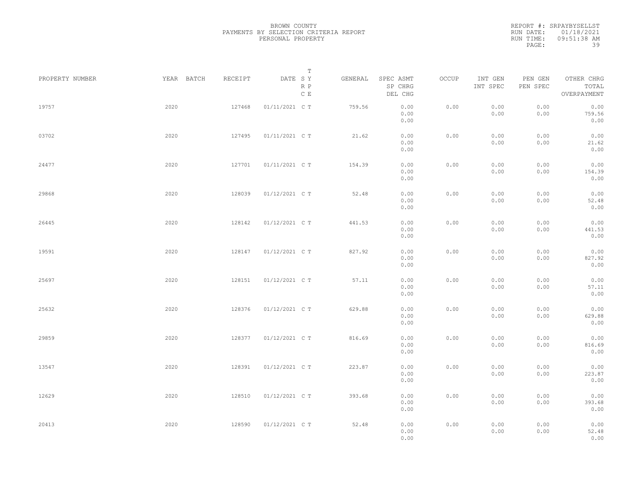| PROPERTY NUMBER | YEAR BATCH | RECEIPT | T<br>DATE SY         | GENERAL | SPEC ASMT            | OCCUP | INT GEN      | PEN GEN      | OTHER CHRG             |  |
|-----------------|------------|---------|----------------------|---------|----------------------|-------|--------------|--------------|------------------------|--|
|                 |            |         | R P<br>$\mathbb C$ E |         | SP CHRG<br>DEL CHG   |       | INT SPEC     | PEN SPEC     | TOTAL<br>OVERPAYMENT   |  |
| 19757           | 2020       | 127468  | 01/11/2021 C T       | 759.56  | 0.00<br>0.00<br>0.00 | 0.00  | 0.00<br>0.00 | 0.00<br>0.00 | 0.00<br>759.56<br>0.00 |  |
| 03702           | 2020       | 127495  | 01/11/2021 C T       | 21.62   | 0.00<br>0.00<br>0.00 | 0.00  | 0.00<br>0.00 | 0.00<br>0.00 | 0.00<br>21.62<br>0.00  |  |
| 24477           | 2020       | 127701  | 01/11/2021 C T       | 154.39  | 0.00<br>0.00<br>0.00 | 0.00  | 0.00<br>0.00 | 0.00<br>0.00 | 0.00<br>154.39<br>0.00 |  |
| 29868           | 2020       | 128039  | 01/12/2021 C T       | 52.48   | 0.00<br>0.00<br>0.00 | 0.00  | 0.00<br>0.00 | 0.00<br>0.00 | 0.00<br>52.48<br>0.00  |  |
| 26445           | 2020       | 128142  | 01/12/2021 C T       | 441.53  | 0.00<br>0.00<br>0.00 | 0.00  | 0.00<br>0.00 | 0.00<br>0.00 | 0.00<br>441.53<br>0.00 |  |
| 19591           | 2020       | 128147  | 01/12/2021 C T       | 827.92  | 0.00<br>0.00         | 0.00  | 0.00<br>0.00 | 0.00<br>0.00 | 0.00<br>827.92         |  |
| 25697           | 2020       | 128151  | 01/12/2021 C T       | 57.11   | 0.00<br>0.00<br>0.00 | 0.00  | 0.00<br>0.00 | 0.00<br>0.00 | 0.00<br>0.00<br>57.11  |  |
| 25632           | 2020       | 128376  | 01/12/2021 C T       | 629.88  | 0.00<br>0.00<br>0.00 | 0.00  | 0.00<br>0.00 | 0.00<br>0.00 | 0.00<br>0.00<br>629.88 |  |
| 29859           | 2020       | 128377  | 01/12/2021 C T       | 816.69  | 0.00<br>0.00<br>0.00 | 0.00  | 0.00<br>0.00 | 0.00<br>0.00 | 0.00<br>0.00<br>816.69 |  |
| 13547           | 2020       | 128391  | 01/12/2021 C T       | 223.87  | 0.00<br>0.00<br>0.00 | 0.00  | 0.00<br>0.00 | 0.00<br>0.00 | 0.00<br>0.00<br>223.87 |  |
| 12629           | 2020       | 128510  | 01/12/2021 C T       | 393.68  | 0.00<br>0.00         | 0.00  | 0.00         | 0.00         | 0.00<br>0.00           |  |
|                 |            |         |                      |         | 0.00<br>0.00         |       | 0.00         | 0.00         | 393.68<br>0.00         |  |
| 20413           | 2020       | 128590  | 01/12/2021 C T       | 52.48   | 0.00<br>0.00<br>0.00 | 0.00  | 0.00<br>0.00 | 0.00<br>0.00 | 0.00<br>52.48<br>0.00  |  |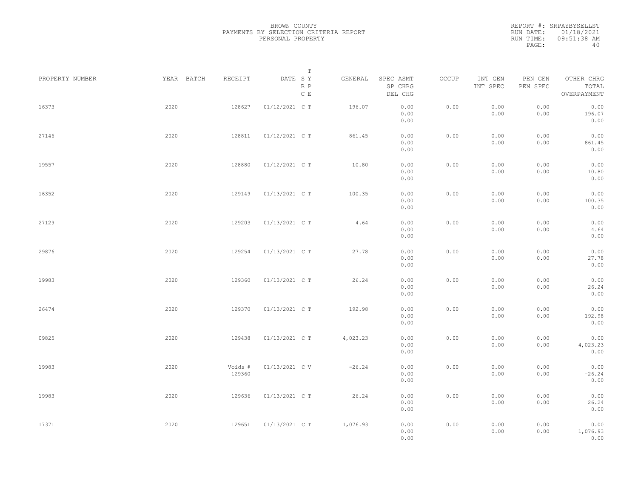| PROPERTY NUMBER |      | YEAR BATCH | RECEIPT           | DATE SY        | $\mathbb T$            | GENERAL  | SPEC ASMT            | OCCUP | INT GEN      | PEN GEN      | OTHER CHRG               |  |
|-----------------|------|------------|-------------------|----------------|------------------------|----------|----------------------|-------|--------------|--------------|--------------------------|--|
|                 |      |            |                   |                | R P<br>$\mathbb C\;$ E |          | SP CHRG<br>DEL CHG   |       | INT SPEC     | PEN SPEC     | TOTAL<br>OVERPAYMENT     |  |
| 16373           | 2020 |            | 128627            | 01/12/2021 C T |                        | 196.07   | 0.00<br>0.00<br>0.00 | 0.00  | 0.00<br>0.00 | 0.00<br>0.00 | 0.00<br>196.07<br>0.00   |  |
| 27146           | 2020 |            | 128811            | 01/12/2021 C T |                        | 861.45   | 0.00<br>0.00<br>0.00 | 0.00  | 0.00<br>0.00 | 0.00<br>0.00 | 0.00<br>861.45<br>0.00   |  |
| 19557           | 2020 |            | 128880            | 01/12/2021 C T |                        | 10.80    | 0.00<br>0.00<br>0.00 | 0.00  | 0.00<br>0.00 | 0.00<br>0.00 | 0.00<br>10.80<br>0.00    |  |
| 16352           | 2020 |            | 129149            | 01/13/2021 C T |                        | 100.35   | 0.00<br>0.00<br>0.00 | 0.00  | 0.00<br>0.00 | 0.00<br>0.00 | 0.00<br>100.35<br>0.00   |  |
| 27129           | 2020 |            | 129203            | 01/13/2021 C T |                        | 4.64     | 0.00<br>0.00<br>0.00 | 0.00  | 0.00<br>0.00 | 0.00<br>0.00 | 0.00<br>4.64<br>0.00     |  |
| 29876           | 2020 |            | 129254            | 01/13/2021 C T |                        | 27.78    | 0.00<br>0.00<br>0.00 | 0.00  | 0.00<br>0.00 | 0.00<br>0.00 | 0.00<br>27.78<br>0.00    |  |
| 19983           | 2020 |            | 129360            | 01/13/2021 C T |                        | 26.24    | 0.00<br>0.00<br>0.00 | 0.00  | 0.00<br>0.00 | 0.00<br>0.00 | 0.00<br>26.24<br>0.00    |  |
| 26474           | 2020 |            | 129370            | 01/13/2021 C T |                        | 192.98   | 0.00<br>0.00<br>0.00 | 0.00  | 0.00<br>0.00 | 0.00<br>0.00 | 0.00<br>192.98<br>0.00   |  |
| 09825           | 2020 |            | 129438            | 01/13/2021 C T |                        | 4,023.23 | 0.00<br>0.00<br>0.00 | 0.00  | 0.00<br>0.00 | 0.00<br>0.00 | 0.00<br>4,023.23<br>0.00 |  |
| 19983           | 2020 |            | Voids #<br>129360 | 01/13/2021 C V |                        | $-26.24$ | 0.00<br>0.00<br>0.00 | 0.00  | 0.00<br>0.00 | 0.00<br>0.00 | 0.00<br>$-26.24$<br>0.00 |  |
| 19983           | 2020 |            | 129636            | 01/13/2021 C T |                        | 26.24    | 0.00<br>0.00<br>0.00 | 0.00  | 0.00<br>0.00 | 0.00<br>0.00 | 0.00<br>26.24<br>0.00    |  |
| 17371           | 2020 |            | 129651            | 01/13/2021 C T |                        | 1,076.93 | 0.00<br>0.00<br>0.00 | 0.00  | 0.00<br>0.00 | 0.00<br>0.00 | 0.00<br>1,076.93<br>0.00 |  |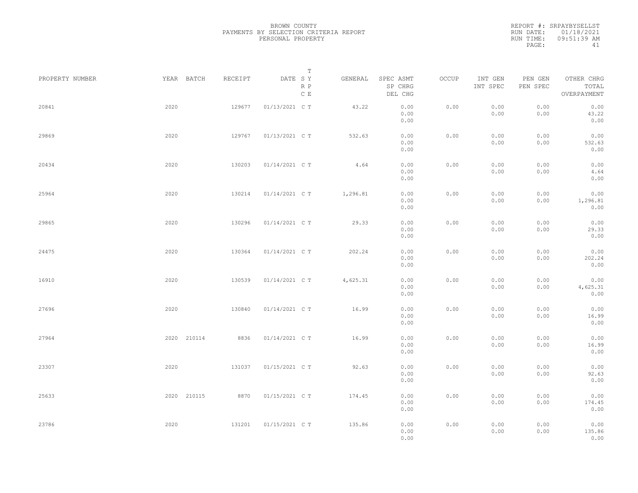| PROPERTY NUMBER |      | YEAR BATCH  | RECEIPT | DATE SY        | T<br>R P<br>$\,$ C $\,$ E | GENERAL  | SPEC ASMT<br>SP CHRG<br>DEL CHG | OCCUP | INT GEN<br>INT SPEC | PEN GEN<br>PEN SPEC | OTHER CHRG<br>TOTAL<br>OVERPAYMENT |  |
|-----------------|------|-------------|---------|----------------|---------------------------|----------|---------------------------------|-------|---------------------|---------------------|------------------------------------|--|
| 20841           | 2020 |             | 129677  | 01/13/2021 C T |                           | 43.22    | 0.00<br>0.00<br>0.00            | 0.00  | 0.00<br>0.00        | 0.00<br>0.00        | 0.00<br>43.22<br>0.00              |  |
| 29869           | 2020 |             | 129767  | 01/13/2021 C T |                           | 532.63   | 0.00<br>0.00<br>0.00            | 0.00  | 0.00<br>0.00        | 0.00<br>0.00        | 0.00<br>532.63<br>0.00             |  |
| 20434           | 2020 |             | 130203  | 01/14/2021 C T |                           | 4.64     | 0.00<br>0.00<br>0.00            | 0.00  | 0.00<br>0.00        | 0.00<br>0.00        | 0.00<br>4.64<br>0.00               |  |
| 25964           | 2020 |             | 130214  | 01/14/2021 C T |                           | 1,296.81 | 0.00<br>0.00<br>0.00            | 0.00  | 0.00<br>0.00        | 0.00<br>0.00        | 0.00<br>1,296.81<br>0.00           |  |
| 29865           | 2020 |             | 130296  | 01/14/2021 C T |                           | 29.33    | 0.00<br>0.00<br>0.00            | 0.00  | 0.00<br>0.00        | 0.00<br>0.00        | 0.00<br>29.33<br>0.00              |  |
| 24475           | 2020 |             | 130364  | 01/14/2021 C T |                           | 202.24   | 0.00<br>0.00<br>0.00            | 0.00  | 0.00<br>0.00        | 0.00<br>0.00        | 0.00<br>202.24<br>0.00             |  |
| 16910           | 2020 |             | 130539  | 01/14/2021 C T |                           | 4,625.31 | 0.00<br>0.00<br>0.00            | 0.00  | 0.00<br>0.00        | 0.00<br>0.00        | 0.00<br>4,625.31<br>0.00           |  |
| 27696           | 2020 |             | 130840  | 01/14/2021 C T |                           | 16.99    | 0.00<br>0.00<br>0.00            | 0.00  | 0.00<br>0.00        | 0.00<br>0.00        | 0.00<br>16.99<br>0.00              |  |
| 27964           |      | 2020 210114 | 8836    | 01/14/2021 C T |                           | 16.99    | 0.00<br>0.00<br>0.00            | 0.00  | 0.00<br>0.00        | 0.00<br>0.00        | 0.00<br>16.99<br>0.00              |  |
| 23307           | 2020 |             | 131037  | 01/15/2021 C T |                           | 92.63    | 0.00<br>0.00<br>0.00            | 0.00  | 0.00<br>0.00        | 0.00<br>0.00        | 0.00<br>92.63<br>0.00              |  |
| 25633           |      | 2020 210115 | 8870    | 01/15/2021 C T |                           | 174.45   | 0.00<br>0.00<br>0.00            | 0.00  | 0.00<br>0.00        | 0.00<br>0.00        | 0.00<br>174.45<br>0.00             |  |
| 23786           | 2020 |             | 131201  | 01/15/2021 C T |                           | 135.86   | 0.00<br>0.00<br>0.00            | 0.00  | 0.00<br>0.00        | 0.00<br>0.00        | 0.00<br>135.86<br>0.00             |  |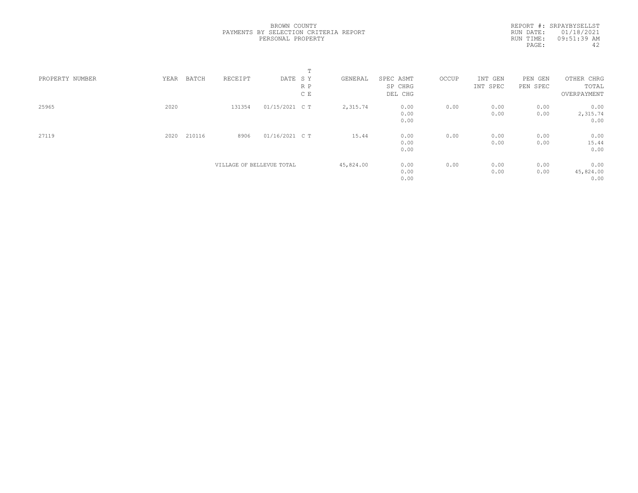|                 |      |        |         |                           | $\blacksquare$ |           |           |       |          |            |             |
|-----------------|------|--------|---------|---------------------------|----------------|-----------|-----------|-------|----------|------------|-------------|
| PROPERTY NUMBER | YEAR | BATCH  | RECEIPT | DATE SY                   |                | GENERAL   | SPEC ASMT | OCCUP | INT GEN  | PEN<br>GEN | OTHER CHRG  |
|                 |      |        |         |                           | R P            |           | SP CHRG   |       | INT SPEC | PEN SPEC   | TOTAL       |
|                 |      |        |         |                           | C E            |           | DEL CHG   |       |          |            | OVERPAYMENT |
| 25965           | 2020 |        | 131354  | 01/15/2021 C T            |                | 2,315.74  | 0.00      | 0.00  | 0.00     | 0.00       | 0.00        |
|                 |      |        |         |                           |                |           | 0.00      |       | 0.00     | 0.00       | 2,315.74    |
|                 |      |        |         |                           |                |           | 0.00      |       |          |            | 0.00        |
| 27119           | 2020 | 210116 | 8906    | 01/16/2021 C T            |                | 15.44     | 0.00      | 0.00  | 0.00     | 0.00       | 0.00        |
|                 |      |        |         |                           |                |           | 0.00      |       | 0.00     | 0.00       | 15.44       |
|                 |      |        |         |                           |                |           | 0.00      |       |          |            | 0.00        |
|                 |      |        |         | VILLAGE OF BELLEVUE TOTAL |                | 45,824.00 | 0.00      | 0.00  | 0.00     | 0.00       | 0.00        |
|                 |      |        |         |                           |                |           | 0.00      |       | 0.00     | 0.00       | 45,824.00   |
|                 |      |        |         |                           |                |           | 0.00      |       |          |            | 0.00        |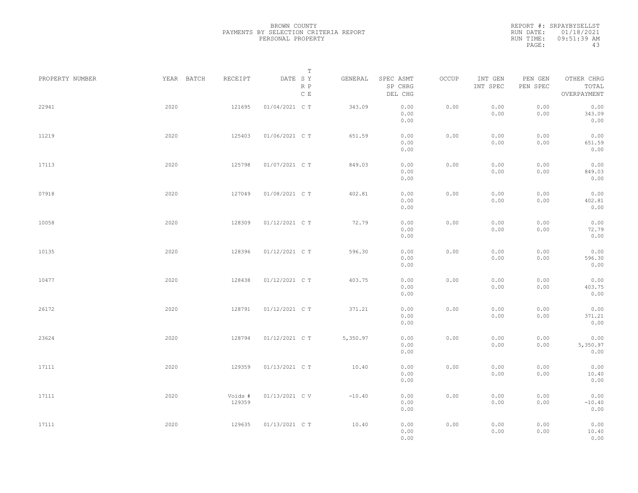|                 |            |                   | $\mathbb T$                                           |          |                                 |       |                     |                                     |                                    |
|-----------------|------------|-------------------|-------------------------------------------------------|----------|---------------------------------|-------|---------------------|-------------------------------------|------------------------------------|
| PROPERTY NUMBER | YEAR BATCH | RECEIPT           | DATE SY<br>$\mathbb R$ $\mathbb P$<br>$\mathbb C\;$ E | GENERAL  | SPEC ASMT<br>SP CHRG<br>DEL CHG | OCCUP | INT GEN<br>INT SPEC | PEN GEN<br>${\tt PEN}$ ${\tt SPEC}$ | OTHER CHRG<br>TOTAL<br>OVERPAYMENT |
| 22941           | 2020       | 121695            | 01/04/2021 C T                                        | 343.09   | 0.00<br>0.00<br>0.00            | 0.00  | 0.00<br>0.00        | 0.00<br>0.00                        | 0.00<br>343.09<br>0.00             |
| 11219           | 2020       | 125403            | 01/06/2021 C T                                        | 651.59   | 0.00<br>0.00<br>0.00            | 0.00  | 0.00<br>0.00        | 0.00<br>0.00                        | 0.00<br>651.59<br>0.00             |
| 17113           | 2020       | 125798            | 01/07/2021 C T                                        | 849.03   | 0.00<br>0.00<br>0.00            | 0.00  | 0.00<br>0.00        | 0.00<br>0.00                        | 0.00<br>849.03<br>0.00             |
| 07918           | 2020       | 127049            | 01/08/2021 C T                                        | 402.81   | 0.00<br>0.00<br>0.00            | 0.00  | 0.00<br>0.00        | 0.00<br>0.00                        | 0.00<br>402.81<br>0.00             |
| 10058           | 2020       | 128309            | 01/12/2021 C T                                        | 72.79    | 0.00<br>0.00<br>0.00            | 0.00  | 0.00<br>0.00        | 0.00<br>0.00                        | 0.00<br>72.79<br>0.00              |
| 10135           | 2020       | 128396            | 01/12/2021 C T                                        | 596.30   | 0.00<br>0.00<br>0.00            | 0.00  | 0.00<br>0.00        | 0.00<br>0.00                        | 0.00<br>596.30<br>0.00             |
| 10477           | 2020       | 128438            | 01/12/2021 C T                                        | 403.75   | 0.00<br>0.00<br>0.00            | 0.00  | 0.00<br>0.00        | 0.00<br>0.00                        | 0.00<br>403.75<br>0.00             |
| 26172           | 2020       | 128791            | 01/12/2021 C T                                        | 371.21   | 0.00<br>0.00<br>0.00            | 0.00  | 0.00<br>0.00        | 0.00<br>0.00                        | 0.00<br>371.21<br>0.00             |
| 23624           | 2020       | 128794            | 01/12/2021 C T                                        | 5,350.97 | 0.00<br>0.00<br>0.00            | 0.00  | 0.00<br>0.00        | 0.00<br>0.00                        | 0.00<br>5,350.97<br>0.00           |
| 17111           | 2020       | 129359            | 01/13/2021 C T                                        | 10.40    | 0.00<br>0.00<br>0.00            | 0.00  | 0.00<br>0.00        | 0.00<br>0.00                        | 0.00<br>10.40<br>0.00              |
| 17111           | 2020       | Voids #<br>129359 | 01/13/2021 C V                                        | $-10.40$ | 0.00<br>0.00<br>0.00            | 0.00  | 0.00<br>0.00        | 0.00<br>0.00                        | 0.00<br>$-10.40$<br>0.00           |
| 17111           | 2020       | 129635            | 01/13/2021 C T                                        | 10.40    | 0.00<br>0.00<br>0.00            | 0.00  | 0.00<br>0.00        | 0.00<br>0.00                        | 0.00<br>10.40<br>0.00              |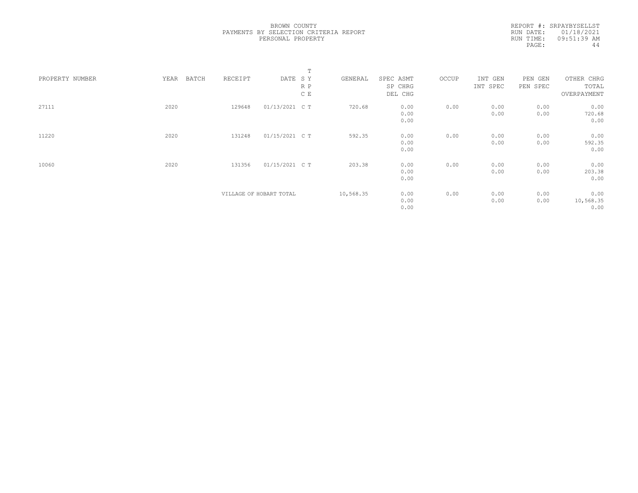|                 |               |         |                         | Т   |           |           |       |          |          |             |  |
|-----------------|---------------|---------|-------------------------|-----|-----------|-----------|-------|----------|----------|-------------|--|
| PROPERTY NUMBER | YEAR<br>BATCH | RECEIPT | DATE SY                 |     | GENERAL   | SPEC ASMT | OCCUP | INT GEN  | PEN GEN  | OTHER CHRG  |  |
|                 |               |         |                         | R P |           | SP CHRG   |       | INT SPEC | PEN SPEC | TOTAL       |  |
|                 |               |         |                         | C E |           | DEL CHG   |       |          |          | OVERPAYMENT |  |
| 27111           | 2020          | 129648  | 01/13/2021 C T          |     | 720.68    | 0.00      | 0.00  | 0.00     | 0.00     | 0.00        |  |
|                 |               |         |                         |     |           | 0.00      |       | 0.00     | 0.00     | 720.68      |  |
|                 |               |         |                         |     |           | 0.00      |       |          |          | 0.00        |  |
| 11220           | 2020          | 131248  | 01/15/2021 C T          |     | 592.35    | 0.00      | 0.00  | 0.00     | 0.00     | 0.00        |  |
|                 |               |         |                         |     |           | 0.00      |       | 0.00     | 0.00     | 592.35      |  |
|                 |               |         |                         |     |           | 0.00      |       |          |          | 0.00        |  |
| 10060           | 2020          | 131356  | 01/15/2021 C T          |     | 203.38    | 0.00      | 0.00  | 0.00     | 0.00     | 0.00        |  |
|                 |               |         |                         |     |           | 0.00      |       | 0.00     | 0.00     | 203.38      |  |
|                 |               |         |                         |     |           | 0.00      |       |          |          | 0.00        |  |
|                 |               |         | VILLAGE OF HOBART TOTAL |     | 10,568.35 | 0.00      | 0.00  | 0.00     | 0.00     | 0.00        |  |
|                 |               |         |                         |     |           | 0.00      |       | 0.00     | 0.00     | 10,568.35   |  |
|                 |               |         |                         |     |           | 0.00      |       |          |          | 0.00        |  |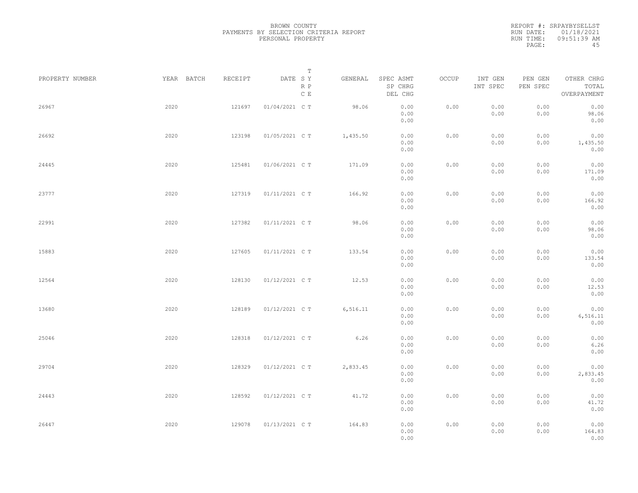| PROPERTY NUMBER | YEAR BATCH | RECEIPT | Т<br>DATE SY<br>R P<br>$\,$ C $\,$ E | GENERAL   | SPEC ASMT<br>SP CHRG<br>DEL CHG | OCCUP | INT GEN<br>INT SPEC | PEN GEN<br>PEN SPEC | OTHER CHRG<br>TOTAL<br>OVERPAYMENT |  |
|-----------------|------------|---------|--------------------------------------|-----------|---------------------------------|-------|---------------------|---------------------|------------------------------------|--|
| 26967           | 2020       | 121697  | 01/04/2021 C T                       | 98.06     | 0.00<br>0.00<br>0.00            | 0.00  | 0.00<br>0.00        | 0.00<br>0.00        | 0.00<br>98.06<br>0.00              |  |
| 26692           | 2020       | 123198  | 01/05/2021 C T                       | 1,435.50  | 0.00<br>0.00<br>0.00            | 0.00  | 0.00<br>0.00        | 0.00<br>0.00        | 0.00<br>1,435.50<br>0.00           |  |
| 24445           | 2020       | 125481  | 01/06/2021 C T                       | 171.09    | 0.00<br>0.00<br>0.00            | 0.00  | 0.00<br>0.00        | 0.00<br>0.00        | 0.00<br>171.09<br>0.00             |  |
| 23777           | 2020       | 127319  | 01/11/2021 C T                       | 166.92    | 0.00<br>0.00<br>0.00            | 0.00  | 0.00<br>0.00        | 0.00<br>0.00        | 0.00<br>166.92<br>0.00             |  |
| 22991           | 2020       | 127382  | 01/11/2021 C T                       | 98.06     | 0.00<br>0.00<br>0.00            | 0.00  | 0.00<br>0.00        | 0.00<br>0.00        | 0.00<br>98.06<br>0.00              |  |
| 15883           | 2020       | 127605  | 01/11/2021 C T                       | 133.54    | 0.00<br>0.00<br>0.00            | 0.00  | 0.00<br>0.00        | 0.00<br>0.00        | 0.00<br>133.54<br>0.00             |  |
| 12564           | 2020       | 128130  | 01/12/2021 C T                       | 12.53     | 0.00<br>0.00<br>0.00            | 0.00  | 0.00<br>0.00        | 0.00<br>0.00        | 0.00<br>12.53<br>0.00              |  |
| 13680           | 2020       | 128189  | 01/12/2021 C T                       | 6, 516.11 | 0.00<br>0.00<br>0.00            | 0.00  | 0.00<br>0.00        | 0.00<br>0.00        | 0.00<br>6, 516.11<br>0.00          |  |
| 25046           | 2020       | 128318  | 01/12/2021 C T                       | 6.26      | 0.00<br>0.00<br>0.00            | 0.00  | 0.00<br>0.00        | 0.00<br>0.00        | 0.00<br>6.26<br>0.00               |  |
| 29704           | 2020       | 128329  | 01/12/2021 C T                       | 2,833.45  | 0.00<br>0.00<br>0.00            | 0.00  | 0.00<br>0.00        | 0.00<br>0.00        | 0.00<br>2,833.45<br>0.00           |  |
| 24443           | 2020       | 128592  | 01/12/2021 C T                       | 41.72     | 0.00<br>0.00<br>0.00            | 0.00  | 0.00<br>0.00        | 0.00<br>0.00        | 0.00<br>41.72<br>0.00              |  |
| 26447           | 2020       | 129078  | 01/13/2021 C T                       | 164.83    | 0.00<br>0.00<br>0.00            | 0.00  | 0.00<br>0.00        | 0.00<br>0.00        | 0.00<br>164.83<br>0.00             |  |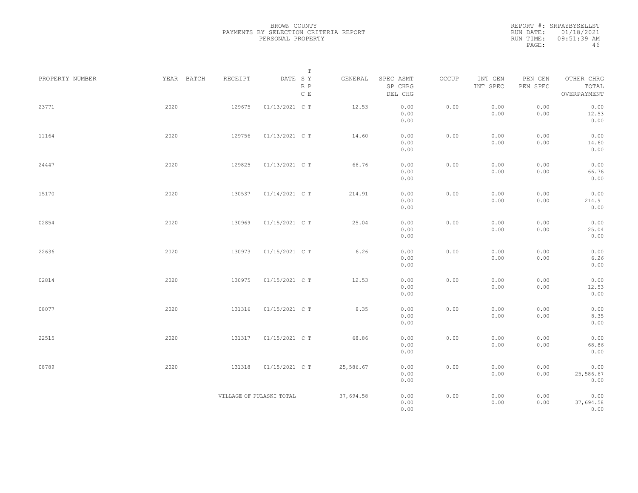|                 |            |                          | $\mathbb T$               |           |                                 |       |                     |                     |                                    |  |
|-----------------|------------|--------------------------|---------------------------|-----------|---------------------------------|-------|---------------------|---------------------|------------------------------------|--|
| PROPERTY NUMBER | YEAR BATCH | RECEIPT                  | DATE SY<br>$R$ $P$<br>C E | GENERAL   | SPEC ASMT<br>SP CHRG<br>DEL CHG | OCCUP | INT GEN<br>INT SPEC | PEN GEN<br>PEN SPEC | OTHER CHRG<br>TOTAL<br>OVERPAYMENT |  |
| 23771           | 2020       | 129675                   | 01/13/2021 C T            | 12.53     | 0.00<br>0.00<br>0.00            | 0.00  | 0.00<br>0.00        | 0.00<br>0.00        | 0.00<br>12.53<br>0.00              |  |
| 11164           | 2020       | 129756                   | 01/13/2021 C T            | 14.60     | 0.00<br>0.00<br>0.00            | 0.00  | 0.00<br>0.00        | 0.00<br>0.00        | 0.00<br>14.60<br>0.00              |  |
| 24447           | 2020       | 129825                   | 01/13/2021 C T            | 66.76     | 0.00<br>0.00<br>0.00            | 0.00  | 0.00<br>0.00        | 0.00<br>0.00        | 0.00<br>66.76<br>0.00              |  |
| 15170           | 2020       | 130537                   | 01/14/2021 C T            | 214.91    | 0.00<br>0.00<br>0.00            | 0.00  | 0.00<br>0.00        | 0.00<br>0.00        | 0.00<br>214.91<br>0.00             |  |
| 02854           | 2020       | 130969                   | 01/15/2021 C T            | 25.04     | 0.00<br>0.00<br>0.00            | 0.00  | 0.00<br>0.00        | 0.00<br>0.00        | 0.00<br>25.04<br>0.00              |  |
| 22636           | 2020       | 130973                   | 01/15/2021 C T            | 6.26      | 0.00<br>0.00<br>0.00            | 0.00  | 0.00<br>0.00        | 0.00<br>0.00        | 0.00<br>6.26<br>0.00               |  |
| 02814           | 2020       | 130975                   | 01/15/2021 C T            | 12.53     | 0.00<br>0.00<br>0.00            | 0.00  | 0.00<br>0.00        | 0.00<br>0.00        | 0.00<br>12.53<br>0.00              |  |
| 08077           | 2020       | 131316                   | 01/15/2021 C T            | 8.35      | 0.00<br>0.00<br>0.00            | 0.00  | 0.00<br>0.00        | 0.00<br>0.00        | 0.00<br>8.35<br>0.00               |  |
| 22515           | 2020       | 131317                   | 01/15/2021 C T            | 68.86     | 0.00<br>0.00<br>0.00            | 0.00  | 0.00<br>0.00        | 0.00<br>0.00        | 0.00<br>68.86<br>0.00              |  |
| 08789           | 2020       | 131318                   | 01/15/2021 C T            | 25,586.67 | 0.00<br>0.00<br>0.00            | 0.00  | 0.00<br>0.00        | 0.00<br>0.00        | 0.00<br>25,586.67<br>0.00          |  |
|                 |            | VILLAGE OF PULASKI TOTAL |                           | 37,694.58 | 0.00<br>0.00<br>0.00            | 0.00  | 0.00<br>0.00        | 0.00<br>0.00        | 0.00<br>37,694.58<br>0.00          |  |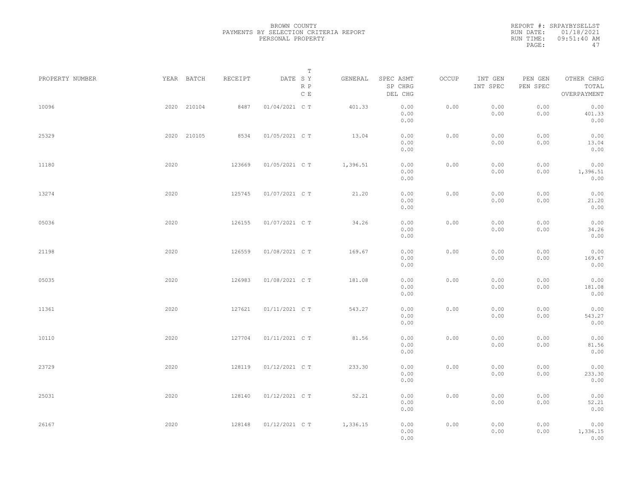| PROPERTY NUMBER | YEAR BATCH  | RECEIPT | DATE SY        | T<br>GENERAL         | SPEC ASMT                    | OCCUP | INT GEN      | PEN GEN      | OTHER CHRG                     |  |
|-----------------|-------------|---------|----------------|----------------------|------------------------------|-------|--------------|--------------|--------------------------------|--|
|                 |             |         |                | R P<br>$\mathbb C$ E | SP CHRG<br>DEL CHG           |       | INT SPEC     | PEN SPEC     | TOTAL<br>OVERPAYMENT           |  |
| 10096           | 2020 210104 | 8487    | 01/04/2021 C T | 401.33               | 0.00<br>0.00<br>0.00         | 0.00  | 0.00<br>0.00 | 0.00<br>0.00 | 0.00<br>401.33<br>0.00         |  |
| 25329           | 2020 210105 | 8534    | 01/05/2021 C T | 13.04                | 0.00<br>0.00<br>0.00         | 0.00  | 0.00<br>0.00 | 0.00<br>0.00 | 0.00<br>13.04<br>0.00          |  |
| 11180           | 2020        | 123669  | 01/05/2021 C T | 1,396.51             | 0.00<br>0.00<br>0.00         | 0.00  | 0.00<br>0.00 | 0.00<br>0.00 | 0.00<br>1,396.51<br>0.00       |  |
| 13274           | 2020        | 125745  | 01/07/2021 C T | 21.20                | 0.00<br>0.00<br>0.00         | 0.00  | 0.00<br>0.00 | 0.00<br>0.00 | 0.00<br>21.20<br>0.00          |  |
| 05036           | 2020        | 126155  | 01/07/2021 C T | 34.26                | 0.00<br>0.00<br>0.00         | 0.00  | 0.00<br>0.00 | 0.00<br>0.00 | 0.00<br>34.26<br>0.00          |  |
| 21198           | 2020        | 126559  | 01/08/2021 C T | 169.67               | 0.00<br>0.00<br>0.00         | 0.00  | 0.00<br>0.00 | 0.00<br>0.00 | 0.00<br>169.67<br>0.00         |  |
| 05035           | 2020        | 126983  | 01/08/2021 C T | 181.08               | 0.00<br>0.00<br>0.00         | 0.00  | 0.00<br>0.00 | 0.00<br>0.00 | 0.00<br>181.08<br>0.00         |  |
| 11361           | 2020        | 127621  | 01/11/2021 C T | 543.27               | 0.00<br>0.00<br>0.00         | 0.00  | 0.00<br>0.00 | 0.00<br>0.00 | 0.00<br>543.27<br>0.00         |  |
| 10110           | 2020        | 127704  | 01/11/2021 C T | 81.56                | 0.00<br>0.00                 | 0.00  | 0.00<br>0.00 | 0.00<br>0.00 | 0.00<br>81.56                  |  |
| 23729           | 2020        | 128119  | 01/12/2021 C T | 233.30               | 0.00<br>0.00<br>0.00<br>0.00 | 0.00  | 0.00<br>0.00 | 0.00<br>0.00 | 0.00<br>0.00<br>233.30<br>0.00 |  |
| 25031           | 2020        | 128140  | 01/12/2021 C T | 52.21                | 0.00<br>0.00<br>0.00         | 0.00  | 0.00<br>0.00 | 0.00<br>0.00 | 0.00<br>52.21<br>0.00          |  |
| 26167           | 2020        | 128148  | 01/12/2021 C T | 1,336.15             | 0.00<br>0.00<br>0.00         | 0.00  | 0.00<br>0.00 | 0.00<br>0.00 | 0.00<br>1,336.15<br>0.00       |  |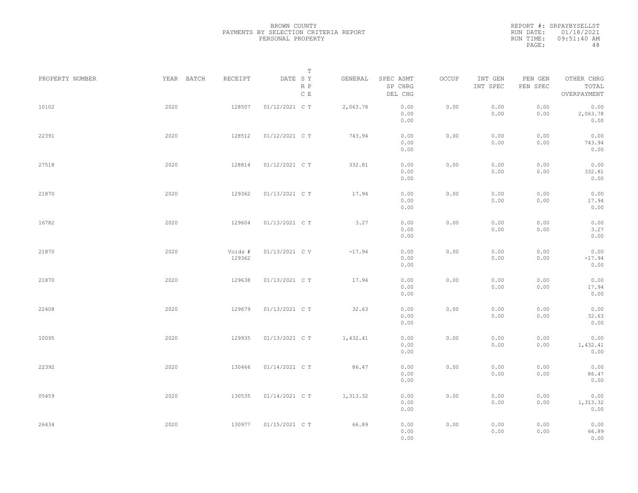|                 |            |                   | Т                               |          |                                 |       |                     |                     |                                    |  |
|-----------------|------------|-------------------|---------------------------------|----------|---------------------------------|-------|---------------------|---------------------|------------------------------------|--|
| PROPERTY NUMBER | YEAR BATCH | RECEIPT           | DATE SY<br>R P<br>$\,$ C $\,$ E | GENERAL  | SPEC ASMT<br>SP CHRG<br>DEL CHG | OCCUP | INT GEN<br>INT SPEC | PEN GEN<br>PEN SPEC | OTHER CHRG<br>TOTAL<br>OVERPAYMENT |  |
| 10102           | 2020       | 128507            | 01/12/2021 C T                  | 2,063.78 | 0.00<br>0.00<br>0.00            | 0.00  | 0.00<br>0.00        | 0.00<br>0.00        | 0.00<br>2,063.78<br>0.00           |  |
| 22391           | 2020       | 128512            | 01/12/2021 C T                  | 743.94   | 0.00<br>0.00<br>0.00            | 0.00  | 0.00<br>0.00        | 0.00<br>0.00        | 0.00<br>743.94<br>0.00             |  |
| 27518           | 2020       | 128814            | 01/12/2021 C T                  | 332.81   | 0.00<br>0.00<br>0.00            | 0.00  | 0.00<br>0.00        | 0.00<br>0.00        | 0.00<br>332.81<br>0.00             |  |
| 21870           | 2020       | 129362            | 01/13/2021 C T                  | 17.94    | 0.00<br>0.00<br>0.00            | 0.00  | 0.00<br>0.00        | 0.00<br>0.00        | 0.00<br>17.94<br>0.00              |  |
| 16782           | 2020       | 129604            | 01/13/2021 C T                  | 3.27     | 0.00<br>0.00<br>0.00            | 0.00  | 0.00<br>0.00        | 0.00<br>0.00        | 0.00<br>3.27<br>0.00               |  |
| 21870           | 2020       | Voids #<br>129362 | 01/13/2021 C V                  | $-17.94$ | 0.00<br>0.00<br>0.00            | 0.00  | 0.00<br>0.00        | 0.00<br>0.00        | 0.00<br>$-17.94$<br>0.00           |  |
| 21870           | 2020       | 129638            | 01/13/2021 C T                  | 17.94    | 0.00<br>0.00<br>0.00            | 0.00  | 0.00<br>0.00        | 0.00<br>0.00        | 0.00<br>17.94<br>0.00              |  |
| 22408           | 2020       | 129679            | 01/13/2021 C T                  | 32.63    | 0.00<br>0.00<br>0.00            | 0.00  | 0.00<br>0.00        | 0.00<br>0.00        | 0.00<br>32.63<br>0.00              |  |
| 10095           | 2020       | 129935            | 01/13/2021 C T                  | 1,432.41 | 0.00<br>0.00<br>0.00            | 0.00  | 0.00<br>0.00        | 0.00<br>0.00        | 0.00<br>1,432.41<br>0.00           |  |
| 22392           | 2020       | 130466            | 01/14/2021 C T                  | 86.47    | 0.00<br>0.00<br>0.00            | 0.00  | 0.00<br>0.00        | 0.00<br>0.00        | 0.00<br>86.47<br>0.00              |  |
| 05459           | 2020       | 130535            | 01/14/2021 C T                  | 1,313.32 | 0.00<br>0.00<br>0.00            | 0.00  | 0.00<br>0.00        | 0.00<br>0.00        | 0.00<br>1,313.32<br>0.00           |  |
| 26434           | 2020       | 130977            | 01/15/2021 C T                  | 66.89    | 0.00<br>0.00<br>0.00            | 0.00  | 0.00<br>0.00        | 0.00<br>0.00        | 0.00<br>66.89<br>0.00              |  |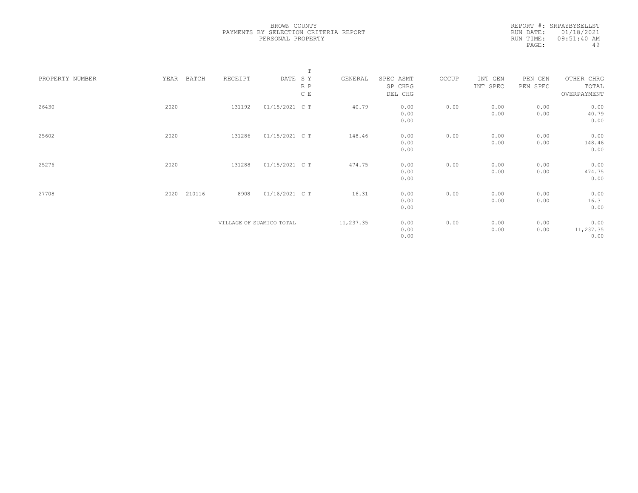|                 |      |        |                          |                | $\mathbb T$ |           |           |       |          |          |             |  |
|-----------------|------|--------|--------------------------|----------------|-------------|-----------|-----------|-------|----------|----------|-------------|--|
| PROPERTY NUMBER | YEAR | BATCH  | RECEIPT                  | DATE SY        |             | GENERAL   | SPEC ASMT | OCCUP | INT GEN  | PEN GEN  | OTHER CHRG  |  |
|                 |      |        |                          |                | R P         |           | SP CHRG   |       | INT SPEC | PEN SPEC | TOTAL       |  |
|                 |      |        |                          |                | C E         |           | DEL CHG   |       |          |          | OVERPAYMENT |  |
|                 |      |        |                          |                |             |           |           |       |          |          |             |  |
| 26430           | 2020 |        | 131192                   | 01/15/2021 C T |             | 40.79     | 0.00      | 0.00  | 0.00     | 0.00     | 0.00        |  |
|                 |      |        |                          |                |             |           | 0.00      |       | 0.00     | 0.00     | 40.79       |  |
|                 |      |        |                          |                |             |           | 0.00      |       |          |          | 0.00        |  |
|                 |      |        |                          |                |             |           |           |       |          |          |             |  |
| 25602           | 2020 |        | 131286                   | 01/15/2021 C T |             | 148.46    | 0.00      | 0.00  | 0.00     | 0.00     | 0.00        |  |
|                 |      |        |                          |                |             |           | 0.00      |       | 0.00     | 0.00     | 148.46      |  |
|                 |      |        |                          |                |             |           | 0.00      |       |          |          | 0.00        |  |
|                 |      |        |                          |                |             |           |           |       |          |          |             |  |
| 25276           | 2020 |        | 131288                   | 01/15/2021 C T |             | 474.75    | 0.00      | 0.00  | 0.00     | 0.00     | 0.00        |  |
|                 |      |        |                          |                |             |           | 0.00      |       | 0.00     | 0.00     | 474.75      |  |
|                 |      |        |                          |                |             |           | 0.00      |       |          |          | 0.00        |  |
|                 |      |        |                          |                |             |           |           |       |          |          |             |  |
| 27708           | 2020 | 210116 | 8908                     | 01/16/2021 C T |             | 16.31     | 0.00      | 0.00  | 0.00     | 0.00     | 0.00        |  |
|                 |      |        |                          |                |             |           | 0.00      |       | 0.00     | 0.00     | 16.31       |  |
|                 |      |        |                          |                |             |           | 0.00      |       |          |          | 0.00        |  |
|                 |      |        |                          |                |             |           |           |       |          |          |             |  |
|                 |      |        | VILLAGE OF SUAMICO TOTAL |                |             | 11,237.35 | 0.00      | 0.00  | 0.00     | 0.00     | 0.00        |  |
|                 |      |        |                          |                |             |           | 0.00      |       | 0.00     | 0.00     | 11,237.35   |  |
|                 |      |        |                          |                |             |           | 0.00      |       |          |          | 0.00        |  |
|                 |      |        |                          |                |             |           |           |       |          |          |             |  |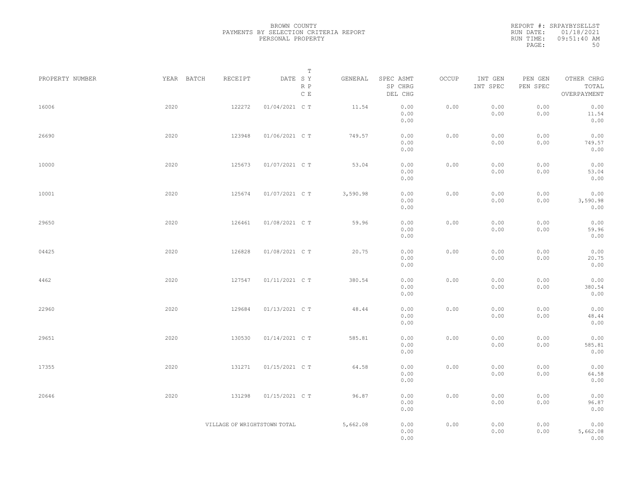| PROPERTY NUMBER | YEAR BATCH | RECEIPT                      | T<br>DATE SY                             | GENERAL  | SPEC ASMT            | OCCUP | INT GEN      | PEN GEN      | OTHER CHRG               |  |
|-----------------|------------|------------------------------|------------------------------------------|----------|----------------------|-------|--------------|--------------|--------------------------|--|
|                 |            |                              | $\mathbb R$ $\mathbb P$<br>$\mathbb C$ E |          | SP CHRG<br>DEL CHG   |       | INT SPEC     | PEN SPEC     | TOTAL<br>OVERPAYMENT     |  |
| 16006           | 2020       | 122272                       | 01/04/2021 C T                           | 11.54    | 0.00<br>0.00<br>0.00 | 0.00  | 0.00<br>0.00 | 0.00<br>0.00 | 0.00<br>11.54<br>0.00    |  |
| 26690           | 2020       | 123948                       | 01/06/2021 C T                           | 749.57   | 0.00<br>0.00<br>0.00 | 0.00  | 0.00<br>0.00 | 0.00<br>0.00 | 0.00<br>749.57<br>0.00   |  |
| 10000           | 2020       | 125673                       | 01/07/2021 C T                           | 53.04    | 0.00<br>0.00<br>0.00 | 0.00  | 0.00<br>0.00 | 0.00<br>0.00 | 0.00<br>53.04<br>0.00    |  |
| 10001           | 2020       | 125674                       | 01/07/2021 C T                           | 3,590.98 | 0.00<br>0.00<br>0.00 | 0.00  | 0.00<br>0.00 | 0.00<br>0.00 | 0.00<br>3,590.98<br>0.00 |  |
| 29650           | 2020       | 126461                       | 01/08/2021 C T                           | 59.96    | 0.00<br>0.00<br>0.00 | 0.00  | 0.00<br>0.00 | 0.00<br>0.00 | 0.00<br>59.96<br>0.00    |  |
| 04425           | 2020       | 126828                       | 01/08/2021 C T                           | 20.75    | 0.00<br>0.00<br>0.00 | 0.00  | 0.00<br>0.00 | 0.00<br>0.00 | 0.00<br>20.75<br>0.00    |  |
| 4462            | 2020       | 127547                       | 01/11/2021 C T                           | 380.54   | 0.00<br>0.00<br>0.00 | 0.00  | 0.00<br>0.00 | 0.00<br>0.00 | 0.00<br>380.54<br>0.00   |  |
| 22960           | 2020       | 129684                       | 01/13/2021 C T                           | 48.44    | 0.00<br>0.00<br>0.00 | 0.00  | 0.00<br>0.00 | 0.00<br>0.00 | 0.00<br>48.44<br>0.00    |  |
| 29651           | 2020       | 130530                       | 01/14/2021 C T                           | 585.81   | 0.00<br>0.00<br>0.00 | 0.00  | 0.00<br>0.00 | 0.00<br>0.00 | 0.00<br>585.81<br>0.00   |  |
| 17355           | 2020       | 131271                       | 01/15/2021 C T                           | 64.58    | 0.00<br>0.00<br>0.00 | 0.00  | 0.00<br>0.00 | 0.00<br>0.00 | 0.00<br>64.58<br>0.00    |  |
| 20646           | 2020       | 131298                       | 01/15/2021 C T                           | 96.87    | 0.00<br>0.00<br>0.00 | 0.00  | 0.00<br>0.00 | 0.00<br>0.00 | 0.00<br>96.87<br>0.00    |  |
|                 |            | VILLAGE OF WRIGHTSTOWN TOTAL |                                          | 5,662.08 | 0.00<br>0.00<br>0.00 | 0.00  | 0.00<br>0.00 | 0.00<br>0.00 | 0.00<br>5,662.08<br>0.00 |  |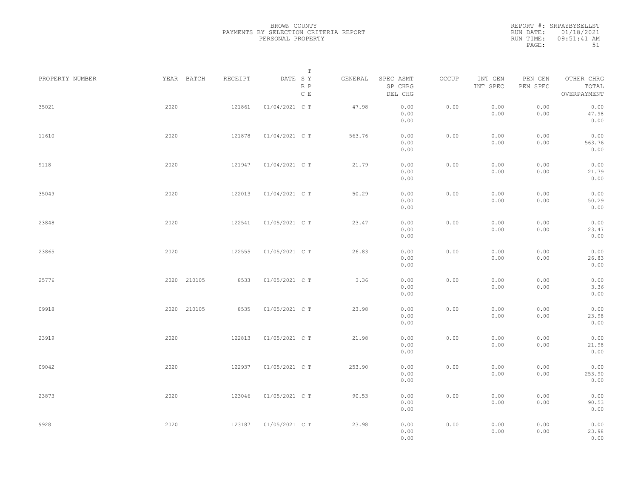| PROPERTY NUMBER |      | YEAR BATCH  | RECEIPT | DATE SY        | $\mathbb T$          | GENERAL | SPEC ASMT            | OCCUP | INT GEN      | PEN GEN      | OTHER CHRG             |  |
|-----------------|------|-------------|---------|----------------|----------------------|---------|----------------------|-------|--------------|--------------|------------------------|--|
|                 |      |             |         |                | R P<br>$\mathbb C$ E |         | SP CHRG<br>DEL CHG   |       | INT SPEC     | PEN SPEC     | TOTAL<br>OVERPAYMENT   |  |
| 35021           | 2020 |             | 121861  | 01/04/2021 C T |                      | 47.98   | 0.00<br>0.00<br>0.00 | 0.00  | 0.00<br>0.00 | 0.00<br>0.00 | 0.00<br>47.98<br>0.00  |  |
| 11610           | 2020 |             | 121878  | 01/04/2021 C T |                      | 563.76  | 0.00<br>0.00<br>0.00 | 0.00  | 0.00<br>0.00 | 0.00<br>0.00 | 0.00<br>563.76<br>0.00 |  |
| 9118            | 2020 |             | 121947  | 01/04/2021 C T |                      | 21.79   | 0.00<br>0.00<br>0.00 | 0.00  | 0.00<br>0.00 | 0.00<br>0.00 | 0.00<br>21.79<br>0.00  |  |
| 35049           | 2020 |             | 122013  | 01/04/2021 C T |                      | 50.29   | 0.00<br>0.00<br>0.00 | 0.00  | 0.00<br>0.00 | 0.00<br>0.00 | 0.00<br>50.29<br>0.00  |  |
| 23848           | 2020 |             | 122541  | 01/05/2021 C T |                      | 23.47   | 0.00<br>0.00<br>0.00 | 0.00  | 0.00<br>0.00 | 0.00<br>0.00 | 0.00<br>23.47<br>0.00  |  |
| 23865           | 2020 |             | 122555  | 01/05/2021 C T |                      | 26.83   | 0.00<br>0.00<br>0.00 | 0.00  | 0.00<br>0.00 | 0.00<br>0.00 | 0.00<br>26.83<br>0.00  |  |
| 25776           |      | 2020 210105 | 8533    | 01/05/2021 C T |                      | 3.36    | 0.00<br>0.00<br>0.00 | 0.00  | 0.00<br>0.00 | 0.00<br>0.00 | 0.00<br>3.36<br>0.00   |  |
| 09918           |      | 2020 210105 | 8535    | 01/05/2021 C T |                      | 23.98   | 0.00<br>0.00<br>0.00 | 0.00  | 0.00<br>0.00 | 0.00<br>0.00 | 0.00<br>23.98<br>0.00  |  |
| 23919           | 2020 |             | 122813  | 01/05/2021 C T |                      | 21.98   | 0.00<br>0.00<br>0.00 | 0.00  | 0.00<br>0.00 | 0.00<br>0.00 | 0.00<br>21.98<br>0.00  |  |
| 09042           | 2020 |             | 122937  | 01/05/2021 C T |                      | 253.90  | 0.00<br>0.00<br>0.00 | 0.00  | 0.00<br>0.00 | 0.00<br>0.00 | 0.00<br>253.90<br>0.00 |  |
| 23873           | 2020 |             | 123046  | 01/05/2021 C T |                      | 90.53   | 0.00<br>0.00<br>0.00 | 0.00  | 0.00<br>0.00 | 0.00<br>0.00 | 0.00<br>90.53<br>0.00  |  |
| 9928            | 2020 |             | 123187  | 01/05/2021 C T |                      | 23.98   | 0.00<br>0.00<br>0.00 | 0.00  | 0.00<br>0.00 | 0.00<br>0.00 | 0.00<br>23.98<br>0.00  |  |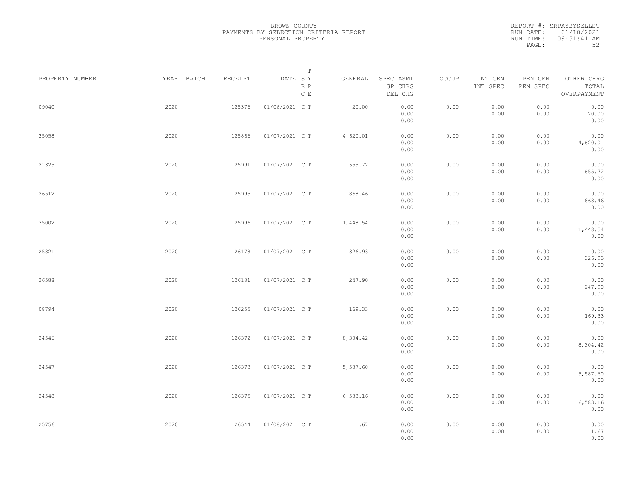| PROPERTY NUMBER | YEAR BATCH | RECEIPT | T<br>DATE SY<br>R P | GENERAL  | SPEC ASMT<br>SP CHRG | OCCUP | INT GEN<br>INT SPEC | PEN GEN<br>PEN SPEC | OTHER CHRG<br>TOTAL      |  |
|-----------------|------------|---------|---------------------|----------|----------------------|-------|---------------------|---------------------|--------------------------|--|
|                 |            |         | C E                 |          | DEL CHG              |       |                     |                     | OVERPAYMENT              |  |
| 09040           | 2020       | 125376  | 01/06/2021 C T      | 20.00    | 0.00<br>0.00<br>0.00 | 0.00  | 0.00<br>0.00        | 0.00<br>0.00        | 0.00<br>20.00<br>0.00    |  |
| 35058           | 2020       | 125866  | 01/07/2021 C T      | 4,620.01 | 0.00<br>0.00<br>0.00 | 0.00  | 0.00<br>0.00        | 0.00<br>0.00        | 0.00<br>4,620.01<br>0.00 |  |
| 21325           | 2020       | 125991  | 01/07/2021 C T      | 655.72   | 0.00<br>0.00<br>0.00 | 0.00  | 0.00<br>0.00        | 0.00<br>0.00        | 0.00<br>655.72<br>0.00   |  |
| 26512           | 2020       | 125995  | 01/07/2021 C T      | 868.46   | 0.00<br>0.00         | 0.00  | 0.00<br>0.00        | 0.00<br>0.00        | 0.00<br>868.46           |  |
| 35002           | 2020       | 125996  | 01/07/2021 C T      | 1,448.54 | 0.00<br>0.00<br>0.00 | 0.00  | 0.00<br>0.00        | 0.00<br>0.00        | 0.00<br>0.00<br>1,448.54 |  |
| 25821           | 2020       | 126178  | 01/07/2021 C T      | 326.93   | 0.00<br>0.00<br>0.00 | 0.00  | 0.00<br>0.00        | 0.00<br>0.00        | 0.00<br>0.00<br>326.93   |  |
| 26588           | 2020       | 126181  | 01/07/2021 C T      | 247.90   | 0.00<br>0.00<br>0.00 | 0.00  | 0.00<br>0.00        | 0.00<br>0.00        | 0.00<br>0.00<br>247.90   |  |
| 08794           | 2020       | 126255  | 01/07/2021 C T      | 169.33   | 0.00<br>0.00         | 0.00  | 0.00                | 0.00                | 0.00<br>0.00             |  |
|                 |            |         |                     |          | 0.00<br>0.00         |       | 0.00                | 0.00                | 169.33<br>0.00           |  |
| 24546           | 2020       | 126372  | 01/07/2021 C T      | 8,304.42 | 0.00<br>0.00<br>0.00 | 0.00  | 0.00<br>0.00        | 0.00<br>0.00        | 0.00<br>8,304.42<br>0.00 |  |
| 24547           | 2020       | 126373  | 01/07/2021 C T      | 5,587.60 | 0.00<br>0.00<br>0.00 | 0.00  | 0.00<br>0.00        | 0.00<br>0.00        | 0.00<br>5,587.60<br>0.00 |  |
| 24548           | 2020       | 126375  | 01/07/2021 C T      | 6,583.16 | 0.00<br>0.00<br>0.00 | 0.00  | 0.00<br>0.00        | 0.00<br>0.00        | 0.00<br>6,583.16<br>0.00 |  |
| 25756           | 2020       | 126544  | 01/08/2021 C T      | 1.67     | 0.00<br>0.00<br>0.00 | 0.00  | 0.00<br>0.00        | 0.00<br>0.00        | 0.00<br>1.67<br>0.00     |  |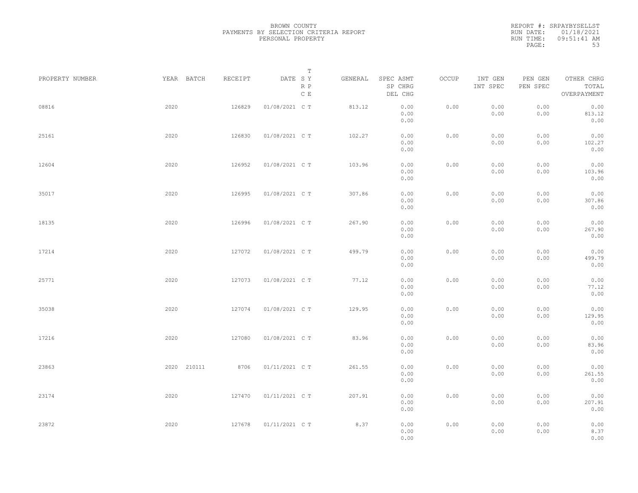| PROPERTY NUMBER |      | YEAR BATCH  | RECEIPT | DATE SY        | $\mathbb T$          | GENERAL | SPEC ASMT            | OCCUP | INT GEN      | PEN GEN      | OTHER CHRG             |  |
|-----------------|------|-------------|---------|----------------|----------------------|---------|----------------------|-------|--------------|--------------|------------------------|--|
|                 |      |             |         |                | R P<br>$\mathbb C$ E |         | SP CHRG<br>DEL CHG   |       | INT SPEC     | PEN SPEC     | TOTAL<br>OVERPAYMENT   |  |
| 08816           | 2020 |             | 126829  | 01/08/2021 C T |                      | 813.12  | 0.00<br>0.00<br>0.00 | 0.00  | 0.00<br>0.00 | 0.00<br>0.00 | 0.00<br>813.12<br>0.00 |  |
| 25161           | 2020 |             | 126830  | 01/08/2021 C T |                      | 102.27  | 0.00<br>0.00<br>0.00 | 0.00  | 0.00<br>0.00 | 0.00<br>0.00 | 0.00<br>102.27<br>0.00 |  |
| 12604           | 2020 |             | 126952  | 01/08/2021 C T |                      | 103.96  | 0.00<br>0.00<br>0.00 | 0.00  | 0.00<br>0.00 | 0.00<br>0.00 | 0.00<br>103.96<br>0.00 |  |
| 35017           | 2020 |             | 126995  | 01/08/2021 C T |                      | 307.86  | 0.00<br>0.00<br>0.00 | 0.00  | 0.00<br>0.00 | 0.00<br>0.00 | 0.00<br>307.86<br>0.00 |  |
| 18135           | 2020 |             | 126996  | 01/08/2021 C T |                      | 267.90  | 0.00<br>0.00<br>0.00 | 0.00  | 0.00<br>0.00 | 0.00<br>0.00 | 0.00<br>267.90<br>0.00 |  |
| 17214           | 2020 |             | 127072  | 01/08/2021 C T |                      | 499.79  | 0.00<br>0.00<br>0.00 | 0.00  | 0.00<br>0.00 | 0.00<br>0.00 | 0.00<br>499.79<br>0.00 |  |
| 25771           | 2020 |             | 127073  | 01/08/2021 C T |                      | 77.12   | 0.00<br>0.00<br>0.00 | 0.00  | 0.00<br>0.00 | 0.00<br>0.00 | 0.00<br>77.12<br>0.00  |  |
| 35038           | 2020 |             | 127074  | 01/08/2021 C T |                      | 129.95  | 0.00<br>0.00<br>0.00 | 0.00  | 0.00<br>0.00 | 0.00<br>0.00 | 0.00<br>129.95<br>0.00 |  |
| 17216           | 2020 |             | 127080  | 01/08/2021 C T |                      | 83.96   | 0.00<br>0.00<br>0.00 | 0.00  | 0.00<br>0.00 | 0.00<br>0.00 | 0.00<br>83.96<br>0.00  |  |
| 23863           |      | 2020 210111 | 8706    | 01/11/2021 C T |                      | 261.55  | 0.00<br>0.00<br>0.00 | 0.00  | 0.00<br>0.00 | 0.00<br>0.00 | 0.00<br>261.55<br>0.00 |  |
| 23174           | 2020 |             | 127470  | 01/11/2021 C T |                      | 207.91  | 0.00<br>0.00<br>0.00 | 0.00  | 0.00<br>0.00 | 0.00<br>0.00 | 0.00<br>207.91<br>0.00 |  |
| 23872           | 2020 |             | 127678  | 01/11/2021 C T |                      | 8.37    | 0.00<br>0.00<br>0.00 | 0.00  | 0.00<br>0.00 | 0.00<br>0.00 | 0.00<br>8.37<br>0.00   |  |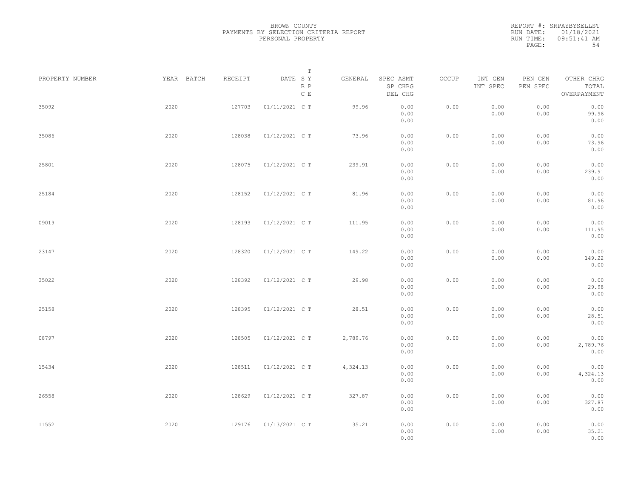| PROPERTY NUMBER | YEAR BATCH | RECEIPT | Т<br>DATE SY<br>R P | GENERAL  | SPEC ASMT<br>SP CHRG | OCCUP | INT GEN<br>INT SPEC | PEN GEN<br>PEN SPEC | OTHER CHRG<br>TOTAL |  |
|-----------------|------------|---------|---------------------|----------|----------------------|-------|---------------------|---------------------|---------------------|--|
|                 |            |         | $\mathbb C$ E       |          | DEL CHG              |       |                     |                     | OVERPAYMENT         |  |
| 35092           | 2020       | 127703  | 01/11/2021 C T      | 99.96    | 0.00                 | 0.00  | 0.00                | 0.00                | 0.00                |  |
|                 |            |         |                     |          | 0.00<br>0.00         |       | 0.00                | 0.00                | 99.96<br>0.00       |  |
|                 |            |         |                     |          |                      |       |                     |                     |                     |  |
| 35086           | 2020       | 128038  | 01/12/2021 C T      | 73.96    | 0.00                 | 0.00  | 0.00                | 0.00                | 0.00                |  |
|                 |            |         |                     |          | 0.00<br>0.00         |       | 0.00                | 0.00                | 73.96<br>0.00       |  |
|                 |            |         |                     |          |                      |       |                     |                     |                     |  |
| 25801           | 2020       | 128075  | 01/12/2021 C T      | 239.91   | 0.00                 | 0.00  | 0.00                | 0.00                | 0.00                |  |
|                 |            |         |                     |          | 0.00<br>0.00         |       | 0.00                | 0.00                | 239.91<br>0.00      |  |
|                 |            |         |                     |          |                      |       |                     |                     |                     |  |
| 25184           | 2020       | 128152  | 01/12/2021 C T      | 81.96    | 0.00                 | 0.00  | 0.00                | 0.00                | 0.00                |  |
|                 |            |         |                     |          | 0.00                 |       | 0.00                | 0.00                | 81.96               |  |
|                 |            |         |                     |          | 0.00                 |       |                     |                     | 0.00                |  |
| 09019           | 2020       | 128193  | 01/12/2021 C T      | 111.95   | 0.00                 | 0.00  | 0.00                | 0.00                | 0.00                |  |
|                 |            |         |                     |          | 0.00                 |       | 0.00                | 0.00                | 111.95              |  |
|                 |            |         |                     |          | 0.00                 |       |                     |                     | 0.00                |  |
| 23147           | 2020       | 128320  | 01/12/2021 C T      | 149.22   | 0.00                 | 0.00  | 0.00                | 0.00                | 0.00                |  |
|                 |            |         |                     |          | 0.00                 |       | 0.00                | 0.00                | 149.22              |  |
|                 |            |         |                     |          | 0.00                 |       |                     |                     | 0.00                |  |
| 35022           | 2020       | 128392  | 01/12/2021 C T      | 29.98    | 0.00                 | 0.00  | 0.00                | 0.00                | 0.00                |  |
|                 |            |         |                     |          | 0.00                 |       | 0.00                | 0.00                | 29.98               |  |
|                 |            |         |                     |          | 0.00                 |       |                     |                     | 0.00                |  |
| 25158           | 2020       | 128395  | 01/12/2021 C T      | 28.51    | 0.00                 | 0.00  | 0.00                | 0.00                | 0.00                |  |
|                 |            |         |                     |          | 0.00                 |       | 0.00                | 0.00                | 28.51               |  |
|                 |            |         |                     |          | 0.00                 |       |                     |                     | 0.00                |  |
| 08797           | 2020       | 128505  | 01/12/2021 C T      | 2,789.76 | 0.00                 | 0.00  | 0.00                | 0.00                | 0.00                |  |
|                 |            |         |                     |          | 0.00                 |       | 0.00                | 0.00                | 2,789.76            |  |
|                 |            |         |                     |          | 0.00                 |       |                     |                     | 0.00                |  |
| 15434           | 2020       | 128511  | 01/12/2021 C T      | 4,324.13 | 0.00                 | 0.00  | 0.00                | 0.00                | 0.00                |  |
|                 |            |         |                     |          | 0.00                 |       | 0.00                | 0.00                | 4,324.13            |  |
|                 |            |         |                     |          | 0.00                 |       |                     |                     | 0.00                |  |
| 26558           | 2020       | 128629  | 01/12/2021 C T      | 327.87   | 0.00                 | 0.00  | 0.00                | 0.00                | 0.00                |  |
|                 |            |         |                     |          | 0.00                 |       | 0.00                | 0.00                | 327.87              |  |
|                 |            |         |                     |          | 0.00                 |       |                     |                     | 0.00                |  |
| 11552           | 2020       | 129176  | 01/13/2021 C T      | 35.21    | 0.00                 | 0.00  | 0.00                | 0.00                | 0.00                |  |
|                 |            |         |                     |          | 0.00                 |       | 0.00                | 0.00                | 35.21               |  |
|                 |            |         |                     |          | 0.00                 |       |                     |                     | 0.00                |  |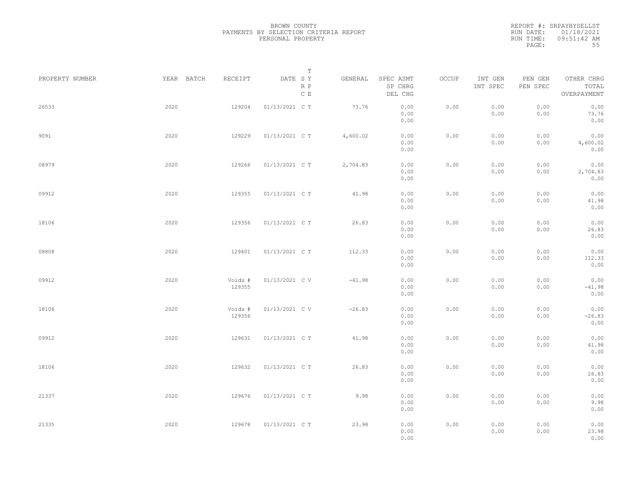|                 |            |                   | Т                               |          |                                 |       |                     |                     |                                    |  |
|-----------------|------------|-------------------|---------------------------------|----------|---------------------------------|-------|---------------------|---------------------|------------------------------------|--|
| PROPERTY NUMBER | YEAR BATCH | RECEIPT           | DATE SY<br>R P<br>$\,$ C $\,$ E | GENERAL  | SPEC ASMT<br>SP CHRG<br>DEL CHG | OCCUP | INT GEN<br>INT SPEC | PEN GEN<br>PEN SPEC | OTHER CHRG<br>TOTAL<br>OVERPAYMENT |  |
| 26533           | 2020       | 129204            | 01/13/2021 C T                  | 73.76    | 0.00<br>0.00<br>0.00            | 0.00  | 0.00<br>0.00        | 0.00<br>0.00        | 0.00<br>73.76<br>0.00              |  |
| 9091            | 2020       | 129229            | 01/13/2021 C T                  | 4,600.02 | 0.00<br>0.00<br>0.00            | 0.00  | 0.00<br>0.00        | 0.00<br>0.00        | 0.00<br>4,600.02<br>0.00           |  |
| 08979           | 2020       | 129266            | 01/13/2021 C T                  | 2,704.83 | 0.00<br>0.00<br>0.00            | 0.00  | 0.00<br>0.00        | 0.00<br>0.00        | 0.00<br>2,704.83<br>0.00           |  |
| 09912           | 2020       | 129355            | 01/13/2021 C T                  | 41.98    | 0.00<br>0.00<br>0.00            | 0.00  | 0.00<br>0.00        | 0.00<br>0.00        | 0.00<br>41.98<br>0.00              |  |
| 18106           | 2020       | 129356            | 01/13/2021 C T                  | 26.83    | 0.00<br>0.00<br>0.00            | 0.00  | 0.00<br>0.00        | 0.00<br>0.00        | 0.00<br>26.83<br>0.00              |  |
| 08808           | 2020       | 129401            | 01/13/2021 C T                  | 112.33   | 0.00<br>0.00<br>0.00            | 0.00  | 0.00<br>0.00        | 0.00<br>0.00        | 0.00<br>112.33<br>0.00             |  |
| 09912           | 2020       | Voids #<br>129355 | 01/13/2021 C V                  | $-41.98$ | 0.00<br>0.00<br>0.00            | 0.00  | 0.00<br>0.00        | 0.00<br>0.00        | 0.00<br>$-41.98$<br>0.00           |  |
| 18106           | 2020       | Voids #<br>129356 | 01/13/2021 C V                  | $-26.83$ | 0.00<br>0.00<br>0.00            | 0.00  | 0.00<br>0.00        | 0.00<br>0.00        | 0.00<br>$-26.83$<br>0.00           |  |
| 09912           | 2020       | 129631            | 01/13/2021 C T                  | 41.98    | 0.00<br>0.00<br>0.00            | 0.00  | 0.00<br>0.00        | 0.00<br>0.00        | 0.00<br>41.98<br>0.00              |  |
| 18106           | 2020       | 129632            | 01/13/2021 C T                  | 26.83    | 0.00<br>0.00<br>0.00            | 0.00  | 0.00<br>0.00        | 0.00<br>0.00        | 0.00<br>26.83<br>0.00              |  |
| 21337           | 2020       | 129676            | 01/13/2021 C T                  | 9.98     | 0.00<br>0.00<br>0.00            | 0.00  | 0.00<br>0.00        | 0.00<br>0.00        | 0.00<br>9.98<br>0.00               |  |
| 21335           | 2020       | 129678            | 01/13/2021 C T                  | 23.98    | 0.00<br>0.00<br>0.00            | 0.00  | 0.00<br>0.00        | 0.00<br>0.00        | 0.00<br>23.98<br>0.00              |  |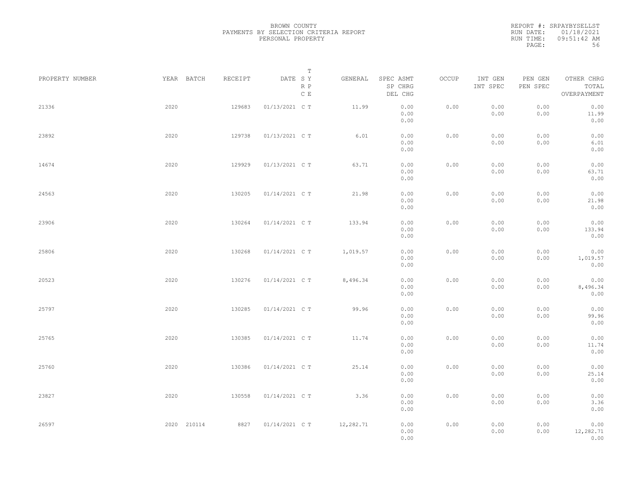|                 |             |         | Т                               |           |                                 |       |                     |                     |                                    |  |
|-----------------|-------------|---------|---------------------------------|-----------|---------------------------------|-------|---------------------|---------------------|------------------------------------|--|
| PROPERTY NUMBER | YEAR BATCH  | RECEIPT | DATE SY<br>R P<br>$\,$ C $\,$ E | GENERAL   | SPEC ASMT<br>SP CHRG<br>DEL CHG | OCCUP | INT GEN<br>INT SPEC | PEN GEN<br>PEN SPEC | OTHER CHRG<br>TOTAL<br>OVERPAYMENT |  |
| 21336           | 2020        | 129683  | 01/13/2021 C T                  | 11.99     | 0.00<br>0.00<br>0.00            | 0.00  | 0.00<br>0.00        | 0.00<br>0.00        | 0.00<br>11.99<br>0.00              |  |
| 23892           | 2020        | 129738  | 01/13/2021 C T                  | 6.01      | 0.00<br>0.00<br>0.00            | 0.00  | 0.00<br>0.00        | 0.00<br>0.00        | 0.00<br>6.01<br>0.00               |  |
| 14674           | 2020        | 129929  | 01/13/2021 C T                  | 63.71     | 0.00<br>0.00<br>0.00            | 0.00  | 0.00<br>0.00        | 0.00<br>0.00        | 0.00<br>63.71<br>0.00              |  |
| 24563           | 2020        | 130205  | 01/14/2021 C T                  | 21.98     | 0.00<br>0.00<br>0.00            | 0.00  | 0.00<br>0.00        | 0.00<br>0.00        | 0.00<br>21.98<br>0.00              |  |
| 23906           | 2020        | 130264  | 01/14/2021 C T                  | 133.94    | 0.00<br>0.00<br>0.00            | 0.00  | 0.00<br>0.00        | 0.00<br>0.00        | 0.00<br>133.94<br>0.00             |  |
| 25806           | 2020        | 130268  | 01/14/2021 C T                  | 1,019.57  | 0.00<br>0.00<br>0.00            | 0.00  | 0.00<br>0.00        | 0.00<br>0.00        | 0.00<br>1,019.57<br>0.00           |  |
| 20523           | 2020        | 130276  | 01/14/2021 C T                  | 8,496.34  | 0.00<br>0.00                    | 0.00  | 0.00<br>0.00        | 0.00<br>0.00        | 0.00<br>8,496.34                   |  |
| 25797           | 2020        | 130285  | 01/14/2021 C T                  | 99.96     | 0.00<br>0.00<br>0.00            | 0.00  | 0.00<br>0.00        | 0.00<br>0.00        | 0.00<br>0.00<br>99.96              |  |
| 25765           | 2020        | 130385  | 01/14/2021 C T                  | 11.74     | 0.00<br>0.00<br>0.00            | 0.00  | 0.00<br>0.00        | 0.00<br>0.00        | 0.00<br>0.00<br>11.74              |  |
| 25760           | 2020        | 130386  | 01/14/2021 C T                  | 25.14     | 0.00<br>0.00<br>0.00            | 0.00  | 0.00<br>0.00        | 0.00<br>0.00        | 0.00<br>0.00<br>25.14              |  |
| 23827           | 2020        | 130558  | 01/14/2021 C T                  | 3.36      | 0.00<br>0.00<br>0.00            | 0.00  | 0.00<br>0.00        | 0.00<br>0.00        | 0.00<br>0.00<br>3.36               |  |
| 26597           | 2020 210114 | 8827    | 01/14/2021 C T                  | 12,282.71 | 0.00<br>0.00<br>0.00<br>0.00    | 0.00  | 0.00<br>0.00        | 0.00<br>0.00        | 0.00<br>0.00<br>12,282.71<br>0.00  |  |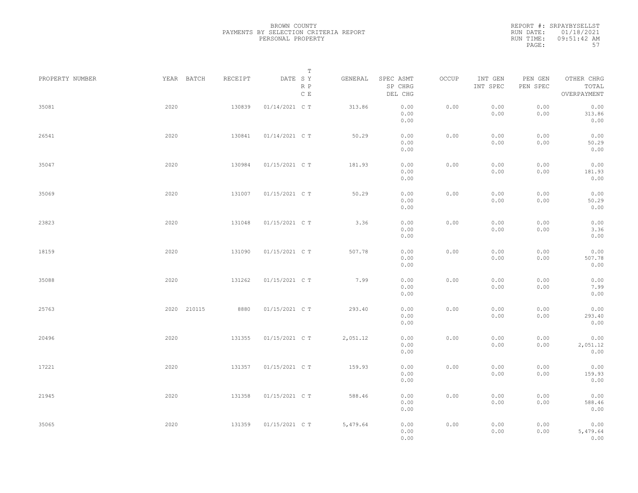|                 |             |         | $\mathbb T$                                         |          |                                 |       |                     |                     |                                    |  |
|-----------------|-------------|---------|-----------------------------------------------------|----------|---------------------------------|-------|---------------------|---------------------|------------------------------------|--|
| PROPERTY NUMBER | YEAR BATCH  | RECEIPT | DATE SY<br>$\mathbb R$ $\mathbb P$<br>$\,$ C $\,$ E | GENERAL  | SPEC ASMT<br>SP CHRG<br>DEL CHG | OCCUP | INT GEN<br>INT SPEC | PEN GEN<br>PEN SPEC | OTHER CHRG<br>TOTAL<br>OVERPAYMENT |  |
| 35081           | 2020        | 130839  | 01/14/2021 C T                                      | 313.86   | 0.00<br>0.00<br>0.00            | 0.00  | 0.00<br>0.00        | 0.00<br>0.00        | 0.00<br>313.86<br>0.00             |  |
| 26541           | 2020        | 130841  | 01/14/2021 C T                                      | 50.29    | 0.00<br>0.00<br>0.00            | 0.00  | 0.00<br>0.00        | 0.00<br>0.00        | 0.00<br>50.29<br>0.00              |  |
| 35047           | 2020        | 130984  | 01/15/2021 C T                                      | 181.93   | 0.00<br>0.00<br>0.00            | 0.00  | 0.00<br>0.00        | 0.00<br>0.00        | 0.00<br>181.93<br>0.00             |  |
| 35069           | 2020        | 131007  | 01/15/2021 C T                                      | 50.29    | 0.00<br>0.00<br>0.00            | 0.00  | 0.00<br>0.00        | 0.00<br>0.00        | 0.00<br>50.29<br>0.00              |  |
| 23823           | 2020        | 131048  | 01/15/2021 C T                                      | 3.36     | 0.00<br>0.00<br>0.00            | 0.00  | 0.00<br>0.00        | 0.00<br>0.00        | 0.00<br>3.36<br>0.00               |  |
| 18159           | 2020        | 131090  | 01/15/2021 C T                                      | 507.78   | 0.00<br>0.00<br>0.00            | 0.00  | 0.00<br>0.00        | 0.00<br>0.00        | 0.00<br>507.78<br>0.00             |  |
| 35088           | 2020        | 131262  | 01/15/2021 C T                                      | 7.99     | 0.00<br>0.00<br>0.00            | 0.00  | 0.00<br>0.00        | 0.00<br>0.00        | 0.00<br>7.99<br>0.00               |  |
| 25763           | 2020 210115 | 8880    | 01/15/2021 C T                                      | 293.40   | 0.00<br>0.00<br>0.00            | 0.00  | 0.00<br>0.00        | 0.00<br>0.00        | 0.00<br>293.40<br>0.00             |  |
| 20496           | 2020        | 131355  | 01/15/2021 C T                                      | 2,051.12 | 0.00<br>0.00<br>0.00            | 0.00  | 0.00<br>0.00        | 0.00<br>0.00        | 0.00<br>2,051.12<br>0.00           |  |
| 17221           | 2020        | 131357  | 01/15/2021 C T                                      | 159.93   | 0.00<br>0.00<br>0.00            | 0.00  | 0.00<br>0.00        | 0.00<br>0.00        | 0.00<br>159.93<br>0.00             |  |
| 21945           | 2020        | 131358  | 01/15/2021 C T                                      | 588.46   | 0.00<br>0.00<br>0.00            | 0.00  | 0.00<br>0.00        | 0.00<br>0.00        | 0.00<br>588.46<br>0.00             |  |
| 35065           | 2020        | 131359  | 01/15/2021 C T                                      | 5,479.64 | 0.00<br>0.00<br>0.00            | 0.00  | 0.00<br>0.00        | 0.00<br>0.00        | 0.00<br>5,479.64<br>0.00           |  |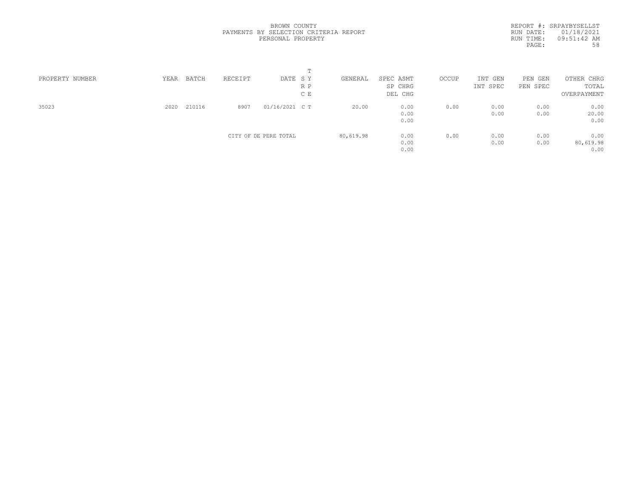| PROPERTY NUMBER | YEAR | BATCH  | RECEIPT | DATE SY               |     | GENERAL   | SPEC ASMT | OCCUP | INT GEN  | PEN GEN  | OTHER CHRG  |  |
|-----------------|------|--------|---------|-----------------------|-----|-----------|-----------|-------|----------|----------|-------------|--|
|                 |      |        |         |                       | R P |           | SP CHRG   |       | INT SPEC | PEN SPEC | TOTAL       |  |
|                 |      |        |         |                       | C E |           | DEL CHG   |       |          |          | OVERPAYMENT |  |
| 35023           | 2020 | 210116 | 8907    | 01/16/2021 C T        |     | 20.00     | 0.00      | 0.00  | 0.00     | 0.00     | 0.00        |  |
|                 |      |        |         |                       |     |           | 0.00      |       | 0.00     | 0.00     | 20.00       |  |
|                 |      |        |         |                       |     |           | 0.00      |       |          |          | 0.00        |  |
|                 |      |        |         | CITY OF DE PERE TOTAL |     | 80,619.98 | 0.00      | 0.00  | 0.00     | 0.00     | 0.00        |  |
|                 |      |        |         |                       |     |           | 0.00      |       | 0.00     | 0.00     | 80,619.98   |  |
|                 |      |        |         |                       |     |           | 0.00      |       |          |          | 0.00        |  |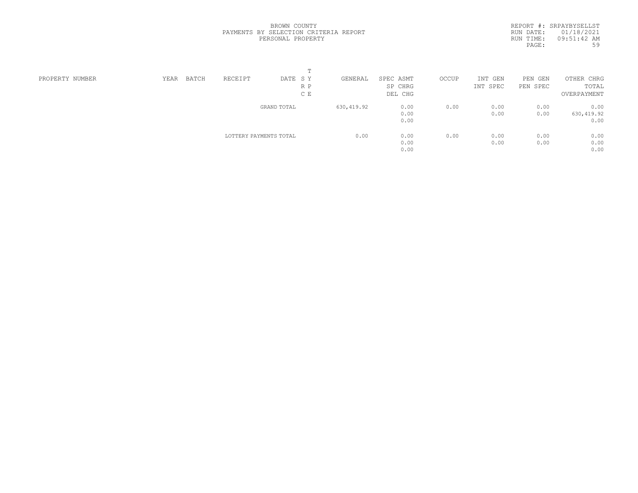|                 |      |       |                        | $\blacksquare$ |             |           |       |          |          |             |  |
|-----------------|------|-------|------------------------|----------------|-------------|-----------|-------|----------|----------|-------------|--|
| PROPERTY NUMBER | YEAR | BATCH | RECEIPT                | DATE SY        | GENERAL     | SPEC ASMT | OCCUP | INT GEN  | PEN GEN  | OTHER CHRG  |  |
|                 |      |       |                        | R P            |             | SP CHRG   |       | INT SPEC | PEN SPEC | TOTAL       |  |
|                 |      |       |                        | C E            |             | DEL CHG   |       |          |          | OVERPAYMENT |  |
|                 |      |       |                        | GRAND TOTAL    | 630, 419.92 | 0.00      | 0.00  | 0.00     | 0.00     | 0.00        |  |
|                 |      |       |                        |                |             | 0.00      |       | 0.00     | 0.00     | 630,419.92  |  |
|                 |      |       |                        |                |             | 0.00      |       |          |          | 0.00        |  |
|                 |      |       | LOTTERY PAYMENTS TOTAL |                | 0.00        | 0.00      | 0.00  | 0.00     | 0.00     | 0.00        |  |
|                 |      |       |                        |                |             | 0.00      |       | 0.00     | 0.00     | 0.00        |  |
|                 |      |       |                        |                |             | 0.00      |       |          |          | 0.00        |  |